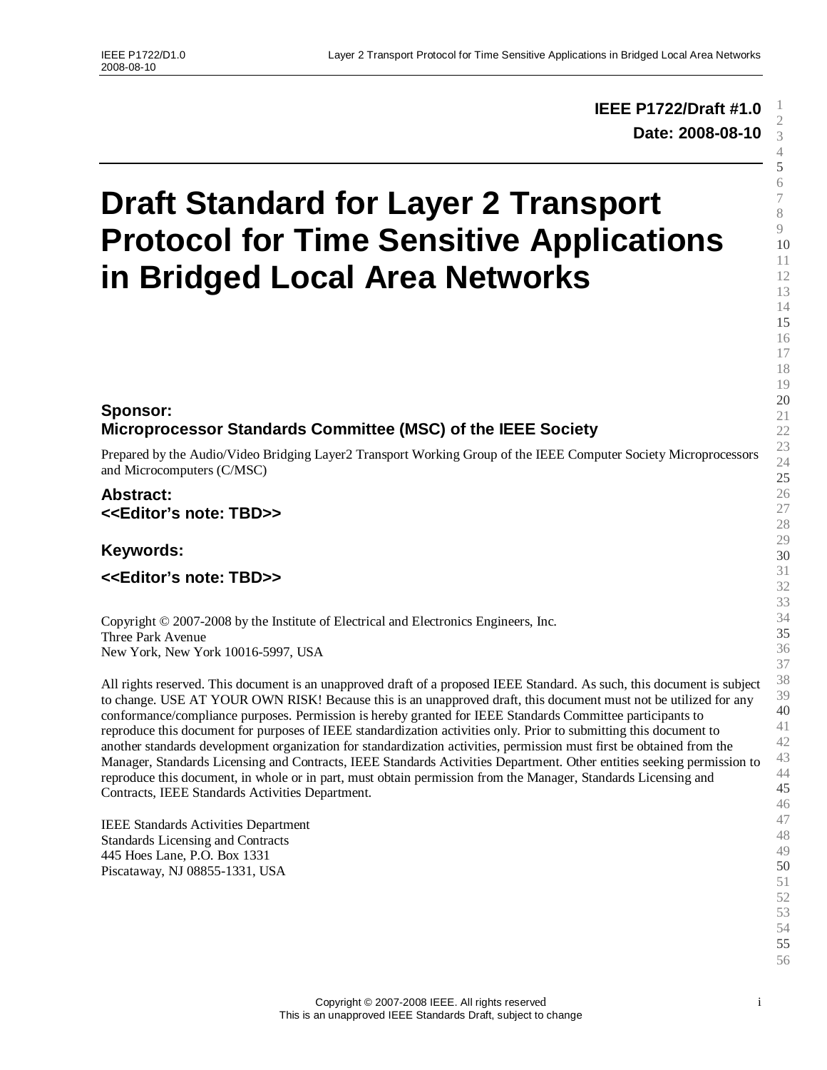# **IEEE P1722/Draft #1.0 Date: 2008-08-10**

# **Draft Standard for Layer 2 Transport Protocol for Time Sensitive Applications in Bridged Local Area Networks**

# **Sponsor: Microprocessor Standards Committee (MSC) of the IEEE Society**

Prepared by the Audio/Video Bridging Layer2 Transport Working Group of the IEEE Computer Society Microprocessors and Microcomputers (C/MSC)

**Abstract: <<Editor's note: TBD>>**

**Keywords:**

**<<Editor's note: TBD>>**

Copyright © 2007-2008 by the Institute of Electrical and Electronics Engineers, Inc. Three Park Avenue New York, New York 10016-5997, USA

All rights reserved. This document is an unapproved draft of a proposed IEEE Standard. As such, this document is subject to change. USE AT YOUR OWN RISK! Because this is an unapproved draft, this document must not be utilized for any conformance/compliance purposes. Permission is hereby granted for IEEE Standards Committee participants to reproduce this document for purposes of IEEE standardization activities only. Prior to submitting this document to another standards development organization for standardization activities, permission must first be obtained from the Manager, Standards Licensing and Contracts, IEEE Standards Activities Department. Other entities seeking permission to reproduce this document, in whole or in part, must obtain permission from the Manager, Standards Licensing and Contracts, IEEE Standards Activities Department.

IEEE Standards Activities Department Standards Licensing and Contracts 445 Hoes Lane, P.O. Box 1331 Piscataway, NJ 08855-1331, USA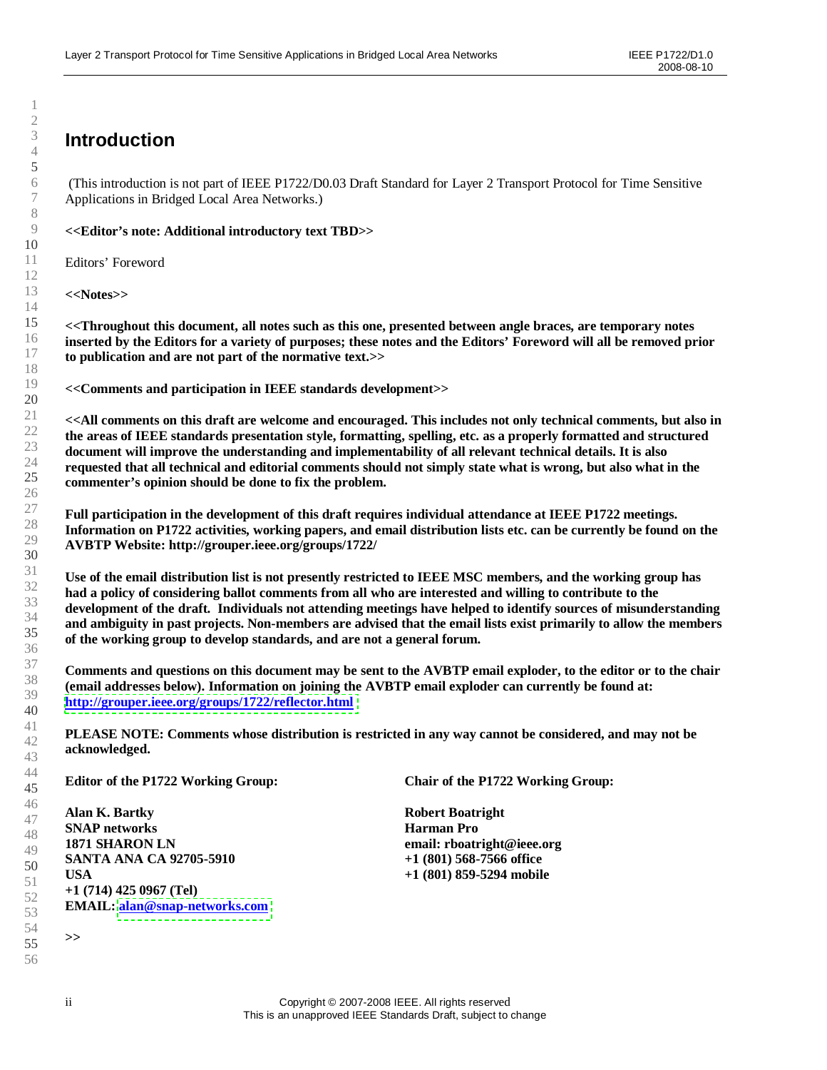# **Introduction**

(This introduction is not part of IEEE P1722/D0.03 Draft Standard for Layer 2 Transport Protocol for Time Sensitive Applications in Bridged Local Area Networks.)

**<<Editor's note: Additional introductory text TBD>>**

Editors' Foreword

**<<Notes>>**

**<<Throughout this document, all notes such as this one, presented between angle braces, are temporary notes inserted by the Editors for a variety of purposes; these notes and the Editors'Foreword will all be removed prior to publication and are not part of the normative text.>>**

**<<Comments and participation in IEEE standards development>>**

**<<All comments on this draft are welcome and encouraged. This includes not only technical comments, but also in the areas of IEEE standards presentation style, formatting, spelling, etc. as a properly formatted and structured document will improve the understanding and implementability of all relevant technical details. It is also requested that all technical and editorial comments should not simply state what is wrong, but also what in the commenter's opinion should be done to fix the problem.**

**Full participation in the development of this draft requires individual attendance at IEEE P1722 meetings. Information on P1722 activities, working papers, and email distribution lists etc. can be currently be found on the AVBTP Website: http://grouper.ieee.org/groups/1722/**

**Use of the email distribution list is not presently restricted to IEEE MSC members, and the working group has had a policy of considering ballot comments from all who are interested and willing to contribute to the development of the draft. Individuals not attending meetings have helped to identify sources of misunderstanding and ambiguity in past projects. Non-members are advised that the email lists exist primarily to allow the members of the working group to develop standards, and are not a general forum.**

**Comments and questions on this document may be sent to the AVBTP email exploder, to the editor or to the chair (email addresses below). Information on joining the AVBTP email exploder can currently be found at: <http://grouper.ieee.org/groups/1722/reflector.html>**

**PLEASE NOTE: Comments whose distribution is restricted in any way cannot be considered, and may not be acknowledged.**

**Editor of the P1722 Working Group:**

**Alan K. Bartky SNAP networks 1871 SHARON LN SANTA ANA CA 92705-5910 USA +1 (714) 425 0967 (Tel) EMAIL: [alan@snap-networks.com](mailto:alan@snap-networks.com)**

**Chair of the P1722 Working Group:**

**Robert Boatright Harman Pro email: rboatright@ieee.org +1 (801) 568-7566 office +1 (801) 859-5294 mobile**

**>>**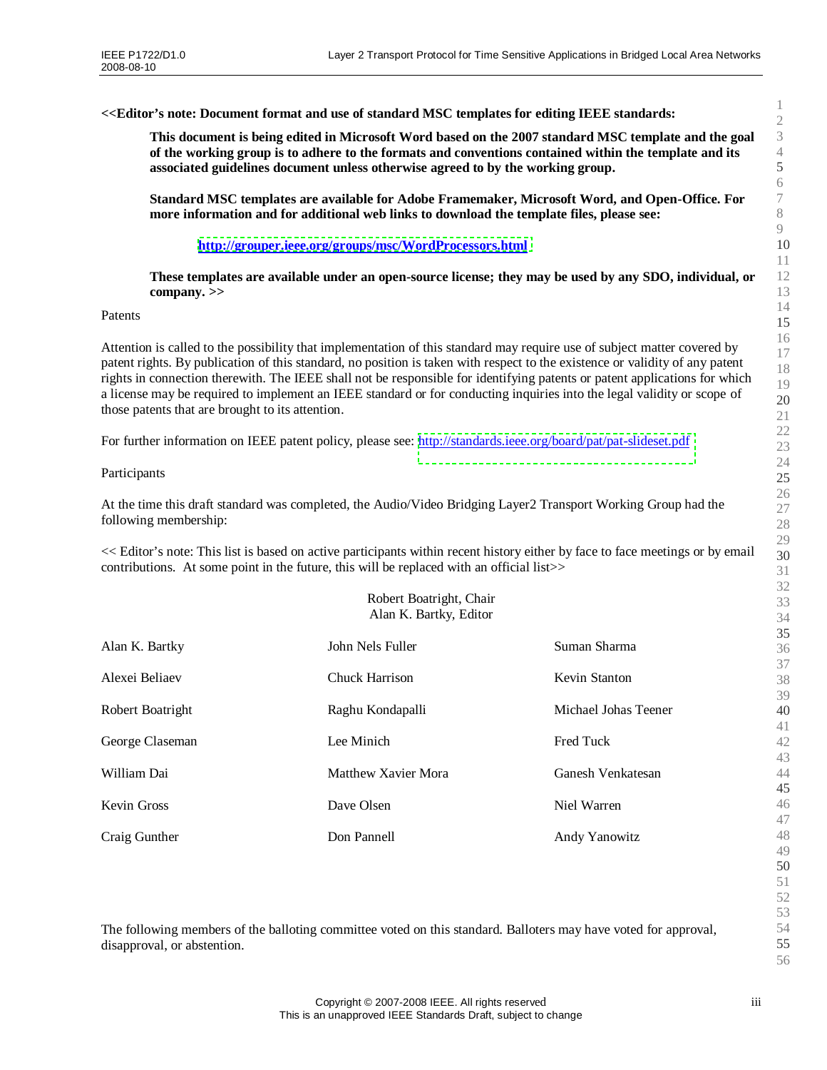**<<Editor's note: Document format and use of standard MSC templates for editing IEEE standards:**

**This document is being edited in Microsoft Word based on the 2007 standard MSC template and the goal of the working group is to adhere to the formats and conventions contained within the template and its associated guidelines document unless otherwise agreed to by the working group.**

**Standard MSC templates are available for Adobe Framemaker, Microsoft Word, and Open-Office. For more information and for additional web links to download the template files, please see:**

**<http://grouper.ieee.org/groups/msc/WordProcessors.html>**

**These templates are available under an open-source license; they may be used by any SDO, individual, or company. >>**

Patents

Attention is called to the possibility that implementation of this standard may require use of subject matter covered by patent rights. By publication of this standard, no position is taken with respect to the existence or validity of any patent rights in connection therewith. The IEEE shall not be responsible for identifying patents or patent applications for which a license may be required to implement an IEEE standard or for conducting inquiries into the legal validity or scope of those patents that are brought to its attention.

For further information on IEEE patent policy, please see: <http://standards.ieee.org/board/pat/pat-slideset.pdf>

#### Participants

At the time this draft standard was completed, the Audio/Video Bridging Layer2 Transport Working Group had the following membership:

<< Editor's note: This list is based on active participants within recent history either by face to face meetings or by email contributions. At some point in the future, this will be replaced with an official list>>

Robert Boatright, Chair

|                  | Alan K. Bartky, Editor     |                      | ◡<br>3              |
|------------------|----------------------------|----------------------|---------------------|
| Alan K. Bartky   | John Nels Fuller           | Suman Sharma         | 3<br>3              |
| Alexei Beliaev   | <b>Chuck Harrison</b>      | <b>Kevin Stanton</b> | 3<br>3              |
| Robert Boatright | Raghu Kondapalli           | Michael Johas Teener | 3<br>4              |
| George Claseman  | Lee Minich                 | <b>Fred Tuck</b>     | $\overline{4}$<br>4 |
| William Dai      | <b>Matthew Xavier Mora</b> | Ganesh Venkatesan    | 4<br>4              |
| Kevin Gross      | Dave Olsen                 | Niel Warren          | 4<br>4<br>4         |
| Craig Gunther    | Don Pannell                | <b>Andy Yanowitz</b> | 4                   |

The following members of the balloting committee voted on this standard. Balloters may have voted for approval, disapproval, or abstention.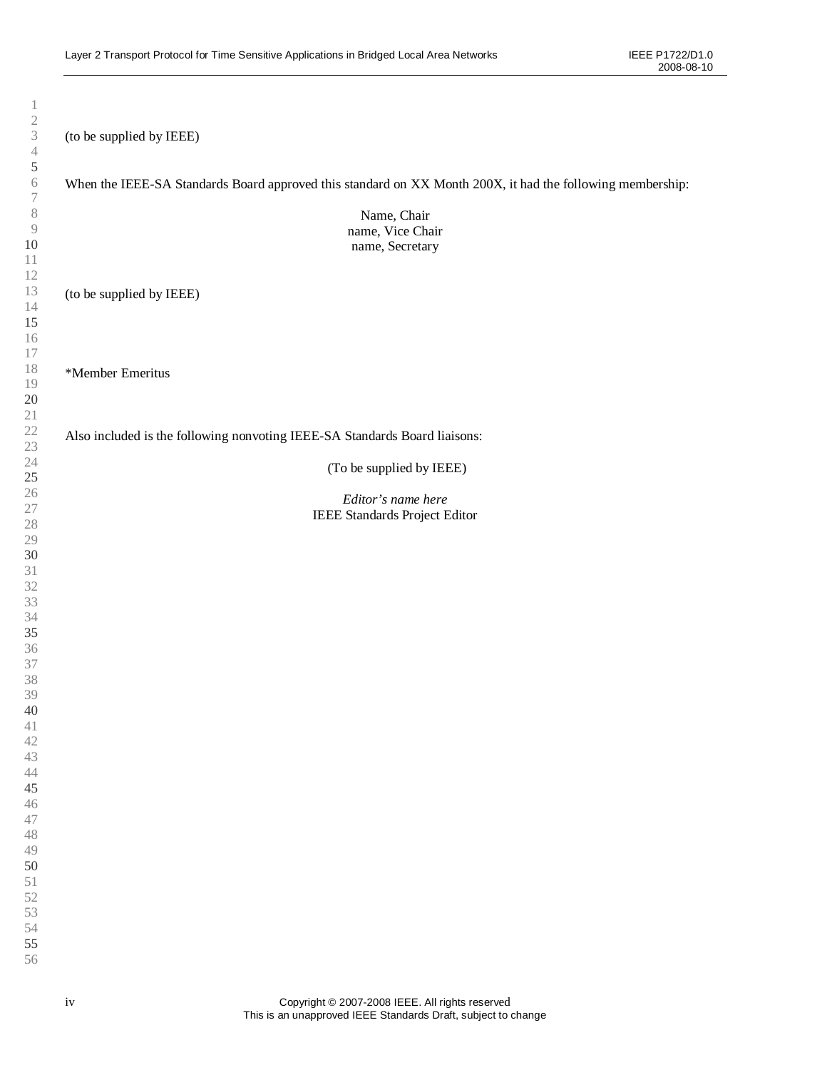(to be supplied by IEEE) When the IEEE-SA Standards Board approved this standard on XX Month 200X, it had the following membership: Name, Chair name, Vice Chair name, Secretary (to be supplied by IEEE) \*Member Emeritus Also included is the following nonvoting IEEE-SA Standards Board liaisons: (To be supplied by IEEE) *Editor's name here* IEEE Standards Project Editor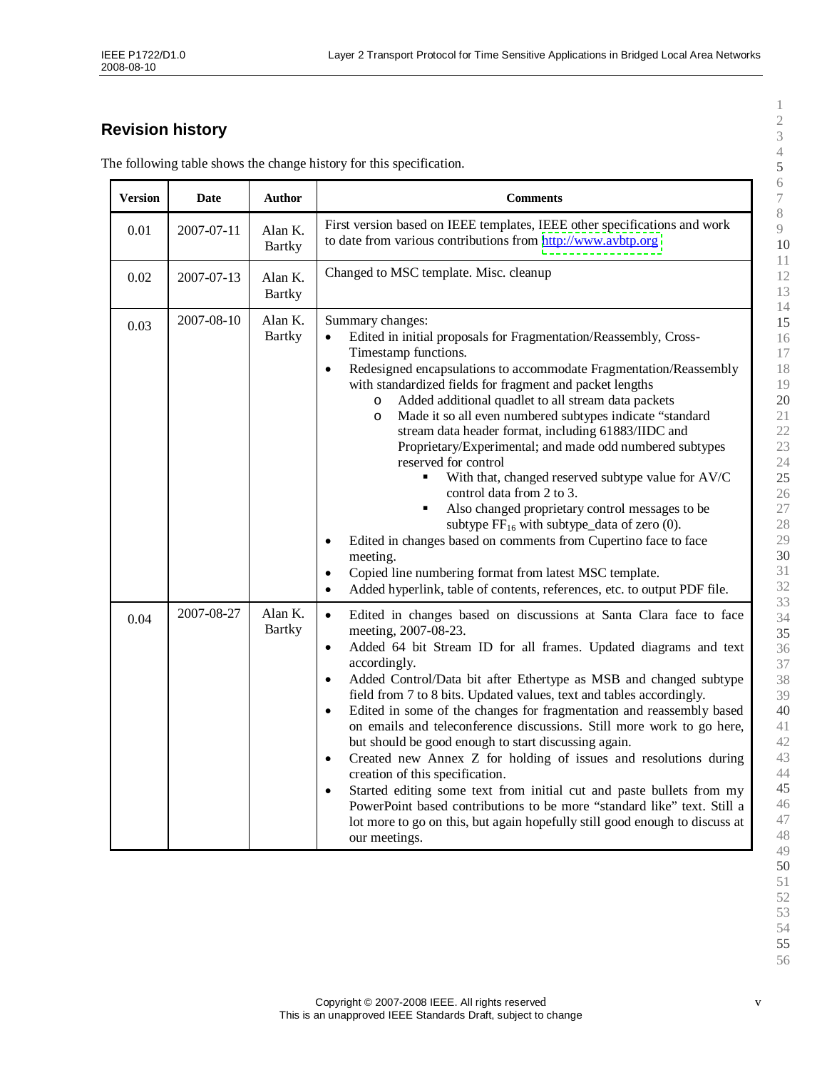# **Revision history**

| <b>Version</b> | Date       | <b>Author</b>            | <b>Comments</b>                                                                                                                                                                                                                                                                                                                                                                                                                                                                                                                                                                                                                                                                                                                                                                                                                                                                                                                                                                              |
|----------------|------------|--------------------------|----------------------------------------------------------------------------------------------------------------------------------------------------------------------------------------------------------------------------------------------------------------------------------------------------------------------------------------------------------------------------------------------------------------------------------------------------------------------------------------------------------------------------------------------------------------------------------------------------------------------------------------------------------------------------------------------------------------------------------------------------------------------------------------------------------------------------------------------------------------------------------------------------------------------------------------------------------------------------------------------|
| 0.01           | 2007-07-11 | Alan K.<br><b>Bartky</b> | First version based on IEEE templates, IEEE other specifications and work<br>to date from various contributions from http://www.avbtp.org                                                                                                                                                                                                                                                                                                                                                                                                                                                                                                                                                                                                                                                                                                                                                                                                                                                    |
| 0.02           | 2007-07-13 | Alan K.<br><b>Bartky</b> | Changed to MSC template. Misc. cleanup                                                                                                                                                                                                                                                                                                                                                                                                                                                                                                                                                                                                                                                                                                                                                                                                                                                                                                                                                       |
| 0.03           | 2007-08-10 | Alan K.<br><b>Bartky</b> | Summary changes:<br>Edited in initial proposals for Fragmentation/Reassembly, Cross-<br>Timestamp functions.<br>Redesigned encapsulations to accommodate Fragmentation/Reassembly<br>$\bullet$<br>with standardized fields for fragment and packet lengths<br>Added additional quadlet to all stream data packets<br>$\circ$<br>Made it so all even numbered subtypes indicate "standard<br>$\circ$<br>stream data header format, including 61883/IIDC and<br>Proprietary/Experimental; and made odd numbered subtypes<br>reserved for control<br>With that, changed reserved subtype value for AV/C<br>control data from 2 to 3.<br>Also changed proprietary control messages to be<br>٠<br>subtype $FF_{16}$ with subtype_data of zero (0).<br>Edited in changes based on comments from Cupertino face to face<br>$\bullet$<br>meeting.<br>Copied line numbering format from latest MSC template.<br>Added hyperlink, table of contents, references, etc. to output PDF file.<br>$\bullet$ |
| 0.04           | 2007-08-27 | Alan K.<br><b>Bartky</b> | Edited in changes based on discussions at Santa Clara face to face<br>$\bullet$<br>meeting, 2007-08-23.<br>Added 64 bit Stream ID for all frames. Updated diagrams and text<br>$\bullet$<br>accordingly.<br>Added Control/Data bit after Ethertype as MSB and changed subtype<br>$\bullet$<br>field from 7 to 8 bits. Updated values, text and tables accordingly.<br>Edited in some of the changes for fragmentation and reassembly based<br>$\bullet$<br>on emails and teleconference discussions. Still more work to go here,<br>but should be good enough to start discussing again.<br>Created new Annex Z for holding of issues and resolutions during<br>$\bullet$<br>creation of this specification.<br>Started editing some text from initial cut and paste bullets from my<br>$\bullet$<br>PowerPoint based contributions to be more "standard like" text. Still a<br>lot more to go on this, but again hopefully still good enough to discuss at<br>our meetings.                 |

The following table shows the change history for this specification.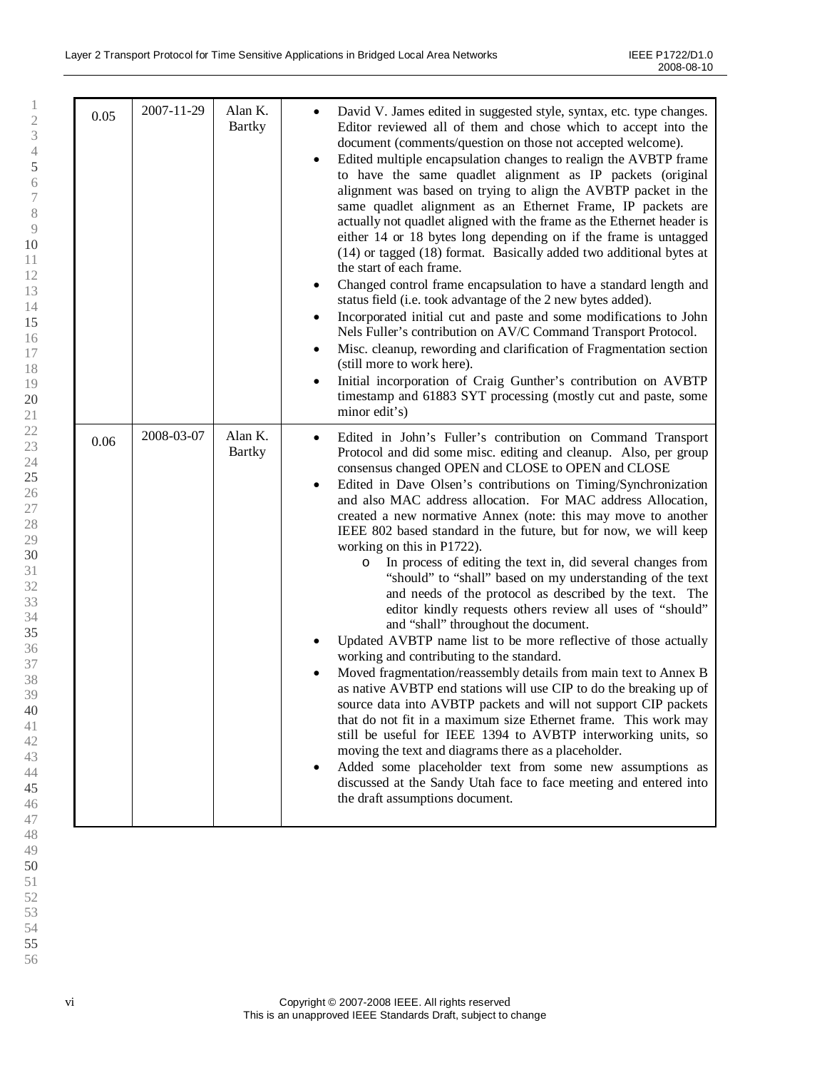| 0.05 | 2007-11-29 | Alan K.<br><b>Bartky</b> | David V. James edited in suggested style, syntax, etc. type changes.<br>Editor reviewed all of them and chose which to accept into the<br>document (comments/question on those not accepted welcome).<br>Edited multiple encapsulation changes to realign the AVBTP frame<br>to have the same quadlet alignment as IP packets (original<br>alignment was based on trying to align the AVBTP packet in the<br>same quadlet alignment as an Ethernet Frame, IP packets are<br>actually not quadlet aligned with the frame as the Ethernet header is<br>either 14 or 18 bytes long depending on if the frame is untagged<br>(14) or tagged (18) format. Basically added two additional bytes at<br>the start of each frame.<br>Changed control frame encapsulation to have a standard length and<br>٠<br>status field (i.e. took advantage of the 2 new bytes added).<br>Incorporated initial cut and paste and some modifications to John<br>٠<br>Nels Fuller's contribution on AV/C Command Transport Protocol.<br>Misc. cleanup, rewording and clarification of Fragmentation section<br>٠<br>(still more to work here).<br>Initial incorporation of Craig Gunther's contribution on AVBTP<br>timestamp and 61883 SYT processing (mostly cut and paste, some<br>minor edit's)                                                                                                                                                                                                                  |
|------|------------|--------------------------|------------------------------------------------------------------------------------------------------------------------------------------------------------------------------------------------------------------------------------------------------------------------------------------------------------------------------------------------------------------------------------------------------------------------------------------------------------------------------------------------------------------------------------------------------------------------------------------------------------------------------------------------------------------------------------------------------------------------------------------------------------------------------------------------------------------------------------------------------------------------------------------------------------------------------------------------------------------------------------------------------------------------------------------------------------------------------------------------------------------------------------------------------------------------------------------------------------------------------------------------------------------------------------------------------------------------------------------------------------------------------------------------------------------------------------------------------------------------------------------------|
| 0.06 | 2008-03-07 | Alan K.<br><b>Bartky</b> | Edited in John's Fuller's contribution on Command Transport<br>Protocol and did some misc. editing and cleanup. Also, per group<br>consensus changed OPEN and CLOSE to OPEN and CLOSE<br>Edited in Dave Olsen's contributions on Timing/Synchronization<br>and also MAC address allocation. For MAC address Allocation,<br>created a new normative Annex (note: this may move to another<br>IEEE 802 based standard in the future, but for now, we will keep<br>working on this in P1722).<br>In process of editing the text in, did several changes from<br>$\circ$<br>"should" to "shall" based on my understanding of the text<br>and needs of the protocol as described by the text. The<br>editor kindly requests others review all uses of "should"<br>and "shall" throughout the document.<br>Updated AVBTP name list to be more reflective of those actually<br>working and contributing to the standard.<br>Moved fragmentation/reassembly details from main text to Annex B<br>as native AVBTP end stations will use CIP to do the breaking up of<br>source data into AVBTP packets and will not support CIP packets<br>that do not fit in a maximum size Ethernet frame. This work may<br>still be useful for IEEE 1394 to AVBTP interworking units, so<br>moving the text and diagrams there as a placeholder.<br>Added some placeholder text from some new assumptions as<br>discussed at the Sandy Utah face to face meeting and entered into<br>the draft assumptions document. |

vi Copyright © 2007-2008 IEEE. All rights reserved This is an unapproved IEEE Standards Draft, subject to change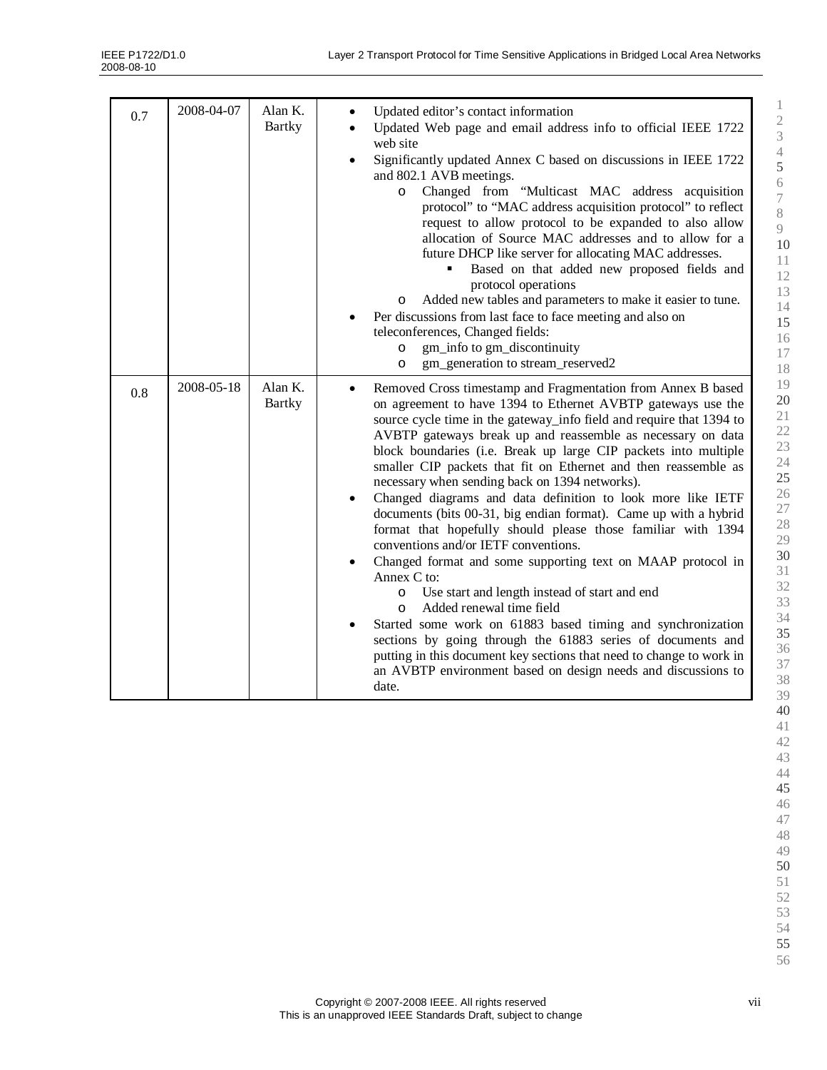| 0.7 | 2008-04-07 | Alan K.<br><b>Bartky</b> | Updated editor's contact information<br>$\bullet$<br>Updated Web page and email address info to official IEEE 1722<br>web site<br>Significantly updated Annex C based on discussions in IEEE 1722<br>$\bullet$<br>and 802.1 AVB meetings.<br>Changed from "Multicast MAC address acquisition<br>$\circ$<br>protocol" to "MAC address acquisition protocol" to reflect<br>request to allow protocol to be expanded to also allow<br>allocation of Source MAC addresses and to allow for a<br>future DHCP like server for allocating MAC addresses.<br>Based on that added new proposed fields and<br>٠<br>protocol operations<br>Added new tables and parameters to make it easier to tune.<br>O<br>Per discussions from last face to face meeting and also on<br>teleconferences, Changed fields:<br>gm_info to gm_discontinuity<br>$\circ$<br>gm_generation to stream_reserved2<br>$\circ$                                                                                                                                                                                                                                                                                                                                 |
|-----|------------|--------------------------|-----------------------------------------------------------------------------------------------------------------------------------------------------------------------------------------------------------------------------------------------------------------------------------------------------------------------------------------------------------------------------------------------------------------------------------------------------------------------------------------------------------------------------------------------------------------------------------------------------------------------------------------------------------------------------------------------------------------------------------------------------------------------------------------------------------------------------------------------------------------------------------------------------------------------------------------------------------------------------------------------------------------------------------------------------------------------------------------------------------------------------------------------------------------------------------------------------------------------------|
| 0.8 | 2008-05-18 | Alan K.<br><b>Bartky</b> | Removed Cross timestamp and Fragmentation from Annex B based<br>$\bullet$<br>on agreement to have 1394 to Ethernet AVBTP gateways use the<br>source cycle time in the gateway_info field and require that 1394 to<br>AVBTP gateways break up and reassemble as necessary on data<br>block boundaries (i.e. Break up large CIP packets into multiple<br>smaller CIP packets that fit on Ethernet and then reassemble as<br>necessary when sending back on 1394 networks).<br>Changed diagrams and data definition to look more like IETF<br>$\bullet$<br>documents (bits 00-31, big endian format). Came up with a hybrid<br>format that hopefully should please those familiar with 1394<br>conventions and/or IETF conventions.<br>Changed format and some supporting text on MAAP protocol in<br>$\bullet$<br>Annex C to:<br>Use start and length instead of start and end<br>$\circ$<br>Added renewal time field<br>$\circ$<br>Started some work on 61883 based timing and synchronization<br>$\bullet$<br>sections by going through the 61883 series of documents and<br>putting in this document key sections that need to change to work in<br>an AVBTP environment based on design needs and discussions to<br>date. |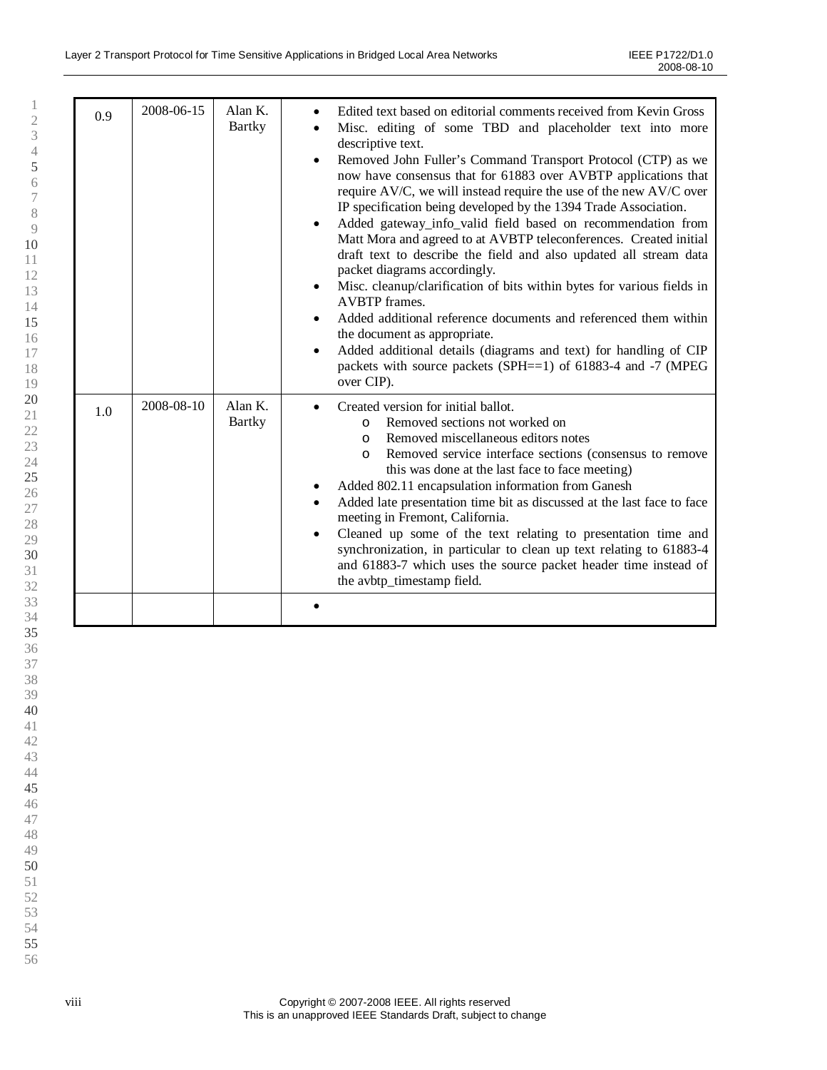| 2008-06-15<br>0.9 | Alan K.<br><b>Bartky</b>   | Edited text based on editorial comments received from Kevin Gross<br>Misc. editing of some TBD and placeholder text into more<br>descriptive text.<br>Removed John Fuller's Command Transport Protocol (CTP) as we<br>now have consensus that for 61883 over AVBTP applications that<br>require AV/C, we will instead require the use of the new AV/C over<br>IP specification being developed by the 1394 Trade Association.<br>Added gateway_info_valid field based on recommendation from<br>Matt Mora and agreed to at AVBTP teleconferences. Created initial<br>draft text to describe the field and also updated all stream data<br>packet diagrams accordingly.<br>Misc. cleanup/clarification of bits within bytes for various fields in<br><b>AVBTP</b> frames.<br>Added additional reference documents and referenced them within<br>the document as appropriate.<br>Added additional details (diagrams and text) for handling of CIP<br>packets with source packets (SPH==1) of 61883-4 and -7 (MPEG<br>over CIP). |
|-------------------|----------------------------|-------------------------------------------------------------------------------------------------------------------------------------------------------------------------------------------------------------------------------------------------------------------------------------------------------------------------------------------------------------------------------------------------------------------------------------------------------------------------------------------------------------------------------------------------------------------------------------------------------------------------------------------------------------------------------------------------------------------------------------------------------------------------------------------------------------------------------------------------------------------------------------------------------------------------------------------------------------------------------------------------------------------------------|
| 2008-08-10<br>1.0 | Alan $K1$<br><b>Bartky</b> | Created version for initial ballot.<br>Removed sections not worked on<br>$\circ$<br>Removed miscellaneous editors notes<br>$\circ$<br>Removed service interface sections (consensus to remove<br>$\Omega$<br>this was done at the last face to face meeting)<br>Added 802.11 encapsulation information from Ganesh<br>Added late presentation time bit as discussed at the last face to face<br>meeting in Fremont, California.<br>Cleaned up some of the text relating to presentation time and<br>synchronization, in particular to clean up text relating to 61883-4<br>and 61883-7 which uses the source packet header time instead of<br>the avbtp_timestamp field.                                                                                                                                                                                                                                                                                                                                                      |

1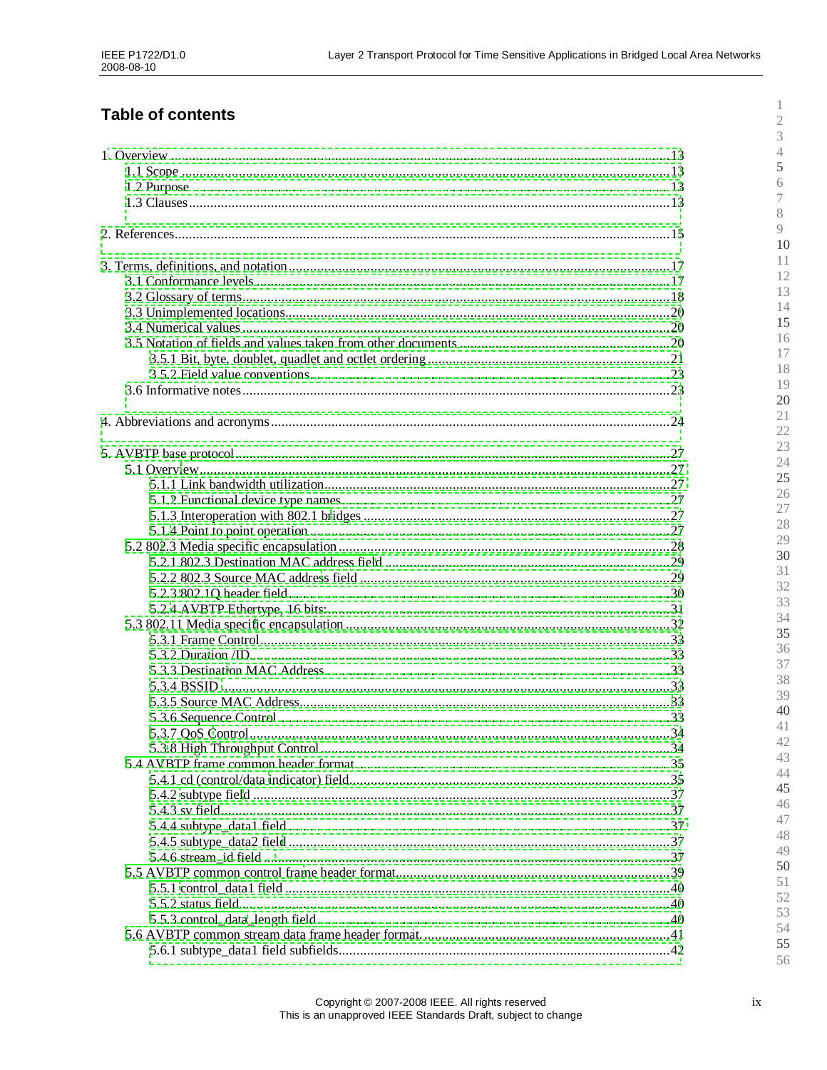# **Table of contents**

|  | 4             |
|--|---------------|
|  | 5             |
|  | 6             |
|  | 7             |
|  | $8\,$         |
|  | $\circ$<br>10 |
|  | 11<br>12      |
|  | 13            |
|  | 14            |
|  | 15            |
|  | 16            |
|  | 17            |
|  | 18            |
|  | 19            |
|  | 20            |
|  | 21            |
|  | 22            |
|  | 23            |
|  | 24            |
|  | 25            |
|  | 26            |
|  | 27            |
|  | 28            |
|  | 29            |
|  | 30            |
|  | 31            |
|  | 32            |
|  | 33            |
|  | 34            |
|  | 35            |
|  | 36            |
|  | 37            |
|  | 38            |
|  | 39            |
|  | 40            |
|  | 41            |
|  | 42            |
|  | 43            |
|  | 44            |
|  | 45            |
|  | 46            |
|  | 47            |
|  | 48            |
|  | 49            |
|  | 50            |
|  | 51            |
|  | 52            |
|  | 53            |
|  | 54            |
|  | 55            |

 $\,1\,$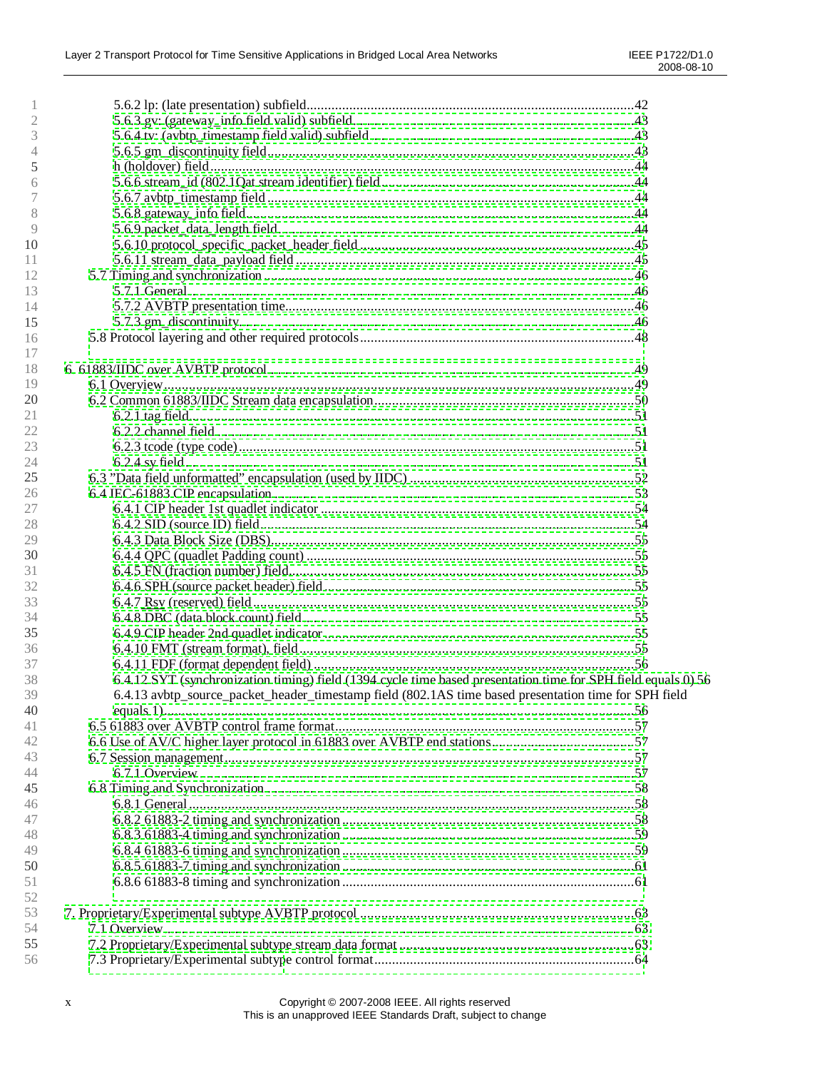| 2  |                                                                                                               |  |
|----|---------------------------------------------------------------------------------------------------------------|--|
| 3  |                                                                                                               |  |
| 4  |                                                                                                               |  |
| 5  |                                                                                                               |  |
| 6  |                                                                                                               |  |
|    |                                                                                                               |  |
| 8  |                                                                                                               |  |
|    |                                                                                                               |  |
| 9  |                                                                                                               |  |
| 10 |                                                                                                               |  |
| 11 |                                                                                                               |  |
| 12 |                                                                                                               |  |
| 13 |                                                                                                               |  |
| 14 |                                                                                                               |  |
| 15 |                                                                                                               |  |
| 16 |                                                                                                               |  |
| 17 |                                                                                                               |  |
|    |                                                                                                               |  |
| 18 |                                                                                                               |  |
| 19 |                                                                                                               |  |
| 20 |                                                                                                               |  |
| 21 |                                                                                                               |  |
| 22 |                                                                                                               |  |
| 23 |                                                                                                               |  |
| 24 |                                                                                                               |  |
| 25 |                                                                                                               |  |
| 26 |                                                                                                               |  |
| 27 |                                                                                                               |  |
| 28 |                                                                                                               |  |
|    |                                                                                                               |  |
| 29 |                                                                                                               |  |
| 30 |                                                                                                               |  |
| 31 |                                                                                                               |  |
| 32 |                                                                                                               |  |
| 33 |                                                                                                               |  |
| 34 |                                                                                                               |  |
| 35 |                                                                                                               |  |
| 36 |                                                                                                               |  |
| 37 |                                                                                                               |  |
| 38 | 6.4.12 SYT (synchronization timing) field (1394 cycle time based presentation time for SPH field equals 0) 56 |  |
| 39 |                                                                                                               |  |
|    | 6.4.13 avbtp_source_packet_header_timestamp field (802.1AS time based presentation time for SPH field         |  |
| 40 |                                                                                                               |  |
| 41 |                                                                                                               |  |
| 42 |                                                                                                               |  |
| 43 |                                                                                                               |  |
| 44 |                                                                                                               |  |
| 45 |                                                                                                               |  |
| 46 |                                                                                                               |  |
| 47 |                                                                                                               |  |
| 48 |                                                                                                               |  |
| 49 |                                                                                                               |  |
|    |                                                                                                               |  |
| 50 |                                                                                                               |  |
| 51 |                                                                                                               |  |
| 52 |                                                                                                               |  |
| 53 |                                                                                                               |  |
| 54 |                                                                                                               |  |
| 55 |                                                                                                               |  |
| 56 |                                                                                                               |  |
|    |                                                                                                               |  |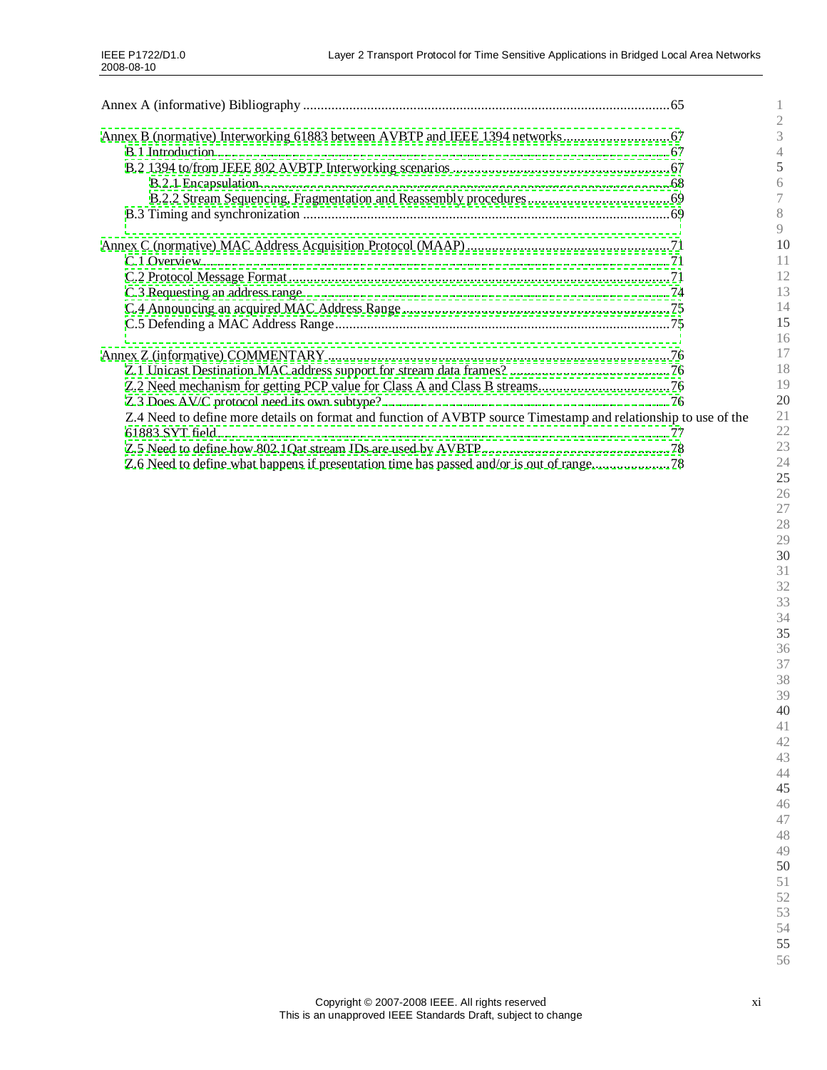|                                                                                                                 | 3             |
|-----------------------------------------------------------------------------------------------------------------|---------------|
|                                                                                                                 |               |
|                                                                                                                 | 5             |
|                                                                                                                 | h             |
|                                                                                                                 |               |
|                                                                                                                 | 8             |
|                                                                                                                 | $\mathcal{Q}$ |
|                                                                                                                 | 10            |
|                                                                                                                 | 11            |
|                                                                                                                 | 12            |
|                                                                                                                 | 13            |
|                                                                                                                 | 14            |
|                                                                                                                 | 15            |
|                                                                                                                 | 16            |
|                                                                                                                 | 17            |
|                                                                                                                 | 18            |
|                                                                                                                 | 19            |
|                                                                                                                 | 20            |
| Z.4 Need to define more details on format and function of AVBTP source Timestamp and relationship to use of the | 21            |
|                                                                                                                 | 22            |
|                                                                                                                 | 23            |
| Z.6 Need to define what happens if presentation time has passed and/or is out of range78                        | 24            |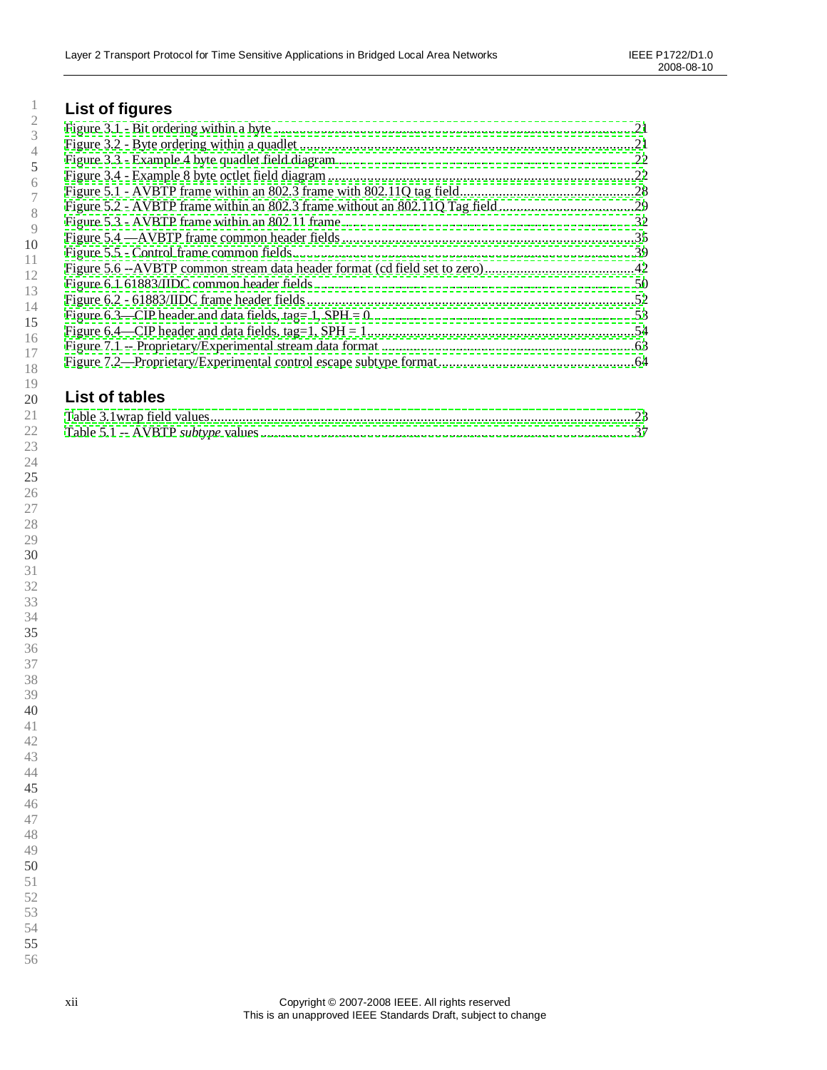# **List of figures**

# **List of tables**

xii Copyright © 2007-2008 IEEE. All rights reserved This is an unapproved IEEE Standards Draft, subject to change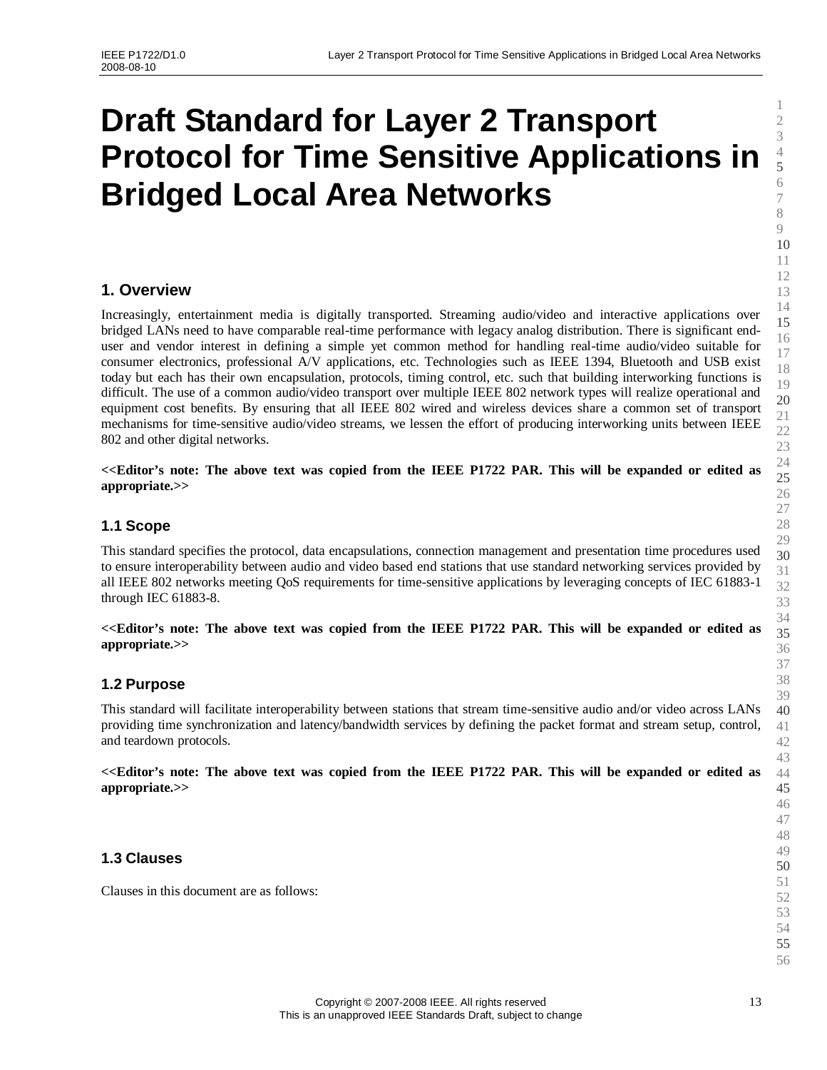# <span id="page-12-1"></span><span id="page-12-0"></span>**Draft Standard for Layer 2 Transport Protocol for Time Sensitive Applications in Bridged Local Area Networks**

### **1. Overview**

Increasingly, entertainment media is digitally transported. Streaming audio/video and interactive applications over bridged LANs need to have comparable real-time performance with legacy analog distribution. There is significant enduser and vendor interest in defining a simple yet common method for handling real-time audio/video suitable for consumer electronics, professional A/V applications, etc. Technologies such as IEEE 1394, Bluetooth and USB exist today but each has their own encapsulation, protocols, timing control, etc. such that building interworking functions is difficult. The use of a common audio/video transport over multiple IEEE 802 network types will realize operational and equipment cost benefits. By ensuring that all IEEE 802 wired and wireless devices share a common set of transport mechanisms for time-sensitive audio/video streams, we lessen the effort of producing interworking units between IEEE 802 and other digital networks.

**<<Editor's note: The above text was copied from the IEEE P1722 PAR. This will be expanded or edited as appropriate.>>**

#### **1.1 Scope**

This standard specifies the protocol, data encapsulations, connection management and presentation time procedures used to ensure interoperability between audio and video based end stations that use standard networking services provided by all IEEE 802 networks meeting QoS requirements for time-sensitive applications by leveraging concepts of IEC 61883-1 through IEC 61883-8.

**<<Editor's note: The above text was copied from the IEEE P1722 PAR. This will be expanded or edited as appropriate.>>**

#### **1.2 Purpose**

This standard will facilitate interoperability between stations that stream time-sensitive audio and/or video across LANs providing time synchronization and latency/bandwidth services by defining the packet format and stream setup, control, and teardown protocols.

**<<Editor's note: The above text was copied from the IEEE P1722 PAR. This will be expanded or edited as appropriate.>>**

#### **1.3 Clauses**

Clauses in this document are as follows: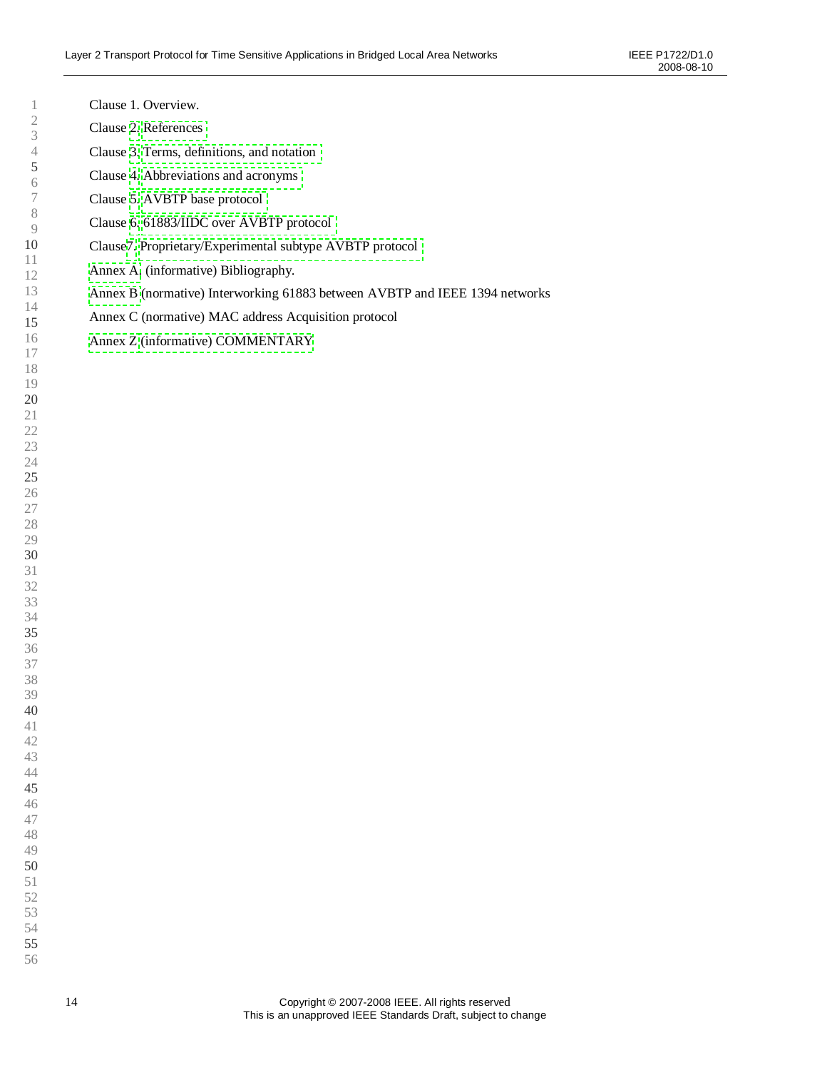| $\mathbf{1}$                  | Clause 1. Overview.                                                         |
|-------------------------------|-----------------------------------------------------------------------------|
| $\mathbf{2}$<br>3             | Clause 2. References                                                        |
| $\ensuremath{\mathnormal{4}}$ | Clause 3. Terms, definitions, and notation                                  |
| 5                             | Clause 4. Abbreviations and acronyms                                        |
| $\sqrt{6}$<br>$\tau$          | Clause 5. AVBTP base protocol                                               |
| $\,$ $\,$                     |                                                                             |
| $\overline{9}$                | Clause 6. 61883/IIDC over AVBTP protocol                                    |
| 10<br>11                      | Clause7. Proprietary/Experimental subtype AVBTP protocol                    |
| 12                            | Annex A. (informative) Bibliography.                                        |
| 13<br>14                      | Annex B (normative) Interworking 61883 between AVBTP and IEEE 1394 networks |
| 15                            | Annex C (normative) MAC address Acquisition protocol                        |
| 16                            | Annex Z (informative) COMMENTARY                                            |
| 17<br>18                      |                                                                             |
| 19                            |                                                                             |
| 20                            |                                                                             |
| 21<br>$22\,$                  |                                                                             |
| 23                            |                                                                             |
| 24                            |                                                                             |
| 25<br>26                      |                                                                             |
| 27                            |                                                                             |
| $28\,$                        |                                                                             |
| 29<br>30                      |                                                                             |
| 31                            |                                                                             |
| 32                            |                                                                             |
| 33<br>34                      |                                                                             |
| 35                            |                                                                             |
| 36                            |                                                                             |
| 37<br>38                      |                                                                             |
| 39                            |                                                                             |
| 40                            |                                                                             |
| 41<br>42                      |                                                                             |
| 43                            |                                                                             |
| 44<br>45                      |                                                                             |
| 46                            |                                                                             |
| 47                            |                                                                             |
| 48<br>49                      |                                                                             |
| 50                            |                                                                             |
| $51\,$                        |                                                                             |
| 52<br>53                      |                                                                             |
| 54                            |                                                                             |
| 55                            |                                                                             |
| 56                            |                                                                             |

$$
1^{\prime}
$$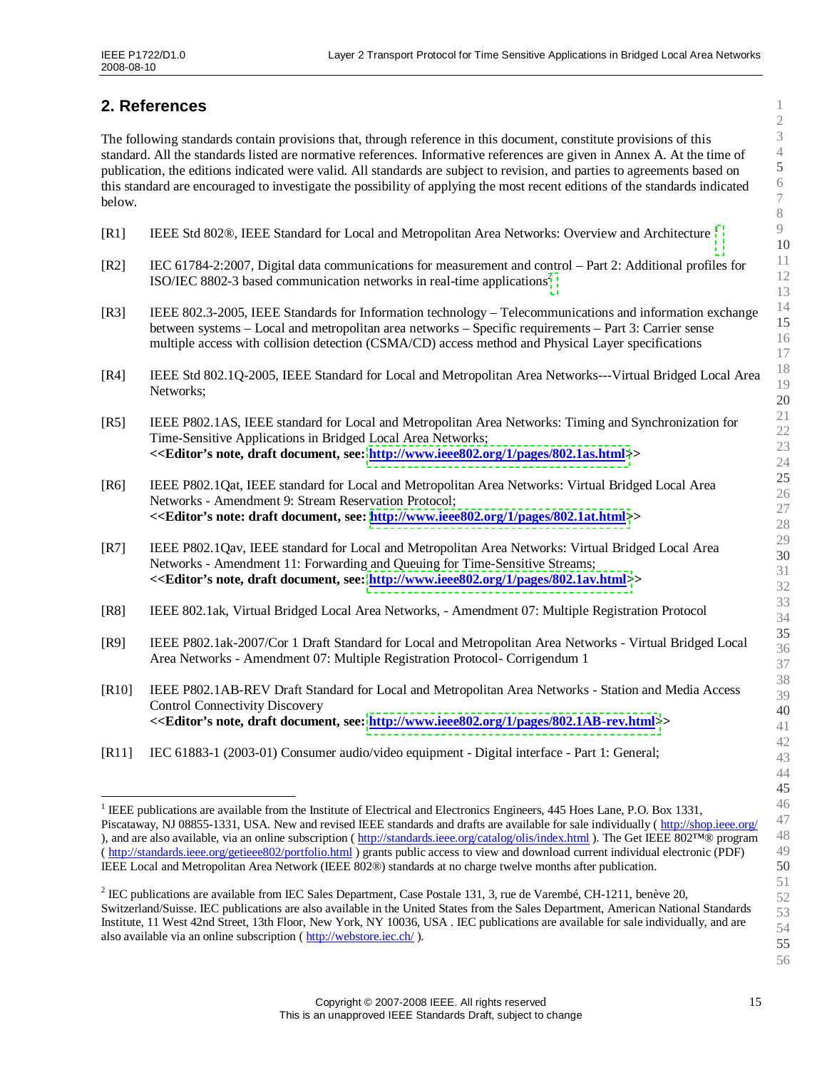## <span id="page-14-0"></span>**2. References**

The following standards contain provisions that, through reference in this document, constitute provisions of this standard. All the standards listed are normative references. Informative references are given in Annex A. At the time of publication, the editions indicated were valid. All standards are subject to revision, and parties to agreements based on this standard are encouraged to investigate the possibility of applying the most recent editions of the standards indicated below.

- [R[1](#page-14-1)] IEEE Std 802®, IEEE Standard for Local and Metropolitan Area Networks: Overview and Architecture <sup>1</sup>
- [R2] IEC 61784-2:2007, Digital data communications for measurement and control –Part 2: Additional profiles for ISO/IEC 8802-3 based communication networks in real-time applications[2](#page-14-2)
- [R3] IEEE 802.3-2005, IEEE Standards for Information technology –Telecommunications and information exchange between systems – Local and metropolitan area networks – Specific requirements – Part 3: Carrier sense multiple access with collision detection (CSMA/CD) access method and Physical Layer specifications
- [R4] IEEE Std 802.1Q-2005, IEEE Standard for Local and Metropolitan Area Networks---Virtual Bridged Local Area Networks;
- [R5] IEEE P802.1AS, IEEE standard for Local and Metropolitan Area Networks: Timing and Synchronization for Time-Sensitive Applications in Bridged Local Area Networks; **<<Editor's note, draft document, see: [http://www.ieee802.org/1/pages/802.1as.html>](http://www.ieee802.org/1/pages/802.1as.html)>**
- [R6] IEEE P802.1Qat, IEEE standard for Local and Metropolitan Area Networks: Virtual Bridged Local Area Networks - Amendment 9: Stream Reservation Protocol; **<<Editor's note: draft document, see: [http://www.ieee802.org/1/pages/802.1at.html>](http://www.ieee802.org/1/pages/802.1at.html)>**
- [R7] IEEE P802.1Qav, IEEE standard for Local and Metropolitan Area Networks: Virtual Bridged Local Area Networks - Amendment 11: Forwarding and Queuing for Time-Sensitive Streams; **<<Editor's note, draft document, see: [http://www.ieee802.org/1/pages/802.1av.html>](http://www.ieee802.org/1/pages/802.1av.html)>**
- [R8] IEEE 802.1ak, Virtual Bridged Local Area Networks, Amendment 07: Multiple Registration Protocol
- [R9] IEEE P802.1ak-2007/Cor 1 Draft Standard for Local and Metropolitan Area Networks Virtual Bridged Local Area Networks - Amendment 07: Multiple Registration Protocol- Corrigendum 1
- [R10] IEEE P802.1AB-REV Draft Standard for Local and Metropolitan Area Networks Station and Media Access Control Connectivity Discovery **<<Editor's note, draft document, see: [http://www.ieee802.org/1/pages/802.1AB-rev.html>](http://www.ieee802.org/1/pages/802.1AB-rev.html)>**
- [R11] IEC 61883-1 (2003-01) Consumer audio/video equipment Digital interface Part 1: General;

<span id="page-14-1"></span><sup>1</sup> IEEE publications are available from the Institute of Electrical and Electronics Engineers, 445 Hoes Lane, P.O. Box 1331, Piscataway, NJ 08855-1331, USA. New and revised IEEE standards and drafts are available for sale individually ( http://shop.ieee.org/ ), and are also available, via an online subscription ( http://standards.ieee.org/catalog/olis/index.html ). The Get IEEE 802™® program ( http://standards.ieee.org/getieee802/portfolio.html ) grants public access to view and download current individual electronic (PDF) IEEE Local and Metropolitan Area Network (IEEE 802®) standards at no charge twelve months after publication.

<span id="page-14-2"></span><sup>2</sup> IEC publications are available from IEC Sales Department, Case Postale 131, 3, rue de Varembé, CH-1211, benève 20, Switzerland/Suisse. IEC publications are also available in the United States from the Sales Department, American National Standards Institute, 11 West 42nd Street, 13th Floor, New York, NY 10036, USA . IEC publications are available for sale individually, and are also available via an online subscription ( http://webstore.iec.ch/ ).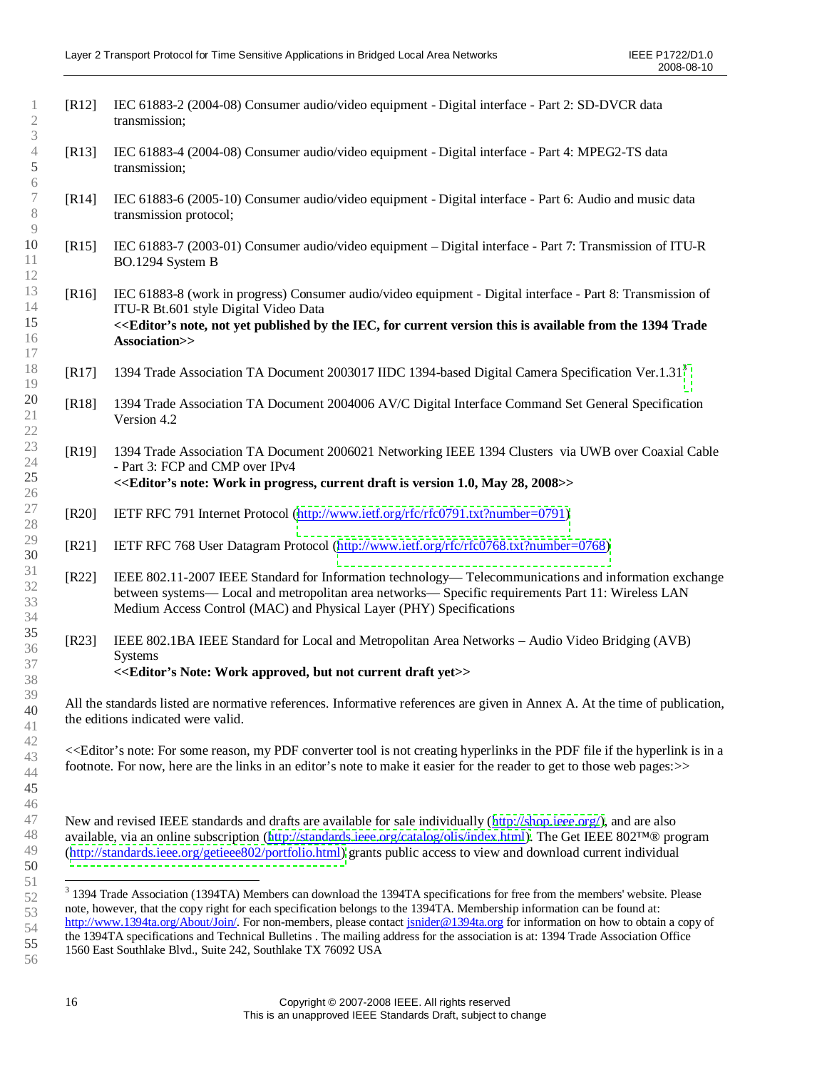<span id="page-15-1"></span>

| $[R12]$ | IEC 61883-2 (2004-08) Consumer audio/video equipment - Digital interface - Part 2: SD-DVCR data<br>transmission;                                                                                                                                                                                                                                                                 |
|---------|----------------------------------------------------------------------------------------------------------------------------------------------------------------------------------------------------------------------------------------------------------------------------------------------------------------------------------------------------------------------------------|
| $[R13]$ | IEC 61883-4 (2004-08) Consumer audio/video equipment - Digital interface - Part 4: MPEG2-TS data<br>transmission;                                                                                                                                                                                                                                                                |
| $[R14]$ | IEC 61883-6 (2005-10) Consumer audio/video equipment - Digital interface - Part 6: Audio and music data<br>transmission protocol;                                                                                                                                                                                                                                                |
| $[R15]$ | IEC 61883-7 (2003-01) Consumer audio/video equipment – Digital interface - Part 7: Transmission of ITU-R<br>BO.1294 System B                                                                                                                                                                                                                                                     |
| $[R16]$ | IEC 61883-8 (work in progress) Consumer audio/video equipment - Digital interface - Part 8: Transmission of<br>ITU-R Bt.601 style Digital Video Data<br><< <editor's 1394="" available="" by="" current="" for="" from="" iec,="" is="" not="" note,="" published="" the="" this="" trade<br="" version="" yet="">Association&gt;&gt;</editor's>                                 |
| $[R17]$ | 1394 Trade Association TA Document 2003017 IIDC 1394-based Digital Camera Specification Ver.1.31 <sup>3</sup>                                                                                                                                                                                                                                                                    |
| [R18]   | 1394 Trade Association TA Document 2004006 AV/C Digital Interface Command Set General Specification<br>Version 4.2                                                                                                                                                                                                                                                               |
| $[R19]$ | 1394 Trade Association TA Document 2006021 Networking IEEE 1394 Clusters via UWB over Coaxial Cable<br>- Part 3: FCP and CMP over IPv4<br>< <editor's 1.0,="" 2008="" 28,="" current="" draft="" in="" is="" may="" note:="" progress,="" version="" work="">&gt;</editor's>                                                                                                     |
| $[R20]$ | IETF RFC 791 Internet Protocol (http://www.ietf.org/rfc/rfc0791.txt?number=0791)                                                                                                                                                                                                                                                                                                 |
| [R21]   | IETF RFC 768 User Datagram Protocol (http://www.ietf.org/rfc/rfc0768.txt?number=0768)                                                                                                                                                                                                                                                                                            |
| $[R22]$ | IEEE 802.11-2007 IEEE Standard for Information technology— Telecommunications and information exchange<br>between systems— Local and metropolitan area networks— Specific requirements Part 11: Wireless LAN<br>Medium Access Control (MAC) and Physical Layer (PHY) Specifications                                                                                              |
| $[R23]$ | IEEE 802.1BA IEEE Standard for Local and Metropolitan Area Networks - Audio Video Bridging (AVB)<br><b>Systems</b><br>< <editor's approved,="" but="" current="" draft="" not="" note:="" work="" yet="">&gt;</editor's>                                                                                                                                                         |
|         | All the standards listed are normative references. Informative references are given in Annex A. At the time of publication,<br>the editions indicated were valid.                                                                                                                                                                                                                |
|         | << <editor's a<br="" converter="" creating="" file="" for="" hyperlink="" hyperlinks="" if="" in="" is="" my="" not="" note:="" pdf="" reason,="" some="" the="" tool="">footnote. For now, here are the links in an editor's note to make it easier for the reader to get to those web pages:&gt;&gt;</editor's>                                                                |
|         | New and revised IEEE standards and drafts are available for sale individually (http://shop.ieee.org/), and are also<br>available, via an online subscription (http://standards.ieee.org/catalog/olis/index.html). The Get IEEE 802 <sup>TM</sup> ® program<br>(http://standards.ieee.org/getieee802/portfolio.html) grants public access to view and download current individual |

<span id="page-15-0"></span><sup>&</sup>lt;sup>3</sup> 1394 Trade Association (1394TA) Members can download the 1394TA specifications for free from the members' website. Please note, however, that the copy right for each specification belongs to the 1394TA. Membership information can be found at: http://www.1394ta.org/About/Join/. For non-members, please contact jsnider@1394ta.org for information on how to obtain a copy of the 1394TA specifications and Technical Bulletins . The mailing address for the association is at: 1394 Trade Association Office 1560 East Southlake Blvd., Suite 242, Southlake TX 76092 USA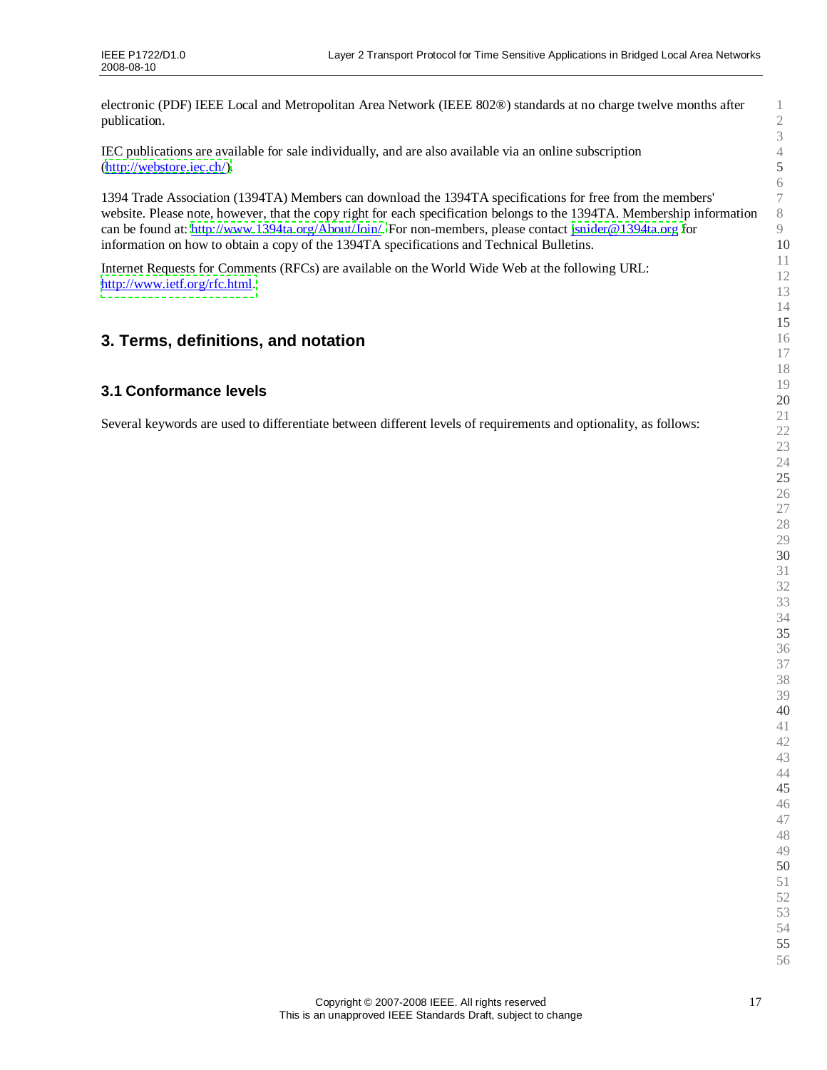<span id="page-16-1"></span><span id="page-16-0"></span>electronic (PDF) IEEE Local and Metropolitan Area Network (IEEE 802®) standards at no charge twelve months after publication.

IEC publications are available for sale individually, and are also available via an online subscription [\(http://webstore.iec.ch/\).](http://webstore.iec.ch/)

1394 Trade Association (1394TA) Members can download the 1394TA specifications for free from the members' website. Please note, however, that the copy right for each specification belongs to the 1394TA. Membership information can be found at: [http://www.1394ta.org/About/Join/.](http://www.1394ta.org/About/Join/) For non-members, please contact [jsnider@1394ta.org](mailto:jsnider@1394ta.org) for information on how to obtain a copy of the 1394TA specifications and Technical Bulletins.

Internet Requests for Comments (RFCs) are available on the World Wide Web at the following URL: [http://www.ietf.org/rfc.html.](http://www.ietf.org/rfc.html)

# **3. Terms, definitions, and notation**

#### **3.1 Conformance levels**

Several keywords are used to differentiate between different levels of requirements and optionality, as follows: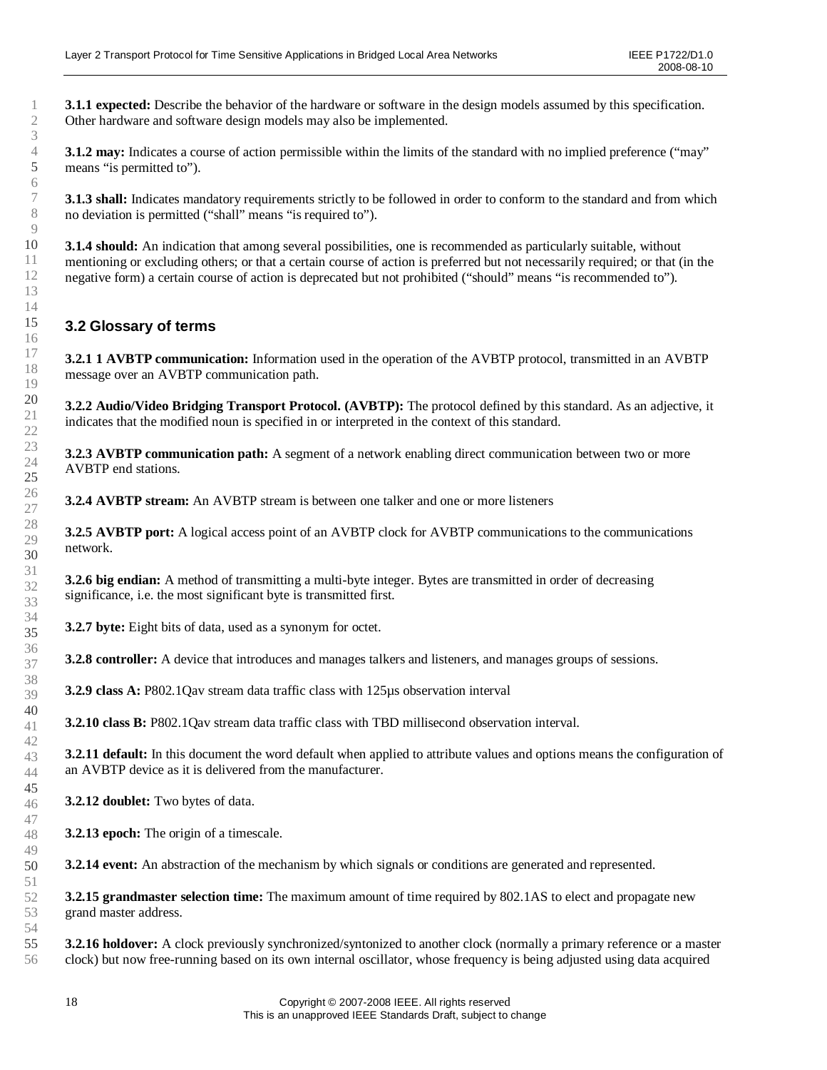<span id="page-17-0"></span>**3.1.1 expected:** Describe the behavior of the hardware or software in the design models assumed by this specification. Other hardware and software design models may also be implemented.

**3.1.2** may: Indicates a course of action permissible within the limits of the standard with no implied preference ("may" means "is permitted to").

**3.1.3 shall:** Indicates mandatory requirements strictly to be followed in order to conform to the standard and from which no deviation is permitted ("shall" means "is required to").

**3.1.4 should:** An indication that among several possibilities, one is recommended as particularly suitable, without mentioning or excluding others; or that a certain course of action is preferred but not necessarily required; or that (in the negative form) a certain course of action is deprecated but not prohibited ("should"means "is recommended to").

#### **3.2 Glossary of terms**

**3.2.1 1 AVBTP communication:** Information used in the operation of the AVBTP protocol, transmitted in an AVBTP message over an AVBTP communication path.

**3.2.2 Audio/Video Bridging Transport Protocol. (AVBTP):** The protocol defined by this standard. As an adjective, it indicates that the modified noun is specified in or interpreted in the context of this standard.

**3.2.3 AVBTP communication path:** A segment of a network enabling direct communication between two or more AVBTP end stations.

**3.2.4 AVBTP stream:** An AVBTP stream is between one talker and one or more listeners

**3.2.5 AVBTP port:** A logical access point of an AVBTP clock for AVBTP communications to the communications network.

**3.2.6 big endian:** A method of transmitting a multi-byte integer. Bytes are transmitted in order of decreasing significance, i.e. the most significant byte is transmitted first.

**3.2.7 byte:** Eight bits of data, used as a synonym for octet.

**3.2.8 controller:** A device that introduces and manages talkers and listeners, and manages groups of sessions.

**3.2.9 class A:** P802.1Qav stream data traffic class with 125µs observation interval

**3.2.10 class B:** P802.1Qav stream data traffic class with TBD millisecond observation interval.

**3.2.11 default:** In this document the word default when applied to attribute values and options means the configuration of an AVBTP device as it is delivered from the manufacturer.

**3.2.12 doublet:** Two bytes of data.

**3.2.13 epoch:** The origin of a timescale.

**3.2.14 event:** An abstraction of the mechanism by which signals or conditions are generated and represented.

**3.2.15 grandmaster selection time:** The maximum amount of time required by 802.1AS to elect and propagate new grand master address.

**3.2.16 holdover:** A clock previously synchronized/syntonized to another clock (normally a primary reference or a master clock) but now free-running based on its own internal oscillator, whose frequency is being adjusted using data acquired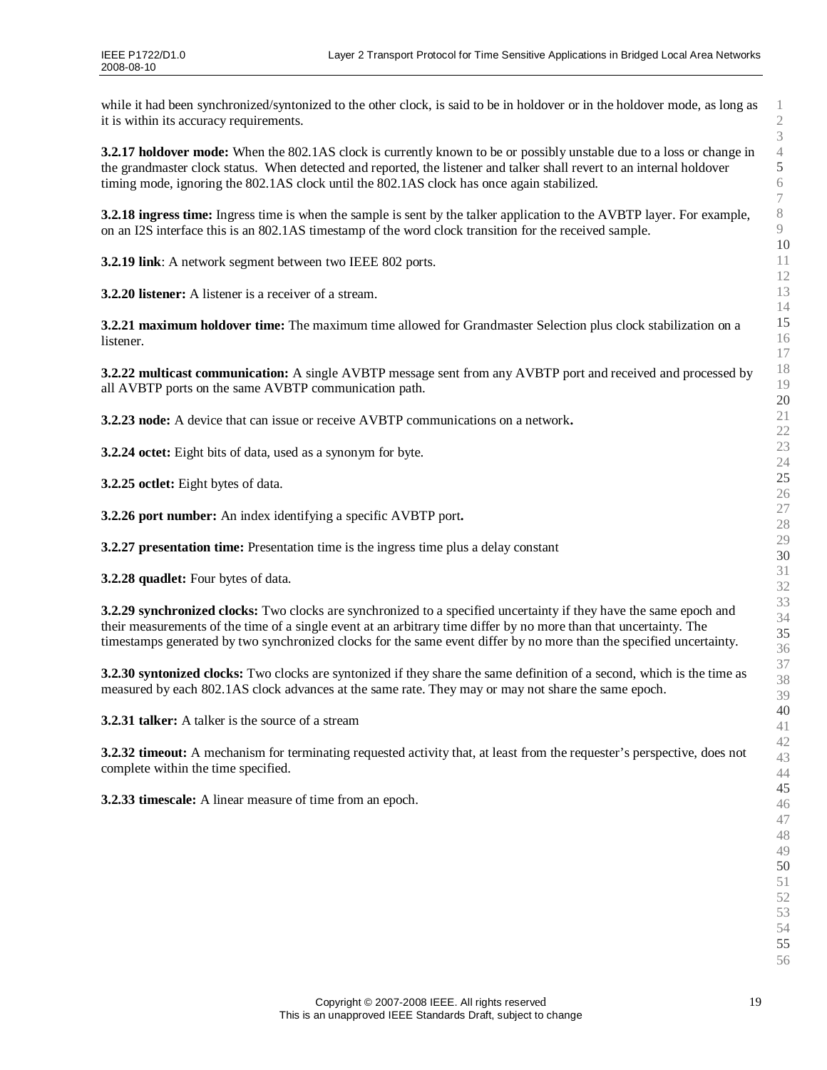while it had been synchronized/syntonized to the other clock, is said to be in holdover or in the holdover mode, as long as it is within its accuracy requirements.

**3.2.17 holdover mode:** When the 802.1AS clock is currently known to be or possibly unstable due to a loss or change in the grandmaster clock status. When detected and reported, the listener and talker shall revert to an internal holdover timing mode, ignoring the 802.1AS clock until the 802.1AS clock has once again stabilized.

**3.2.18 ingress time:** Ingress time is when the sample is sent by the talker application to the AVBTP layer. For example, on an I2S interface this is an 802.1AS timestamp of the word clock transition for the received sample.

**3.2.19 link**: A network segment between two IEEE 802 ports.

**3.2.20 listener:** A listener is a receiver of a stream.

**3.2.21 maximum holdover time:** The maximum time allowed for Grandmaster Selection plus clock stabilization on a listener.

**3.2.22 multicast communication:** A single AVBTP message sent from any AVBTP port and received and processed by all AVBTP ports on the same AVBTP communication path.

**3.2.23 node:** A device that can issue or receive AVBTP communications on a network**.**

**3.2.24 octet:** Eight bits of data, used as a synonym for byte.

**3.2.25 octlet:** Eight bytes of data.

**3.2.26 port number:** An index identifying a specific AVBTP port**.**

**3.2.27 presentation time:** Presentation time is the ingress time plus a delay constant

**3.2.28 quadlet:** Four bytes of data.

**3.2.29 synchronized clocks:** Two clocks are synchronized to a specified uncertainty if they have the same epoch and their measurements of the time of a single event at an arbitrary time differ by no more than that uncertainty. The timestamps generated by two synchronized clocks for the same event differ by no more than the specified uncertainty.

**3.2.30 syntonized clocks:** Two clocks are syntonized if they share the same definition of a second, which is the time as measured by each 802.1AS clock advances at the same rate. They may or may not share the same epoch.

**3.2.31 talker:** A talker is the source of a stream

**3.2.32 timeout:** A mechanism for terminating requested activity that, at least from the requester's perspective, does not complete within the time specified.

**3.2.33 timescale:** A linear measure of time from an epoch.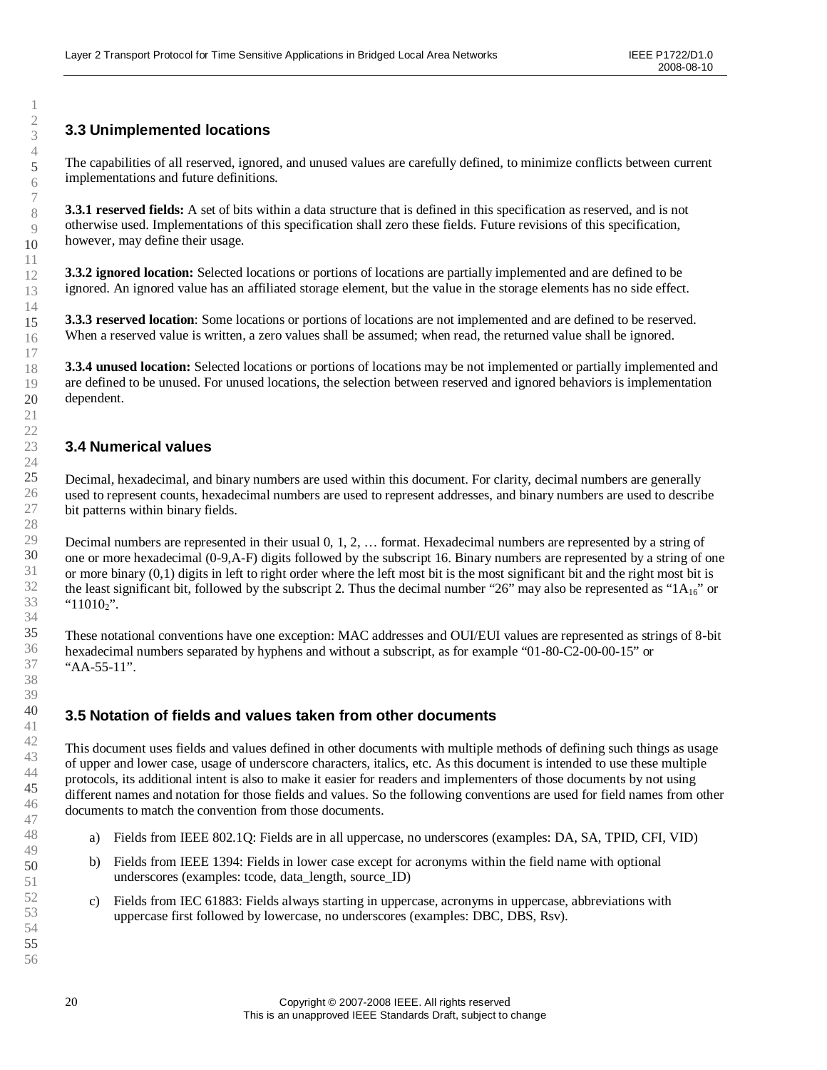## <span id="page-19-1"></span><span id="page-19-0"></span>**3.3 Unimplemented locations**

The capabilities of all reserved, ignored, and unused values are carefully defined, to minimize conflicts between current implementations and future definitions.

**3.3.1 reserved fields:** A set of bits within a data structure that is defined in this specification as reserved, and is not otherwise used. Implementations of this specification shall zero these fields. Future revisions of this specification, however, may define their usage.

**3.3.2 ignored location:** Selected locations or portions of locations are partially implemented and are defined to be ignored. An ignored value has an affiliated storage element, but the value in the storage elements has no side effect.

**3.3.3 reserved location**: Some locations or portions of locations are not implemented and are defined to be reserved. When a reserved value is written, a zero values shall be assumed; when read, the returned value shall be ignored.

**3.3.4 unused location:** Selected locations or portions of locations may be not implemented or partially implemented and are defined to be unused. For unused locations, the selection between reserved and ignored behaviors is implementation dependent.

#### **3.4 Numerical values**

Decimal, hexadecimal, and binary numbers are used within this document. For clarity, decimal numbers are generally used to represent counts, hexadecimal numbers are used to represent addresses, and binary numbers are used to describe bit patterns within binary fields.

Decimal numbers are represented in their usual 0, 1, 2, … format. Hexadecimal numbers are represented by a string of one or more hexadecimal (0-9,A-F) digits followed by the subscript 16. Binary numbers are represented by a string of one or more binary (0,1) digits in left to right order where the left most bit is the most significant bit and the right most bit is the least significant bit, followed by the subscript 2. Thus the decimal number "26" may also be represented as " $1A_{16}$ " or " $11010_2$ ".

These notational conventions have one exception: MAC addresses and OUI/EUI values are represented as strings of 8-bit hexadecimal numbers separated by hyphens and without a subscript, as for example "01-80-C2-00-00-15" or "AA-55-11".

#### **3.5 Notation of fields and values taken from other documents**

This document uses fields and values defined in other documents with multiple methods of defining such things as usage of upper and lower case, usage of underscore characters, italics, etc. As this document is intended to use these multiple protocols, its additional intent is also to make it easier for readers and implementers of those documents by not using different names and notation for those fields and values. So the following conventions are used for field names from other documents to match the convention from those documents.

- a) Fields from IEEE 802.1Q: Fields are in all uppercase, no underscores (examples: DA, SA, TPID, CFI, VID)
- b) Fields from IEEE 1394: Fields in lower case except for acronyms within the field name with optional underscores (examples: tcode, data\_length, source\_ID)
- c) Fields from IEC 61883: Fields always starting in uppercase, acronyms in uppercase, abbreviations with uppercase first followed by lowercase, no underscores (examples: DBC, DBS, Rsv).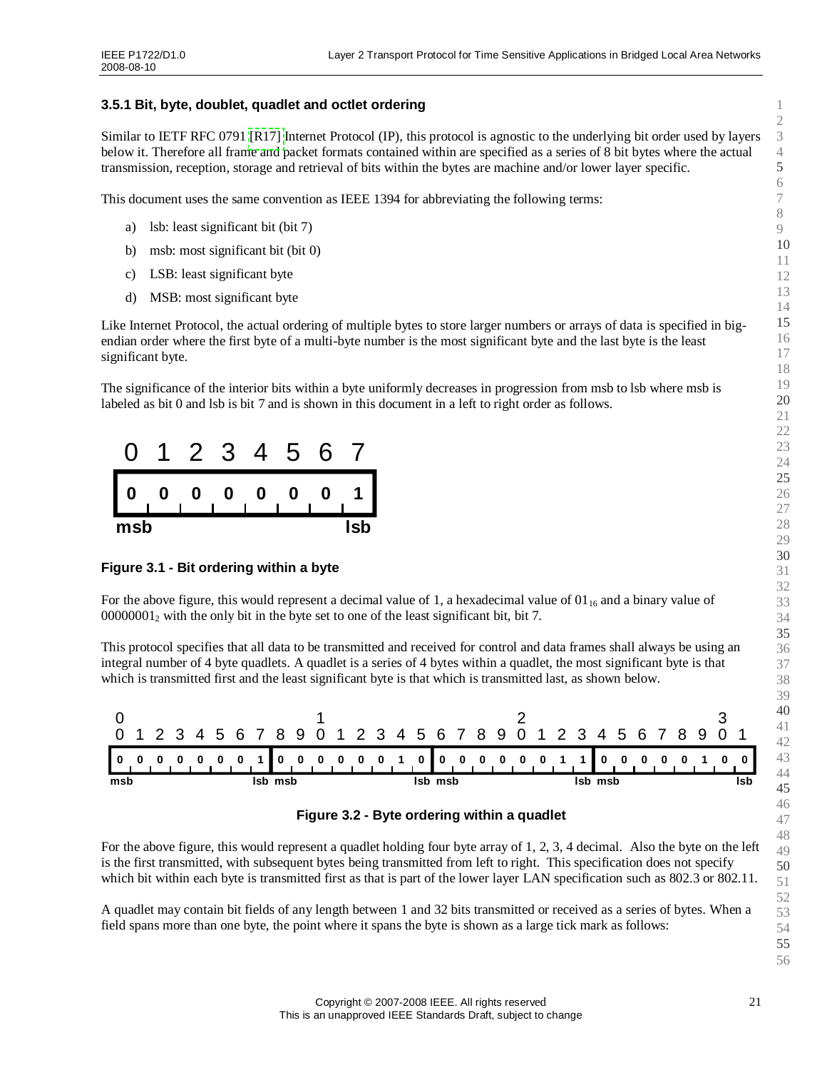#### <span id="page-20-2"></span><span id="page-20-1"></span>**3.5.1 Bit, byte, doublet, quadlet and octlet ordering**

<span id="page-20-0"></span>Similar to IETF RFC 0791 [\[R17\]](#page-15-1) Internet Protocol (IP), this protocol is agnostic to the underlying bit order used by layers below it. Therefore all frame and packet formats contained within are specified as a series of 8 bit bytes where the actual transmission, reception, storage and retrieval of bits within the bytes are machine and/or lower layer specific.

This document uses the same convention as IEEE 1394 for abbreviating the following terms:

- a) lsb: least significant bit (bit 7)
- b) msb: most significant bit (bit 0)
- c) LSB: least significant byte
- d) MSB: most significant byte

Like Internet Protocol, the actual ordering of multiple bytes to store larger numbers or arrays of data is specified in bigendian order where the first byte of a multi-byte number is the most significant byte and the last byte is the least significant byte.

The significance of the interior bits within a byte uniformly decreases in progression from msb to lsb where msb is labeled as bit 0 and lsb is bit 7 and is shown in this document in a left to right order as follows.





For the above figure, this would represent a decimal value of 1, a hexadecimal value of  $01_{16}$  and a binary value of  $00000001<sub>2</sub>$  with the only bit in the byte set to one of the least significant bit, bit 7.

This protocol specifies that all data to be transmitted and received for control and data frames shall always be using an integral number of 4 byte quadlets. A quadlet is a series of 4 bytes within a quadlet, the most significant byte is that which is transmitted first and the least significant byte is that which is transmitted last, as shown below.



**Figure 3.2 - Byte ordering within a quadlet**

For the above figure, this would represent a quadlet holding four byte array of 1, 2, 3, 4 decimal. Also the byte on the left is the first transmitted, with subsequent bytes being transmitted from left to right. This specification does not specify which bit within each byte is transmitted first as that is part of the lower layer LAN specification such as 802.3 or 802.11.

A quadlet may contain bit fields of any length between 1 and 32 bits transmitted or received as a series of bytes. When a field spans more than one byte, the point where it spans the byte is shown as a large tick mark as follows: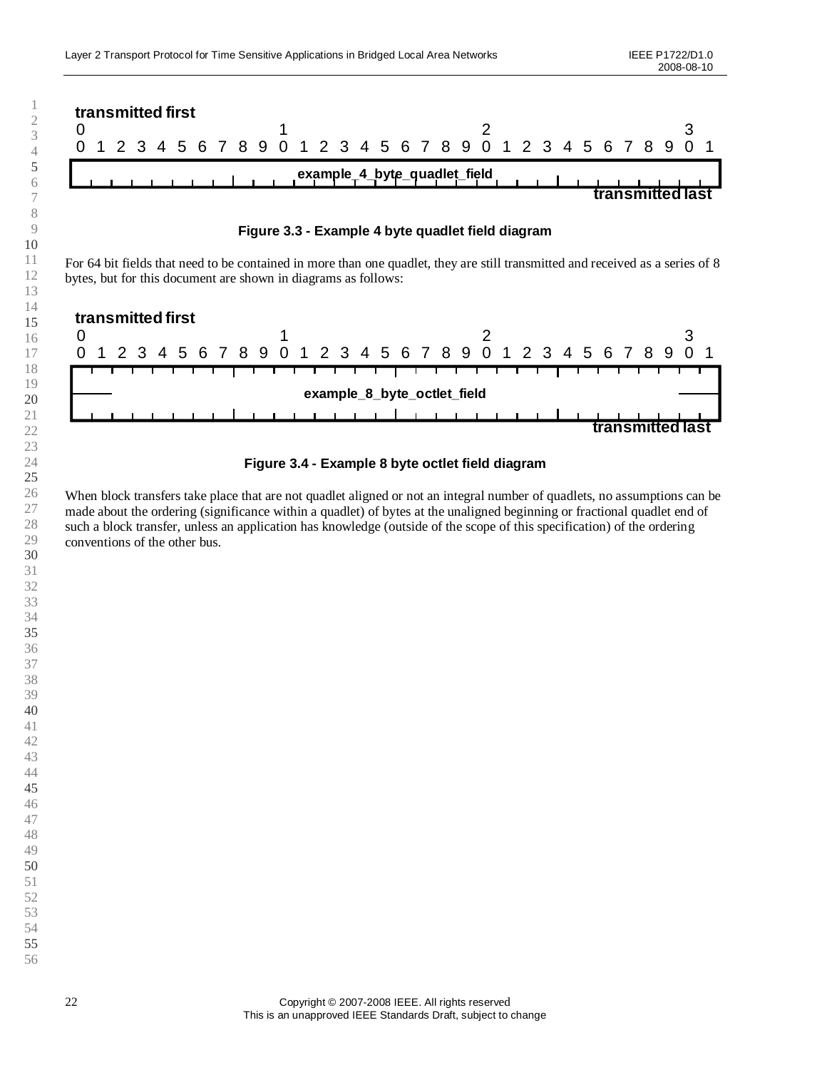

<span id="page-21-1"></span><span id="page-21-0"></span>**Figure 3.3 - Example 4 byte quadlet field diagram**

For 64 bit fields that need to be contained in more than one quadlet, they are still transmitted and received as a series of 8 bytes, but for this document are shown in diagrams as follows:





When block transfers take place that are not quadlet aligned or not an integral number of quadlets, no assumptions can be made about the ordering (significance within a quadlet) of bytes at the unaligned beginning or fractional quadlet end of such a block transfer, unless an application has knowledge (outside of the scope of this specification) of the ordering conventions of the other bus.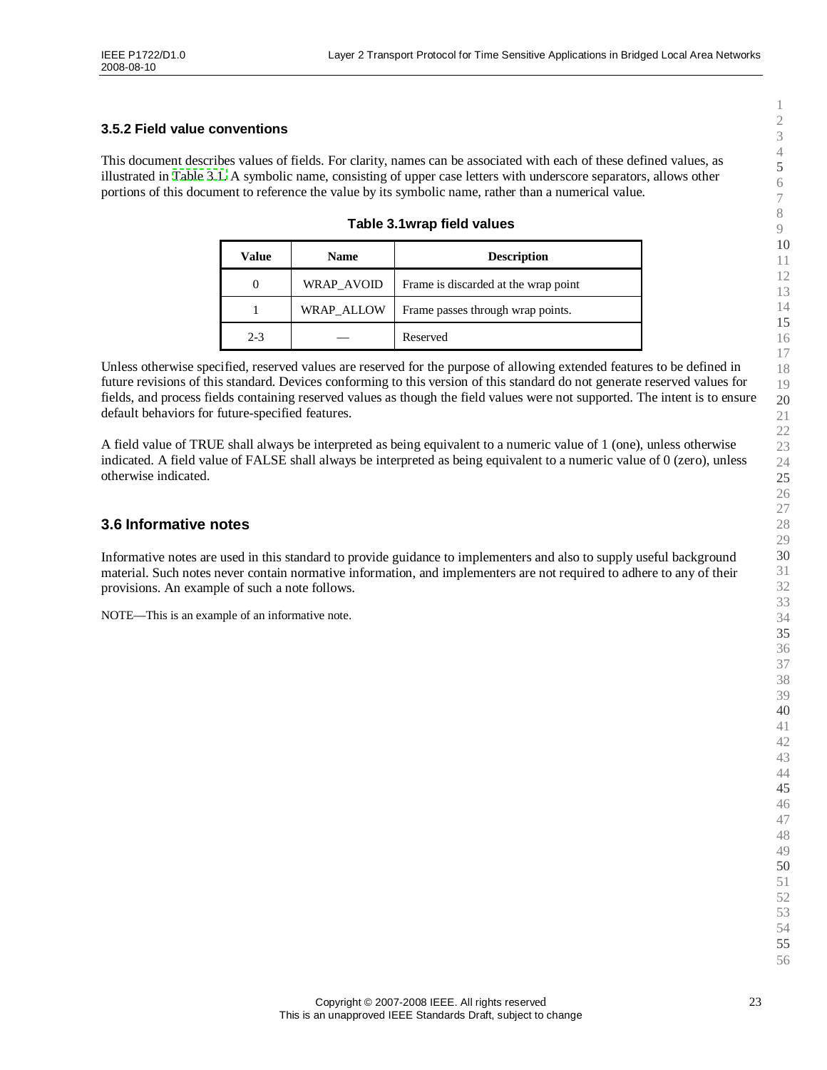#### <span id="page-22-1"></span><span id="page-22-0"></span>**3.5.2 Field value conventions**

This document describes values of fields. For clarity, names can be associated with each of these defined values, as illustrated in [Table](#page-22-3) 3.1. A symbolic name, consisting of upper case letters with underscore separators, allows other portions of this document to reference the value by its symbolic name, rather than a numerical value.

<span id="page-22-3"></span><span id="page-22-2"></span>

| Table 3.1wrap field values |  |
|----------------------------|--|
|----------------------------|--|

| Value   | <b>Name</b> | <b>Description</b>                   |
|---------|-------------|--------------------------------------|
|         | WRAP AVOID  | Frame is discarded at the wrap point |
|         | WRAP_ALLOW  | Frame passes through wrap points.    |
| $2 - 3$ |             | Reserved                             |

Unless otherwise specified, reserved values are reserved for the purpose of allowing extended features to be defined in future revisions of this standard. Devices conforming to this version of this standard do not generate reserved values for fields, and process fields containing reserved values as though the field values were not supported. The intent is to ensure default behaviors for future-specified features.

A field value of TRUE shall always be interpreted as being equivalent to a numeric value of 1 (one), unless otherwise indicated. A field value of FALSE shall always be interpreted as being equivalent to a numeric value of 0 (zero), unless otherwise indicated.

#### **3.6 Informative notes**

Informative notes are used in this standard to provide guidance to implementers and also to supply useful background material. Such notes never contain normative information, and implementers are not required to adhere to any of their provisions. An example of such a note follows.

NOTE— This is an example of an informative note.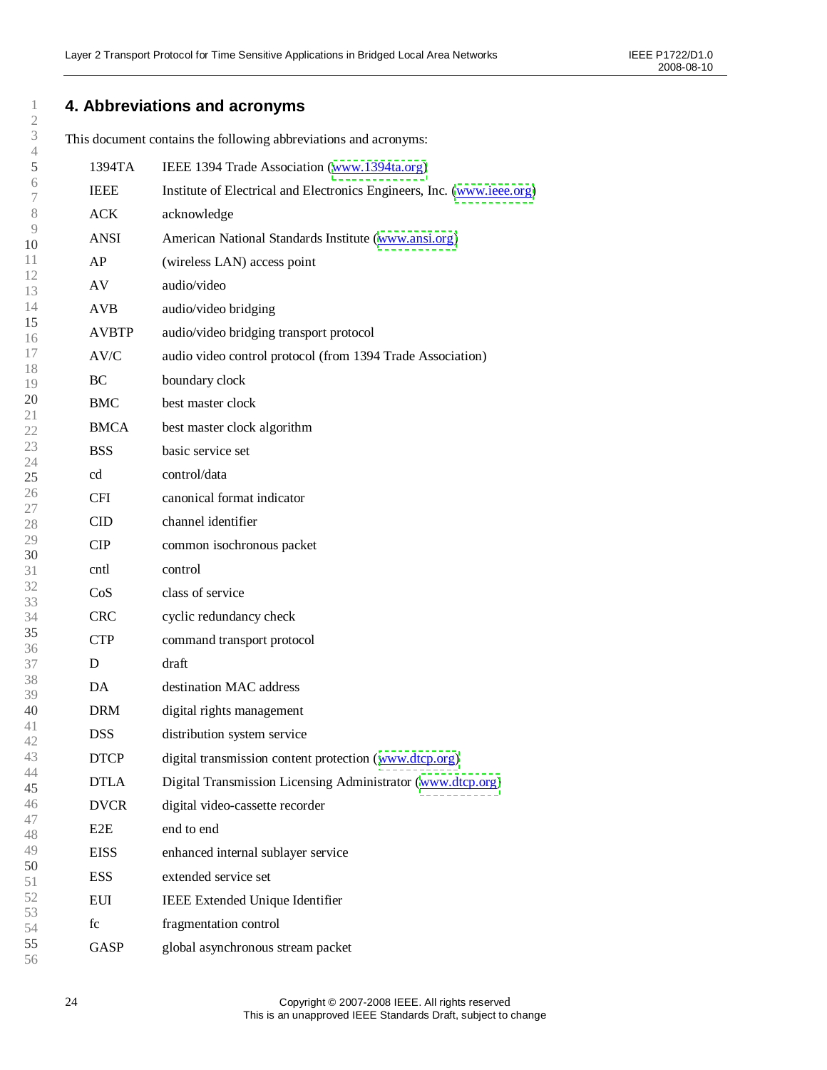# <span id="page-23-0"></span>**4. Abbreviations and acronyms**

This document contains the following abbreviations and acronyms:

| $^{+}$               |              |                                                                        |
|----------------------|--------------|------------------------------------------------------------------------|
| $\mathfrak s$        | 1394TA       | IEEE 1394 Trade Association (www.1394ta.org)                           |
| 6<br>7               | <b>IEEE</b>  | Institute of Electrical and Electronics Engineers, Inc. (www.ieee.org) |
| $8\,$                | ACK          | acknowledge                                                            |
| $\overline{Q}$<br>10 | <b>ANSI</b>  | American National Standards Institute (www.ansi.org)                   |
| 11                   | AP           | (wireless LAN) access point                                            |
| 12<br>13             | AV           | audio/video                                                            |
| 14                   | <b>AVB</b>   | audio/video bridging                                                   |
| 15<br>16             | <b>AVBTP</b> | audio/video bridging transport protocol                                |
| 17                   | AV/C         | audio video control protocol (from 1394 Trade Association)             |
| 18<br>19             | BC           | boundary clock                                                         |
| 20<br>21             | <b>BMC</b>   | best master clock                                                      |
| 22                   | <b>BMCA</b>  | best master clock algorithm                                            |
| 23<br>24             | <b>BSS</b>   | basic service set                                                      |
| 25                   | cd           | control/data                                                           |
| 26<br>27             | <b>CFI</b>   | canonical format indicator                                             |
| 28                   | <b>CID</b>   | channel identifier                                                     |
| 29<br>30             | <b>CIP</b>   | common isochronous packet                                              |
| 31                   | cntl         | control                                                                |
| 32<br>33             | CoS          | class of service                                                       |
| 34                   | <b>CRC</b>   | cyclic redundancy check                                                |
| 35<br>36             | <b>CTP</b>   | command transport protocol                                             |
| 37                   | D            | draft                                                                  |
| 38<br>39             | DA           | destination MAC address                                                |
| 40                   | <b>DRM</b>   | digital rights management                                              |
| 41<br>42             | <b>DSS</b>   | distribution system service                                            |
| 43<br>44             | <b>DTCP</b>  | digital transmission content protection (www.dtcp.org)                 |
| 45                   | <b>DTLA</b>  | Digital Transmission Licensing Administrator (www.dtcp.org)            |
| 46<br>47             | <b>DVCR</b>  | digital video-cassette recorder                                        |
| 48                   | E2E          | end to end                                                             |
| 49<br>50             | <b>EISS</b>  | enhanced internal sublayer service                                     |
| 51                   | <b>ESS</b>   | extended service set                                                   |
| 52<br>53             | EUI          | <b>IEEE Extended Unique Identifier</b>                                 |
| 54                   | fc           | fragmentation control                                                  |
| 55<br>56             | <b>GASP</b>  | global asynchronous stream packet                                      |
|                      |              |                                                                        |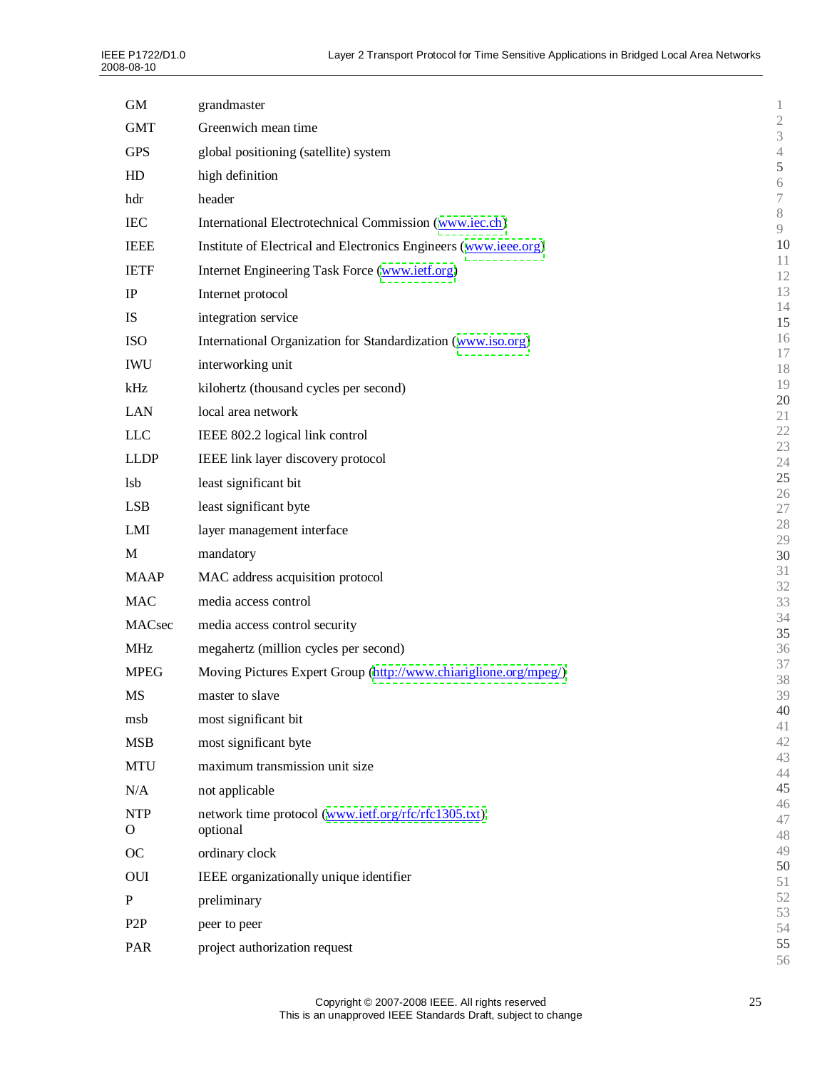| <b>GM</b>              | grandmaster                                                      | 1                              |
|------------------------|------------------------------------------------------------------|--------------------------------|
| <b>GMT</b>             | Greenwich mean time                                              | $\mathfrak{2}$<br>3            |
| <b>GPS</b>             | global positioning (satellite) system                            | $\sqrt{4}$                     |
| HD                     | high definition                                                  | 5                              |
| hdr                    | header                                                           | $\sqrt{6}$<br>$\boldsymbol{7}$ |
| <b>IEC</b>             | International Electrotechnical Commission (www.iec.ch)           | $8\,$                          |
| <b>IEEE</b>            | Institute of Electrical and Electronics Engineers (www.ieee.org) | 9<br>10                        |
|                        |                                                                  | 11                             |
| <b>IETF</b>            | Internet Engineering Task Force (www.ietf.org)                   | 12                             |
| IP                     | Internet protocol                                                | 13<br>14                       |
| <b>IS</b>              | integration service                                              | 15                             |
| <b>ISO</b>             | International Organization for Standardization (www.iso.org)     | 16<br>17                       |
| <b>IWU</b>             | interworking unit                                                | 18                             |
| kHz                    | kilohertz (thousand cycles per second)                           | 19                             |
| <b>LAN</b>             | local area network                                               | 20<br>21                       |
| <b>LLC</b>             | IEEE 802.2 logical link control                                  | 22                             |
| <b>LLDP</b>            | IEEE link layer discovery protocol                               | 23<br>24                       |
| <b>lsb</b>             | least significant bit                                            | 25                             |
| <b>LSB</b>             | least significant byte                                           | 26                             |
|                        |                                                                  | $27\,$<br>28                   |
| LMI                    | layer management interface                                       | 29                             |
| M                      | mandatory                                                        | 30<br>31                       |
| <b>MAAP</b>            | MAC address acquisition protocol                                 | 32                             |
| <b>MAC</b>             | media access control                                             | 33                             |
| MACsec                 | media access control security                                    | 34<br>35                       |
| <b>MHz</b>             | megahertz (million cycles per second)                            | 36                             |
| <b>MPEG</b>            | Moving Pictures Expert Group (http://www.chiariglione.org/mpeg/) | 37<br>38                       |
| MS                     | master to slave                                                  | 39                             |
| msb                    | most significant bit                                             | 40                             |
| <b>MSB</b>             | most significant byte                                            | 41<br>42                       |
| <b>MTU</b>             | maximum transmission unit size                                   | 43                             |
| N/A                    |                                                                  | 44<br>45                       |
|                        | not applicable                                                   | 46                             |
| <b>NTP</b><br>$\Omega$ | network time protocol (www.ietf.org/rfc/rfc1305.txt)<br>optional | 47                             |
| OC                     | ordinary clock                                                   | 48<br>49                       |
| OUI                    | IEEE organizationally unique identifier                          | 50                             |
|                        |                                                                  | 51<br>52                       |
| $\mathbf{P}$           | preliminary                                                      | 53                             |
| P <sub>2</sub> P       | peer to peer                                                     | 54                             |
| PAR                    | project authorization request                                    | 55<br>56                       |
|                        |                                                                  |                                |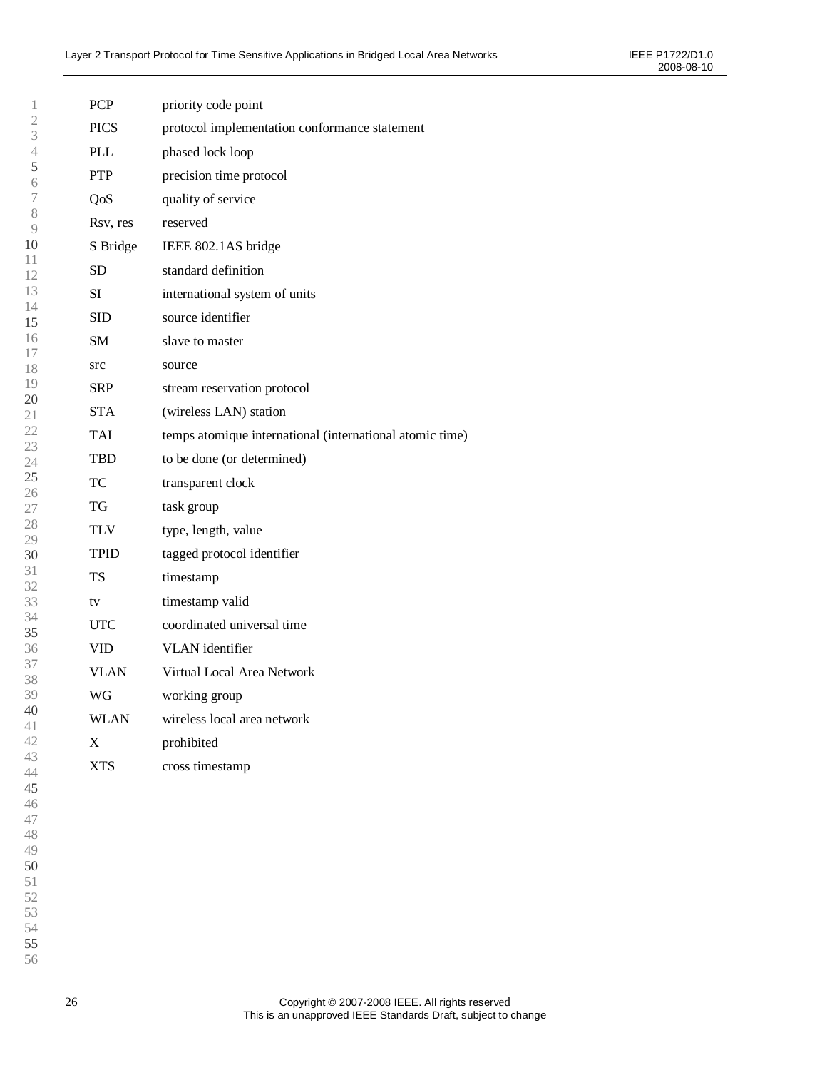| 1                   | <b>PCP</b>  | priority code point                                      |
|---------------------|-------------|----------------------------------------------------------|
| $\mathfrak{2}$<br>3 | <b>PICS</b> | protocol implementation conformance statement            |
| $\overline{4}$      | PLL         | phased lock loop                                         |
| 5<br>6              | <b>PTP</b>  | precision time protocol                                  |
| 7                   | QoS         | quality of service                                       |
| 8<br>9              | Rsv, res    | reserved                                                 |
| 10                  | S Bridge    | IEEE 802.1AS bridge                                      |
| 11<br>12            | SD          | standard definition                                      |
| 13                  | SI          | international system of units                            |
| 14<br>15            | <b>SID</b>  | source identifier                                        |
| 16<br>17            | SM          | slave to master                                          |
| 18                  | src         | source                                                   |
| 19<br>20            | <b>SRP</b>  | stream reservation protocol                              |
| 21                  | <b>STA</b>  | (wireless LAN) station                                   |
| 22<br>23            | TAI         | temps atomique international (international atomic time) |
| 24                  | TBD         | to be done (or determined)                               |
| 25<br>26            | TC          | transparent clock                                        |
| 27                  | TG          | task group                                               |
| 28<br>29            | TLV         | type, length, value                                      |
| 30                  | <b>TPID</b> | tagged protocol identifier                               |
| 31<br>32            | <b>TS</b>   | timestamp                                                |
| 33                  | tv          | timestamp valid                                          |
| 34<br>35            | <b>UTC</b>  | coordinated universal time                               |
| 36                  | <b>VID</b>  | VLAN identifier                                          |
| 37<br>38            | <b>VLAN</b> | Virtual Local Area Network                               |
| 39                  | WG          | working group                                            |
| 40<br>41            | <b>WLAN</b> | wireless local area network                              |
| 42                  | X           | prohibited                                               |
| 43<br>44            | <b>XTS</b>  | cross timestamp                                          |
| 45                  |             |                                                          |
| 46<br>47            |             |                                                          |
| 48                  |             |                                                          |

 

 

- 
-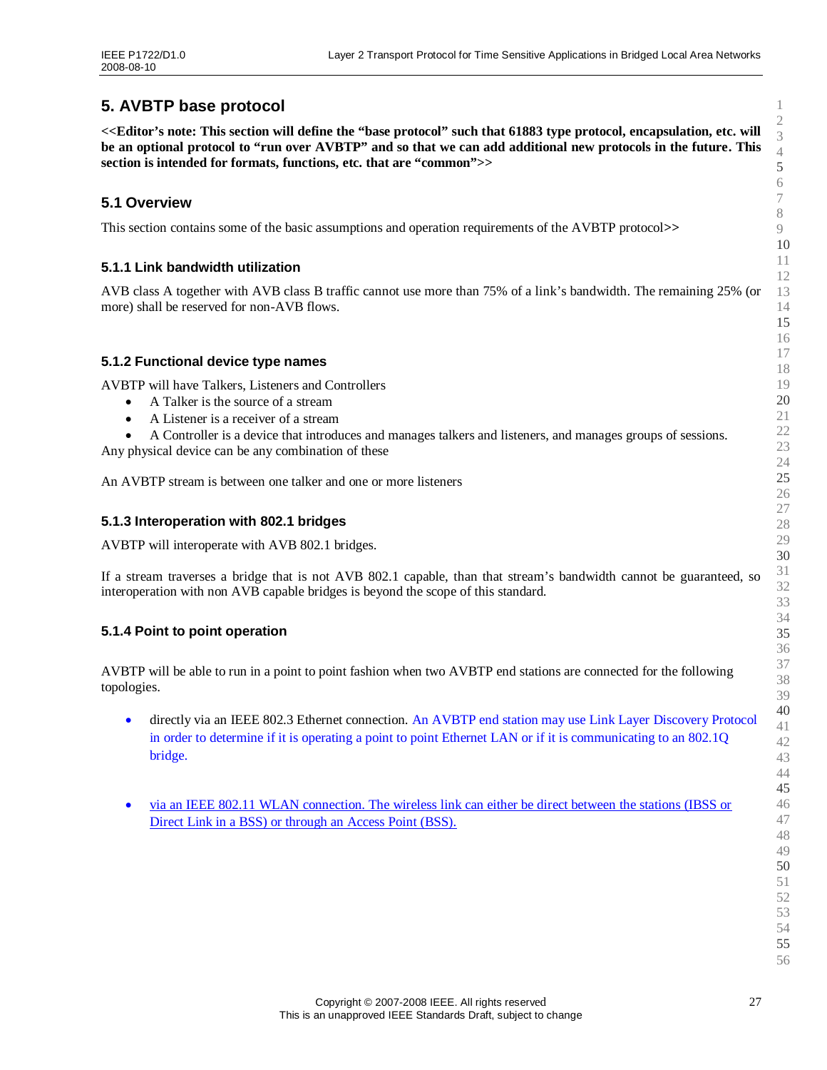# <span id="page-26-0"></span>**5. AVBTP base protocol**

<span id="page-26-2"></span><span id="page-26-1"></span>**<<Editor's note: This section will define the "base protocol"such that 61883 type protocol, encapsulation, etc. will be an optional protocol to "run over AVBTP"and so that we can add additional new protocols in the future. This section is intended for formats, functions, etc. that are "common">>**

#### **5.1 Overview**

This section contains some of the basic assumptions and operation requirements of the AVBTP protocol**>>**

#### **5.1.1 Link bandwidth utilization**

AVB class A together with AVB class B traffic cannot use more than 75% of a link's bandwidth. The remaining 25% (or more) shall be reserved for non-AVB flows.

#### **5.1.2 Functional device type names**

AVBTP will have Talkers, Listeners and Controllers

- A Talker is the source of a stream
- A Listener is a receiver of a stream
- A Controller is a device that introduces and manages talkers and listeners, and manages groups of sessions. Any physical device can be any combination of these

An AVBTP stream is between one talker and one or more listeners

#### **5.1.3 Interoperation with 802.1 bridges**

AVBTP will interoperate with AVB 802.1 bridges.

If a stream traverses a bridge that is not AVB 802.1 capable, than that stream's bandwidth cannot be guaranteed, so interoperation with non AVB capable bridges is beyond the scope of this standard.

#### **5.1.4 Point to point operation**

AVBTP will be able to run in a point to point fashion when two AVBTP end stations are connected for the following topologies.

- directly via an IEEE 802.3 Ethernet connection. An AVBTP end station may use Link Layer Discovery Protocol in order to determine if it is operating a point to point Ethernet LAN or if it is communicating to an 802.1Q bridge.
- via an IEEE 802.11 WLAN connection. The wireless link can either be direct between the stations (IBSS or Direct Link in a BSS) or through an Access Point (BSS).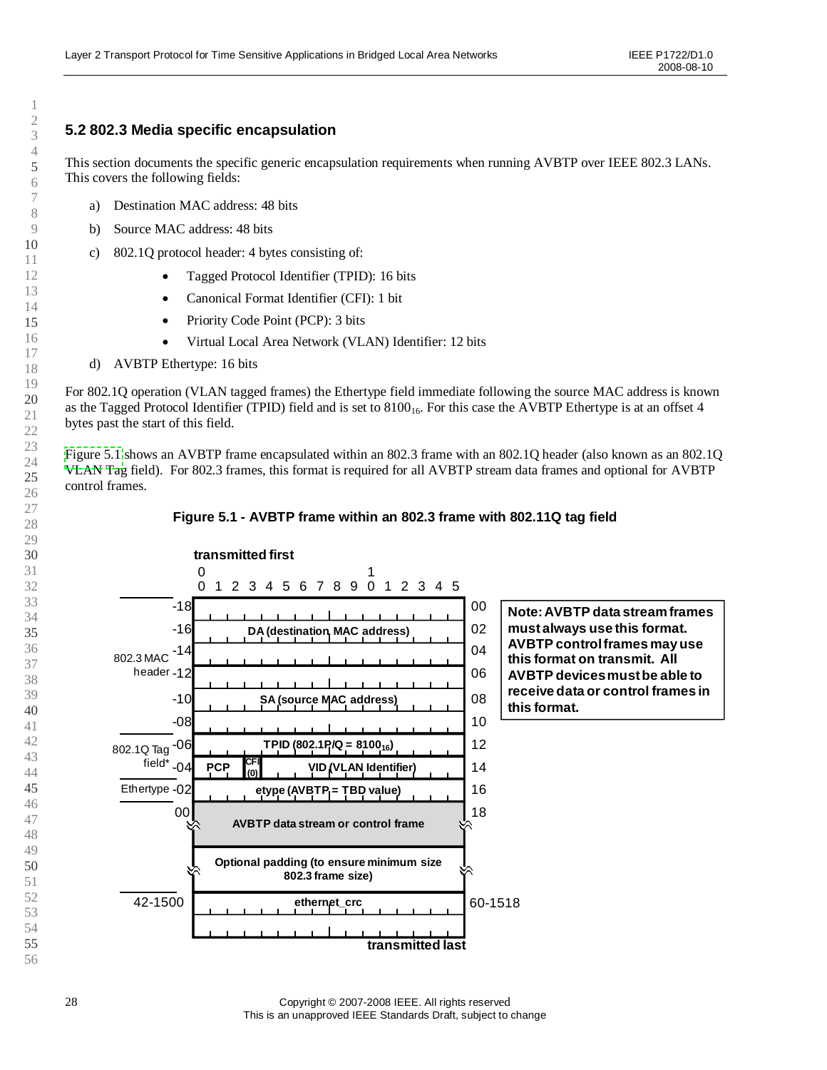#### <span id="page-27-1"></span><span id="page-27-0"></span>**5.2 802.3 Media specific encapsulation**

This section documents the specific generic encapsulation requirements when running AVBTP over IEEE 802.3 LANs. This covers the following fields:

- a) Destination MAC address: 48 bits
- b) Source MAC address: 48 bits
- c) 802.1Q protocol header: 4 bytes consisting of:
	- Tagged Protocol Identifier (TPID): 16 bits
	- Canonical Format Identifier (CFI): 1 bit
	- Priority Code Point (PCP): 3 bits
	- Virtual Local Area Network (VLAN) Identifier: 12 bits
- d) AVBTP Ethertype: 16 bits

For 802.1Q operation (VLAN tagged frames) the Ethertype field immediate following the source MAC address is known as the Tagged Protocol Identifier (TPID) field and is set to  $8100<sub>16</sub>$ . For this case the AVBTP Ethertype is at an offset 4 bytes past the start of this field.

[Figure](#page-27-2) 5.1 shows an AVBTP frame encapsulated within an 802.3 frame with an 802.1Q header (also known as an 802.1Q VLAN Tag field). For 802.3 frames, this format is required for all AVBTP stream data frames and optional for AVBTP control frames.

<span id="page-27-2"></span>

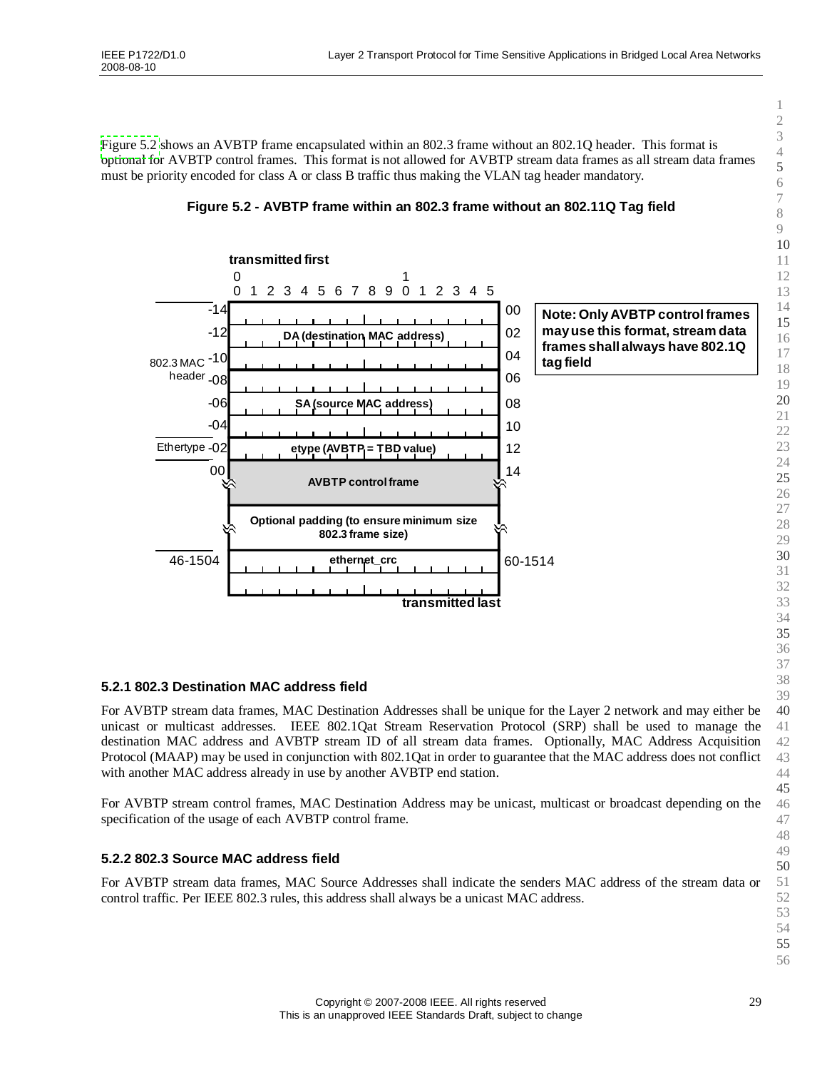<span id="page-28-1"></span><span id="page-28-0"></span>[Figure](#page-28-2) 5.2 shows an AVBTP frame encapsulated within an 802.3 frame without an 802.1Q header. This format is optional for AVBTP control frames. This format is not allowed for AVBTP stream data frames as all stream data frames must be priority encoded for class A or class B traffic thus making the VLAN tag header mandatory.



#### <span id="page-28-2"></span>**Figure 5.2 - AVBTP frame within an 802.3 frame without an 802.11Q Tag field**

#### **5.2.1 802.3 Destination MAC address field**

For AVBTP stream data frames, MAC Destination Addresses shall be unique for the Layer 2 network and may either be unicast or multicast addresses. IEEE 802.1Qat Stream Reservation Protocol (SRP) shall be used to manage the destination MAC address and AVBTP stream ID of all stream data frames. Optionally, MAC Address Acquisition Protocol (MAAP) may be used in conjunction with 802.1Qat in order to guarantee that the MAC address does not conflict with another MAC address already in use by another AVBTP end station.

For AVBTP stream control frames, MAC Destination Address may be unicast, multicast or broadcast depending on the specification of the usage of each AVBTP control frame.

#### **5.2.2 802.3 Source MAC address field**

For AVBTP stream data frames, MAC Source Addresses shall indicate the senders MAC address of the stream data or control traffic. Per IEEE 802.3 rules, this address shall always be a unicast MAC address.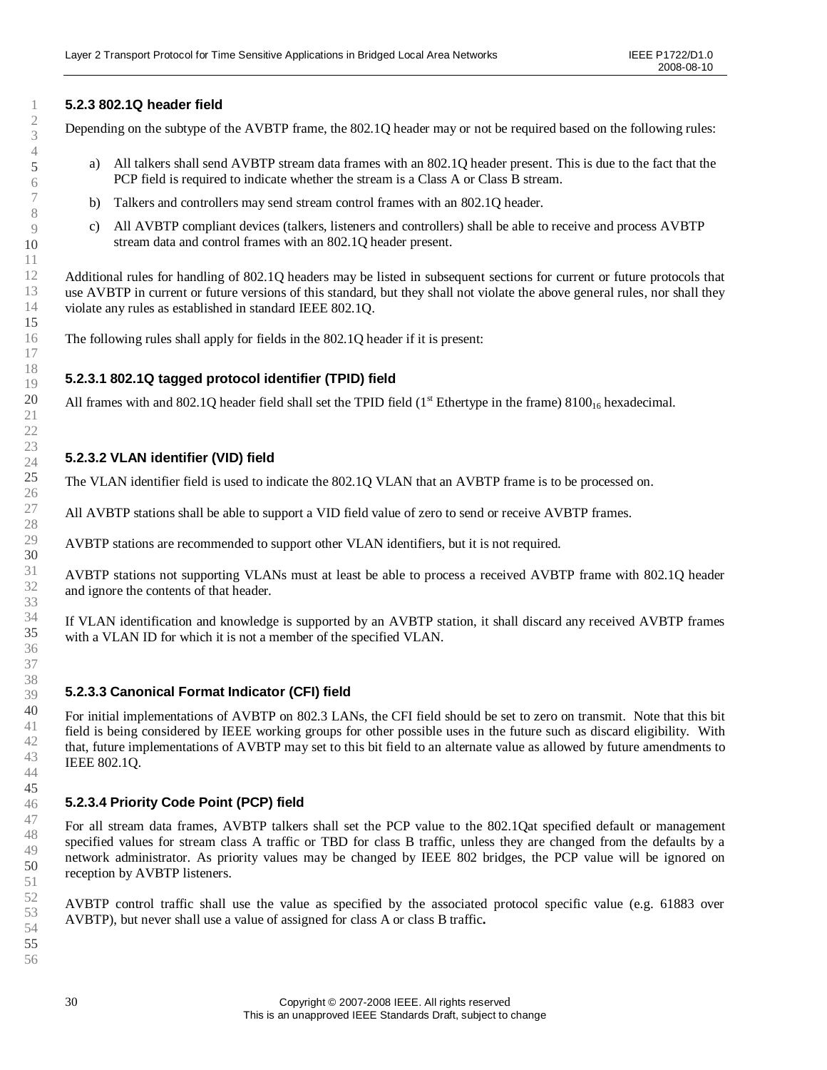#### **5.2.3 802.1Q header field**

<span id="page-29-0"></span>Depending on the subtype of the AVBTP frame, the 802.1Q header may or not be required based on the following rules:

- a) All talkers shall send AVBTP stream data frames with an 802.1Q header present. This is due to the fact that the PCP field is required to indicate whether the stream is a Class A or Class B stream.
- b) Talkers and controllers may send stream control frames with an 802.1Q header.
- c) All AVBTP compliant devices (talkers, listeners and controllers) shall be able to receive and process AVBTP stream data and control frames with an 802.1Q header present.

Additional rules for handling of 802.1Q headers may be listed in subsequent sections for current or future protocols that use AVBTP in current or future versions of this standard, but they shall not violate the above general rules, nor shall they violate any rules as established in standard IEEE 802.1Q.

The following rules shall apply for fields in the 802.1Q header if it is present:

#### **5.2.3.1 802.1Q tagged protocol identifier (TPID) field**

All frames with and 802.1Q header field shall set the TPID field  $(1<sup>st</sup>$  Ethertype in the frame) 8100<sub>16</sub> hexadecimal.

#### **5.2.3.2 VLAN identifier (VID) field**

The VLAN identifier field is used to indicate the 802.1Q VLAN that an AVBTP frame is to be processed on.

All AVBTP stations shall be able to support a VID field value of zero to send or receive AVBTP frames.

AVBTP stations are recommended to support other VLAN identifiers, but it is not required.

AVBTP stations not supporting VLANs must at least be able to process a received AVBTP frame with 802.1Q header and ignore the contents of that header.

If VLAN identification and knowledge is supported by an AVBTP station, it shall discard any received AVBTP frames with a VLAN ID for which it is not a member of the specified VLAN.

#### **5.2.3.3 Canonical Format Indicator (CFI) field**

For initial implementations of AVBTP on 802.3 LANs, the CFI field should be set to zero on transmit. Note that this bit field is being considered by IEEE working groups for other possible uses in the future such as discard eligibility. With that, future implementations of AVBTP may set to this bit field to an alternate value as allowed by future amendments to IEEE 802.1Q.

#### **5.2.3.4 Priority Code Point (PCP) field**

For all stream data frames, AVBTP talkers shall set the PCP value to the 802.1Qat specified default or management specified values for stream class A traffic or TBD for class B traffic, unless they are changed from the defaults by a network administrator. As priority values may be changed by IEEE 802 bridges, the PCP value will be ignored on reception by AVBTP listeners.

AVBTP control traffic shall use the value as specified by the associated protocol specific value (e.g. 61883 over AVBTP), but never shall use a value of assigned for class A or class B traffic**.**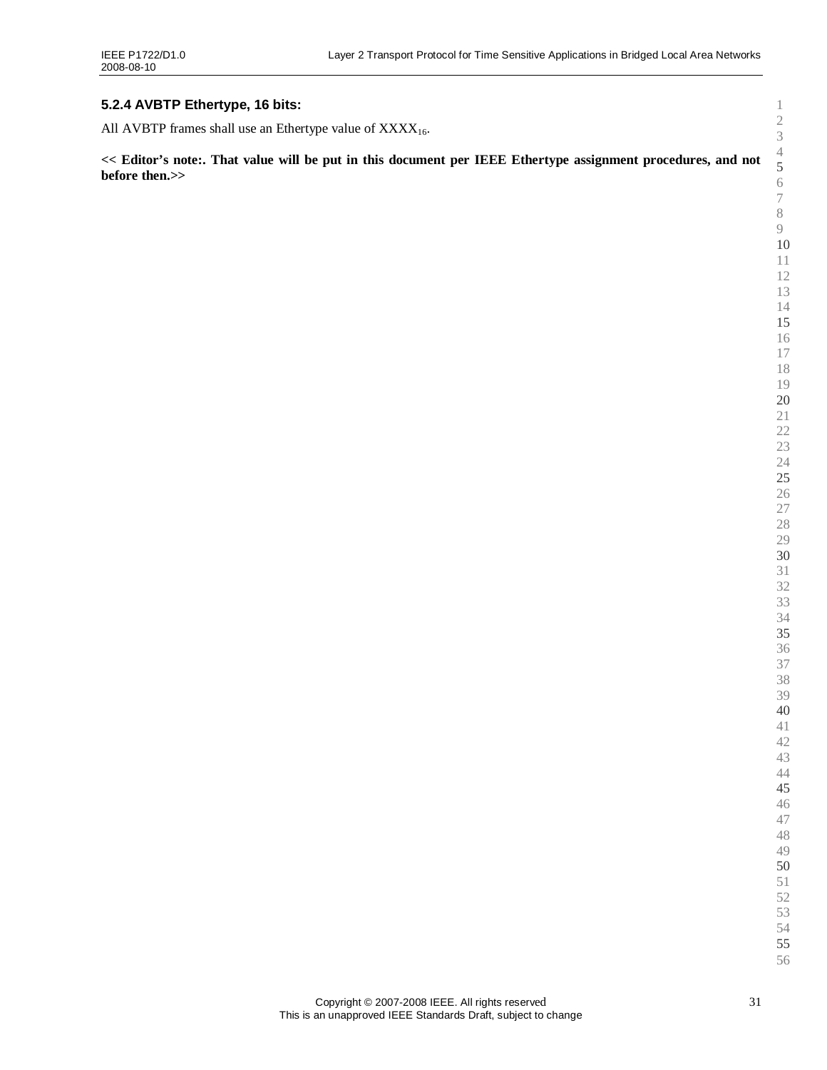#### **5.2.4 AVBTP Ethertype, 16 bits:**

<span id="page-30-0"></span>All AVBTP frames shall use an Ethertype value of  $XXXX_{16}$ .

**<< Editor's note:. That value will be put in this document per IEEE Ethertype assignment procedures, and not before then.>>**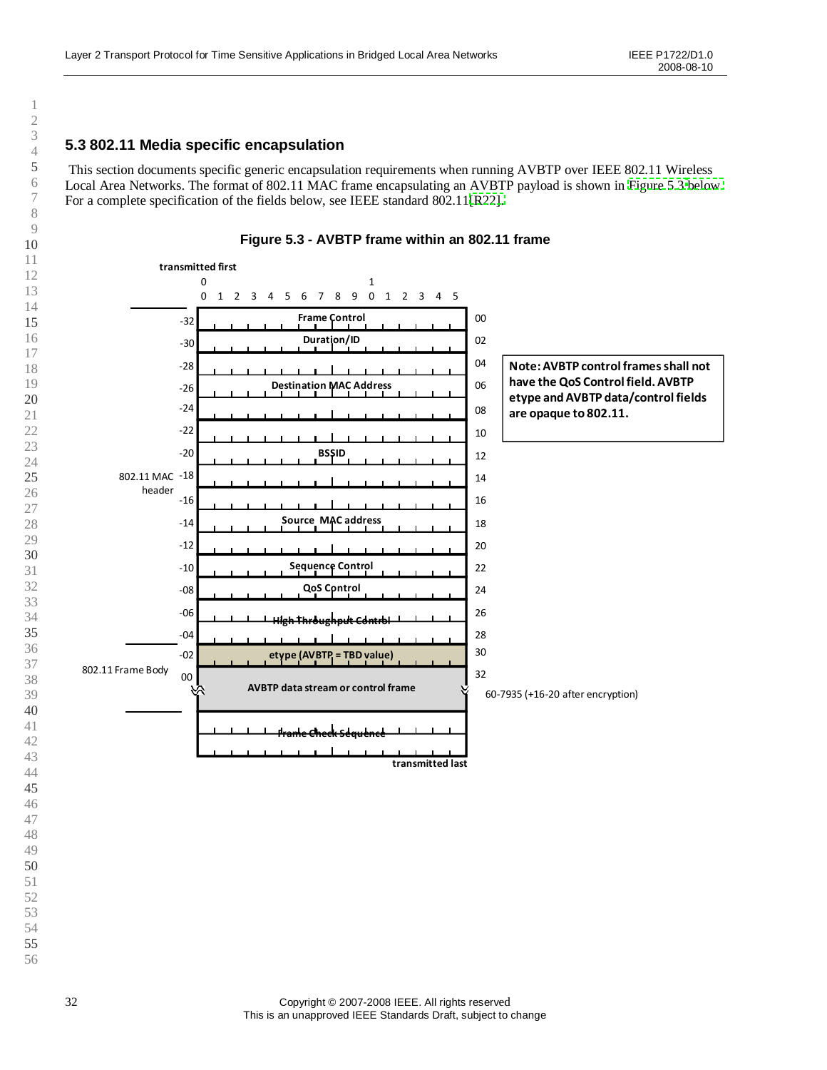#### <span id="page-31-1"></span><span id="page-31-0"></span>**5.3 802.11 Media specific encapsulation**

<span id="page-31-2"></span>This section documents specific generic encapsulation requirements when running AVBTP over IEEE 802.11 Wireless Local Area Networks. The format of 802.11 MAC frame encapsulating an AVBTP payload is shown in [Figure](#page-31-2) 5.3 [below.](#page-31-2) For a complete specification of the fields below, see IEEE standard 802.11[\[R22\].](#page-15-1)

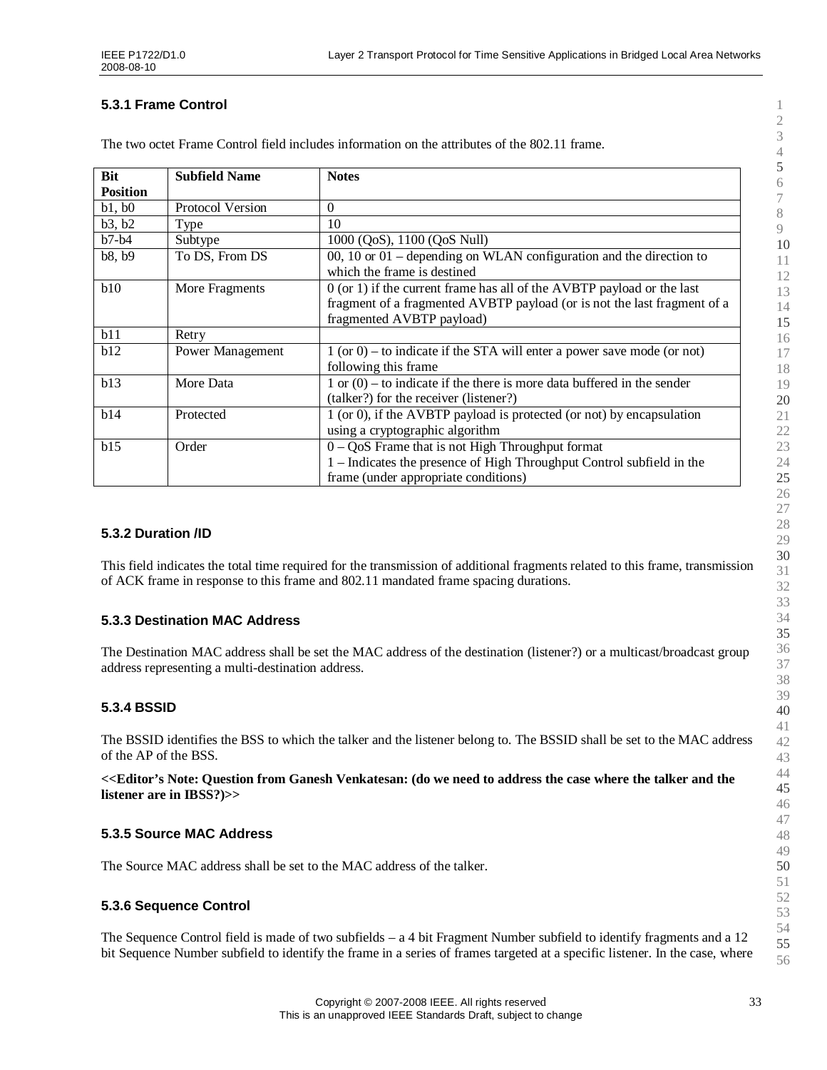#### <span id="page-32-0"></span>**5.3.1 Frame Control**

| <b>Bit</b>      | <b>Subfield Name</b> | <b>Notes</b>                                                                                                                                                                      |
|-----------------|----------------------|-----------------------------------------------------------------------------------------------------------------------------------------------------------------------------------|
| <b>Position</b> |                      |                                                                                                                                                                                   |
| b1, b0          | Protocol Version     | $\Omega$                                                                                                                                                                          |
| b3, b2          | Type                 | 10                                                                                                                                                                                |
| $b7-b4$         | Subtype              | 1000 (QoS), 1100 (QoS Null)                                                                                                                                                       |
| b8, b9          | To DS, From DS       | 00, 10 or 01 – depending on WLAN configuration and the direction to<br>which the frame is destined                                                                                |
| b10             | More Fragments       | $0$ (or 1) if the current frame has all of the AVBTP payload or the last<br>fragment of a fragmented AVBTP payload (or is not the last fragment of a<br>fragmented AVBTP payload) |
| b11             | Retry                |                                                                                                                                                                                   |
| b12             | Power Management     | $1$ (or 0) – to indicate if the STA will enter a power save mode (or not)<br>following this frame                                                                                 |
| b13             | More Data            | 1 or $(0)$ – to indicate if the there is more data buffered in the sender<br>(talker?) for the receiver (listener?)                                                               |
| b14             | Protected            | 1 (or 0), if the AVBTP payload is protected (or not) by encapsulation<br>using a cryptographic algorithm                                                                          |
| b15             | Order                | $\overline{0 - Q}$ oS Frame that is not High Throughput format<br>1 – Indicates the presence of High Throughput Control subfield in the<br>frame (under appropriate conditions)   |

The two octet Frame Control field includes information on the attributes of the 802.11 frame.

#### **5.3.2 Duration /ID**

This field indicates the total time required for the transmission of additional fragments related to this frame, transmission of ACK frame in response to this frame and 802.11 mandated frame spacing durations.

#### **5.3.3 Destination MAC Address**

The Destination MAC address shall be set the MAC address of the destination (listener?) or a multicast/broadcast group address representing a multi-destination address.

#### **5.3.4 BSSID**

The BSSID identifies the BSS to which the talker and the listener belong to. The BSSID shall be set to the MAC address of the AP of the BSS.

**<<Editor's Note: Question from Ganesh Venkatesan: (do we need to address the case where the talker and the listener are in IBSS?)>>**

#### **5.3.5 Source MAC Address**

The Source MAC address shall be set to the MAC address of the talker.

#### **5.3.6 Sequence Control**

The Sequence Control field is made of two subfields –a 4 bit Fragment Number subfield to identify fragments and a 12 bit Sequence Number subfield to identify the frame in a series of frames targeted at a specific listener. In the case, where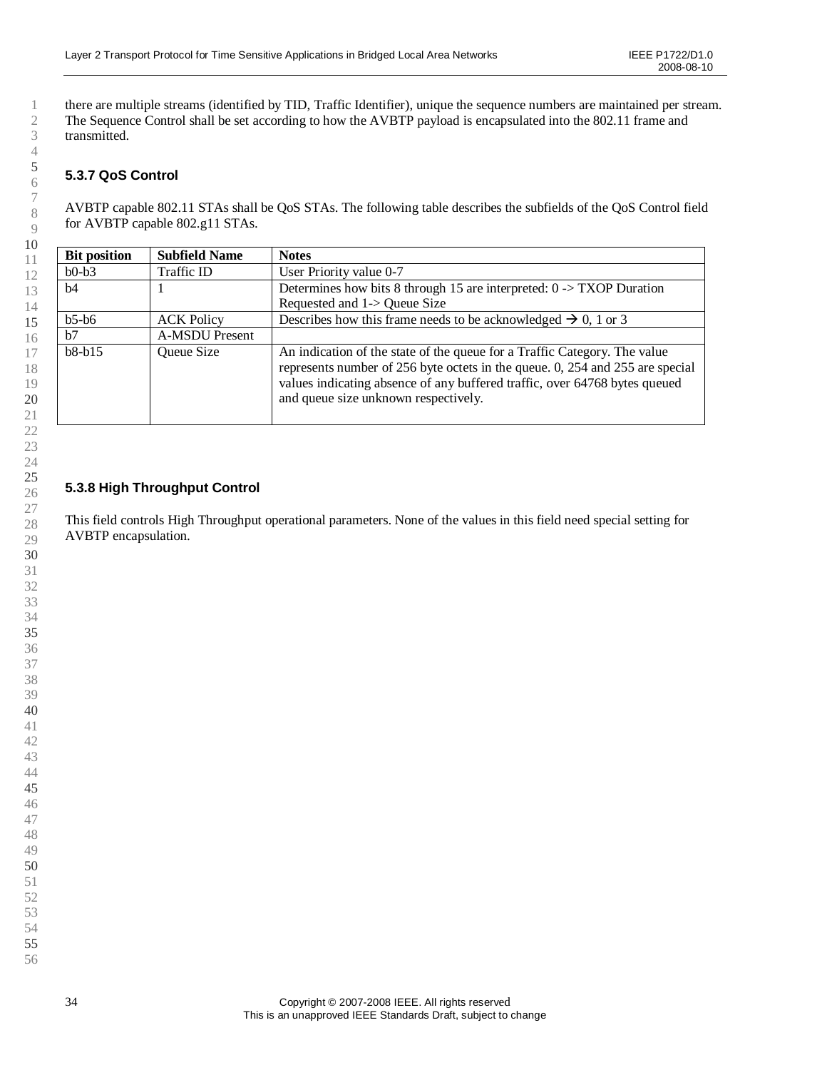<span id="page-33-0"></span>there are multiple streams (identified by TID, Traffic Identifier), unique the sequence numbers are maintained per stream. The Sequence Control shall be set according to how the AVBTP payload is encapsulated into the 802.11 frame and transmitted.

#### **5.3.7 QoS Control**

AVBTP capable 802.11 STAs shall be QoS STAs. The following table describes the subfields of the QoS Control field for AVBTP capable 802.g11 STAs.

| <b>Bit position</b> | <b>Subfield Name</b>  | <b>Notes</b>                                                                                                                                                                                                                                                                     |
|---------------------|-----------------------|----------------------------------------------------------------------------------------------------------------------------------------------------------------------------------------------------------------------------------------------------------------------------------|
| $b0-b3$             | Traffic ID            | User Priority value 0-7                                                                                                                                                                                                                                                          |
| b4                  |                       | Determines how bits 8 through 15 are interpreted: $0 \rightarrow$ TXOP Duration                                                                                                                                                                                                  |
|                     |                       | Requested and 1-> Queue Size                                                                                                                                                                                                                                                     |
| $b5-b6$             | <b>ACK Policy</b>     | Describes how this frame needs to be acknowledged $\rightarrow$ 0, 1 or 3                                                                                                                                                                                                        |
| b7                  | <b>A-MSDU Present</b> |                                                                                                                                                                                                                                                                                  |
| $b8-b15$            | <b>Oueue Size</b>     | An indication of the state of the queue for a Traffic Category. The value<br>represents number of 256 byte octets in the queue. 0, 254 and 255 are special<br>values indicating absence of any buffered traffic, over 64768 bytes queued<br>and queue size unknown respectively. |

#### **5.3.8 High Throughput Control**

This field controls High Throughput operational parameters. None of the values in this field need special setting for AVBTP encapsulation.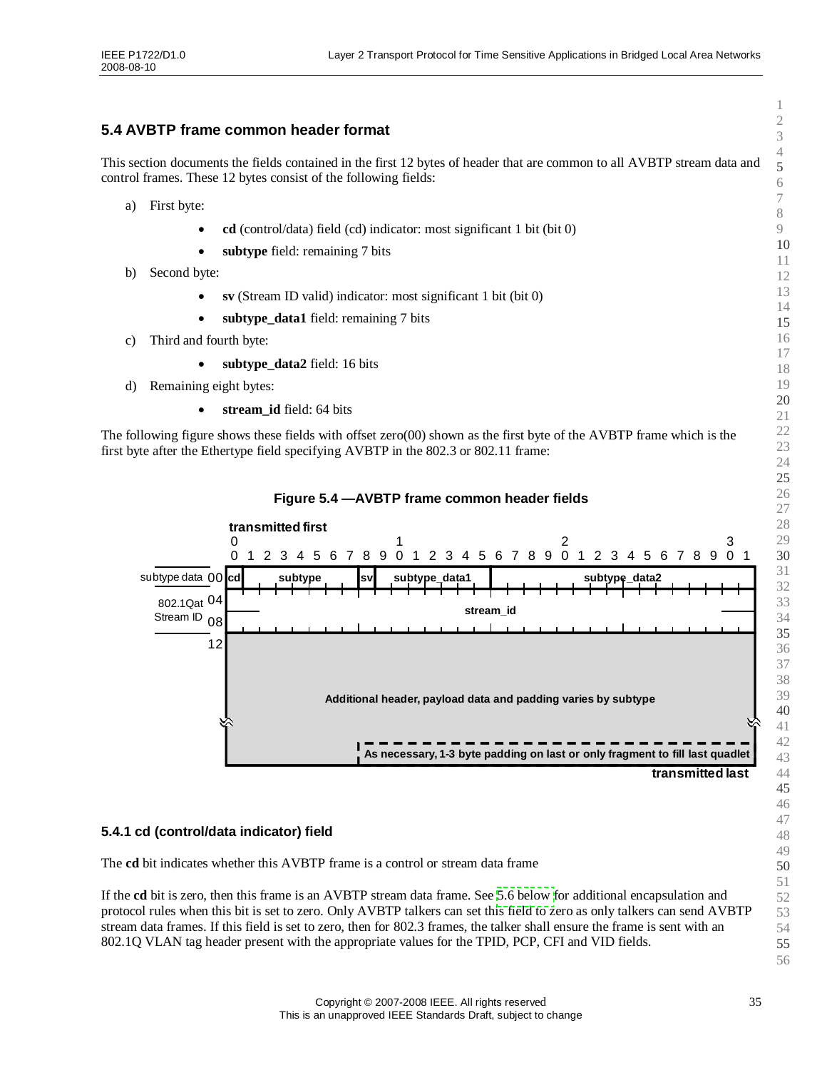## <span id="page-34-2"></span><span id="page-34-1"></span><span id="page-34-0"></span>**5.4 AVBTP frame common header format**

This section documents the fields contained in the first 12 bytes of header that are common to all AVBTP stream data and control frames. These 12 bytes consist of the following fields:

- a) First byte:
	- **cd** (control/data) field (cd) indicator: most significant 1 bit (bit 0)
	- **subtype** field: remaining 7 bits
- b) Second byte:
	- **sv** (Stream ID valid) indicator: most significant 1 bit (bit 0)
	- **subtype\_data1** field: remaining 7 bits
- c) Third and fourth byte:
	- **subtype\_data2** field: 16 bits
- d) Remaining eight bytes:
	- **stream\_id** field: 64 bits

The following figure shows these fields with offset zero(00) shown as the first byte of the AVBTP frame which is the first byte after the Ethertype field specifying AVBTP in the 802.3 or 802.11 frame:

**Figure 5.4 — AVBTP frame common header fields**



## **5.4.1 cd (control/data indicator) field**

The **cd** bit indicates whether this AVBTP frame is a control or stream data frame

If the **cd** bit is zero, then this frame is an AVBTP stream data frame. See [5.6 below](#page-40-0) for additional encapsulation and protocol rules when this bit is set to zero. Only AVBTP talkers can set this field to zero as only talkers can send AVBTP stream data frames. If this field is set to zero, then for 802.3 frames, the talker shall ensure the frame is sent with an 802.1Q VLAN tag header present with the appropriate values for the TPID, PCP, CFI and VID fields.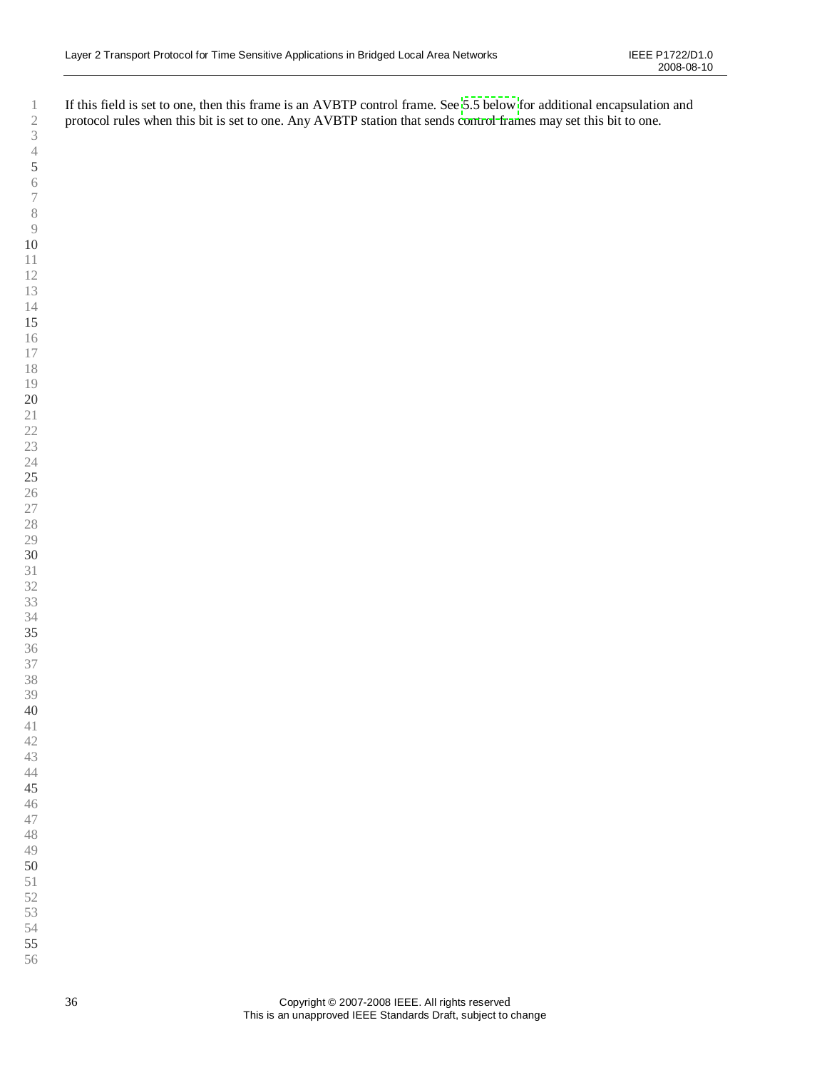If this field is set to one, then this frame is an AVBTP control frame. See [5.5 below](#page-38-0) for additional encapsulation and protocol rules when this bit is set to one. Any AVBTP station that sends control frames may set this bit to one.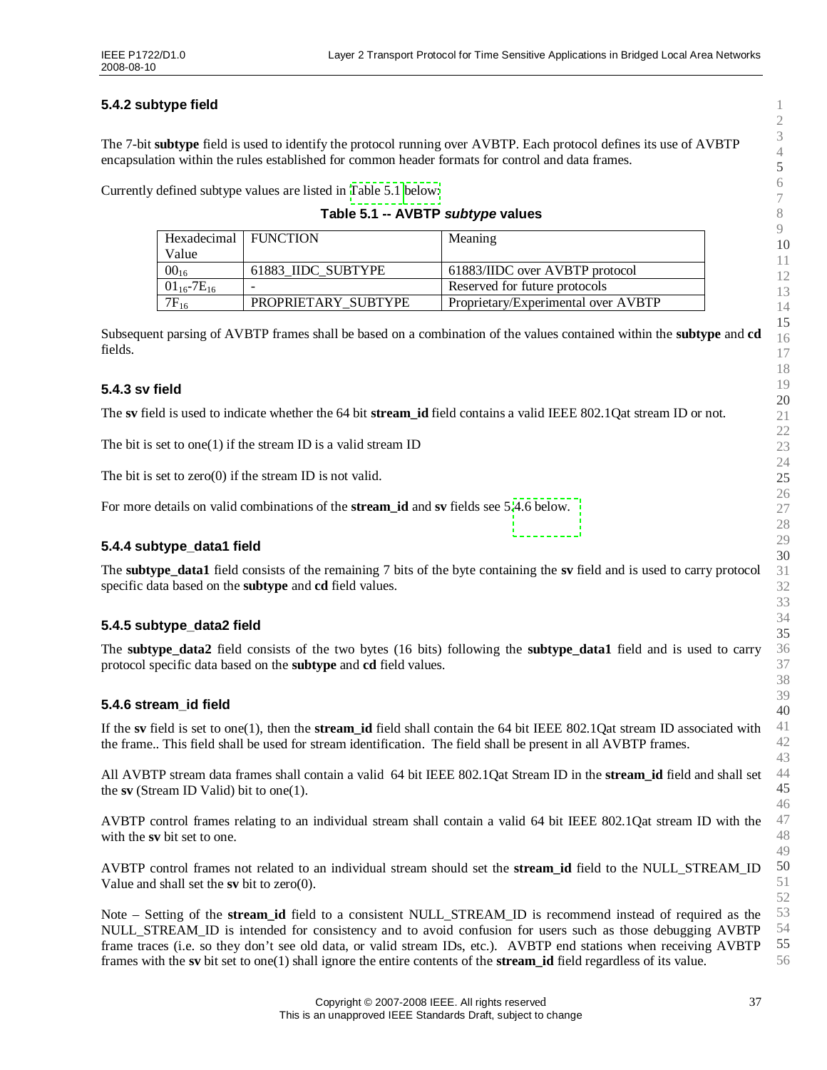#### <span id="page-36-2"></span>**5.4.2 subtype field**

The 7-bit **subtype** field is used to identify the protocol running over AVBTP. Each protocol defines its use of AVBTP encapsulation within the rules established for common header formats for control and data frames.

Currently defined subtype values are listed in [Table](#page-36-0) 5.1 [below:](#page-36-0)

<span id="page-36-0"></span>

| Table 5.1 -- AVBTP subtype values |  |  |  |
|-----------------------------------|--|--|--|
|-----------------------------------|--|--|--|

| Hexadecimal FUNCTION  |                               | Meaning                             |  |
|-----------------------|-------------------------------|-------------------------------------|--|
| Value                 |                               |                                     |  |
| $00_{16}$             | 61883 IIDC SUBTYPE            | 61883/IIDC over AVBTP protocol      |  |
| $01_{16}$ -7 $E_{16}$ | Reserved for future protocols |                                     |  |
| $7F_{16}$             | PROPRIETARY SUBTYPE           | Proprietary/Experimental over AVBTP |  |

Subsequent parsing of AVBTP frames shall be based on a combination of the values contained within the **subtype** and **cd** fields.

#### **5.4.3 sv field**

The **sv** field is used to indicate whether the 64 bit **stream id** field contains a valid IEEE 802.1Qat stream ID or not.

The bit is set to one(1) if the stream ID is a valid stream ID

The bit is set to  $zero(0)$  if the stream ID is not valid.

For more details on valid combinations of the **stream\_id** and **sv** fields see 5[.4.6 below.](#page-36-1)

#### **5.4.4 subtype\_data1 field**

The **subtype** data1 field consists of the remaining 7 bits of the byte containing the **sv** field and is used to carry protocol specific data based on the **subtype** and **cd** field values.

#### **5.4.5 subtype\_data2 field**

The **subtype data2** field consists of the two bytes (16 bits) following the **subtype data1** field and is used to carry protocol specific data based on the **subtype** and **cd** field values.

#### <span id="page-36-1"></span>**5.4.6 stream\_id field**

If the **sv** field is set to one(1), then the **stream id** field shall contain the 64 bit IEEE 802.1Qat stream ID associated with the frame.. This field shall be used for stream identification. The field shall be present in all AVBTP frames.

All AVBTP stream data frames shall contain a valid 64 bit IEEE 802.1Qat Stream ID in the **stream\_id** field and shall set the **sv** (Stream ID Valid) bit to one(1).

AVBTP control frames relating to an individual stream shall contain a valid 64 bit IEEE 802.1Qat stream ID with the with the **sv** bit set to one.

AVBTP control frames not related to an individual stream should set the **stream\_id** field to the NULL\_STREAM\_ID Value and shall set the **sv** bit to zero(0).

Note –Setting of the **stream\_id** field to a consistent NULL\_STREAM\_ID is recommend instead of required as the NULL\_STREAM\_ID is intended for consistency and to avoid confusion for users such as those debugging AVBTP frame traces (i.e. so they don't see old data, or valid stream IDs, etc.). AVBTP end stations when receiving AVBTP frames with the **sv** bit set to one(1) shall ignore the entire contents of the **stream\_id** field regardless of its value.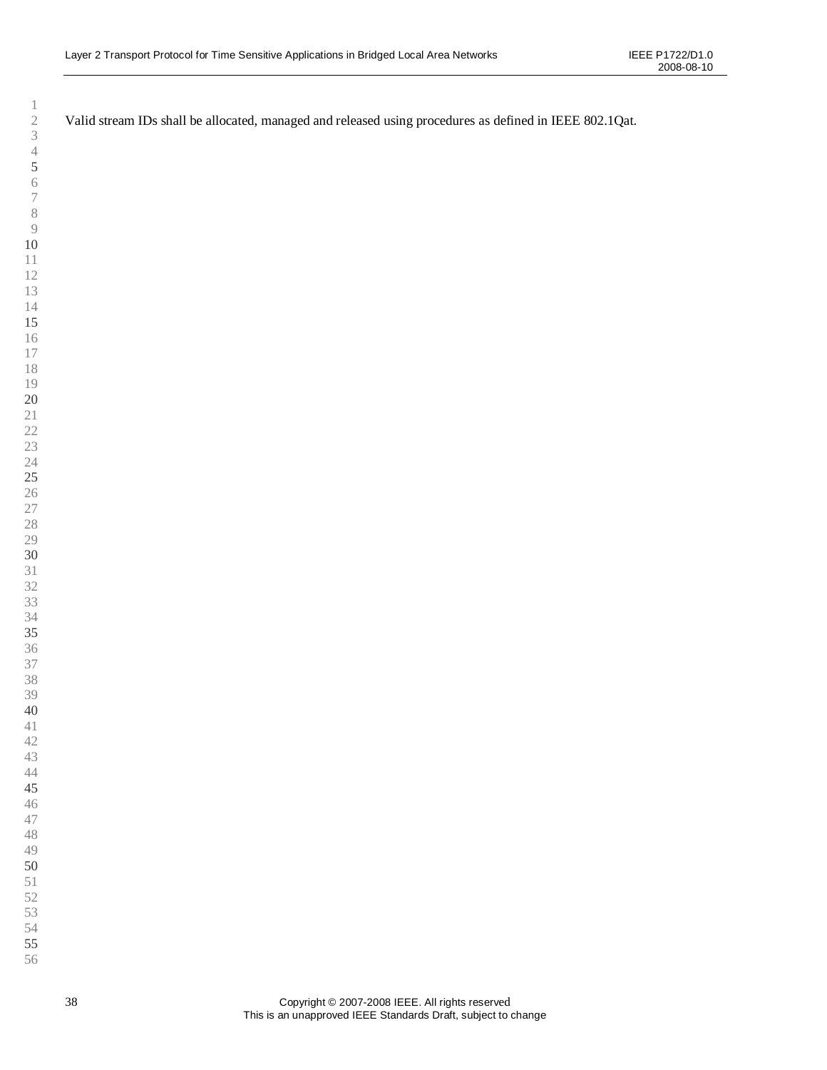Valid stream IDs shall be allocated, managed and released using procedures as defined in IEEE 802.1Qat.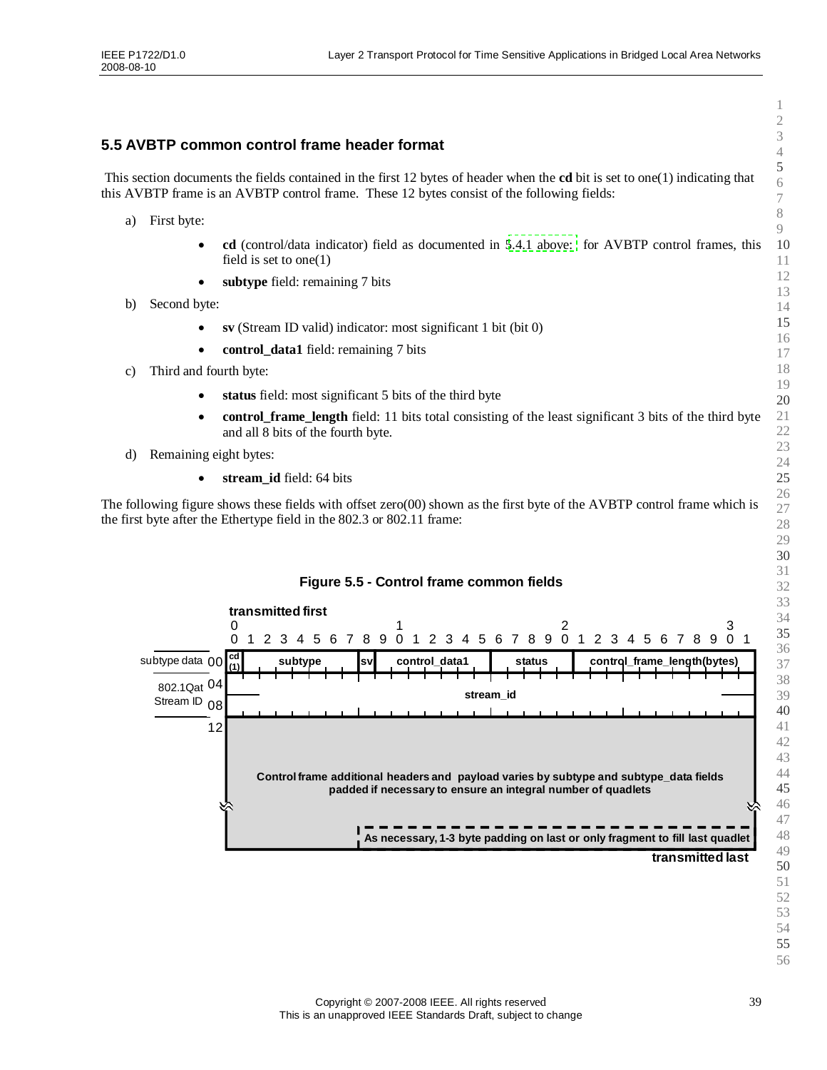## **5.5 AVBTP common control frame header format**

This section documents the fields contained in the first 12 bytes of header when the **cd** bit is set to one(1) indicating that this AVBTP frame is an AVBTP control frame. These 12 bytes consist of the following fields:

- a) First byte:
	- **cd** (control/data indicator) field as documented in [5.4.1 above:](#page-34-0) for AVBTP control frames, this field is set to one(1)
	- **subtype** field: remaining 7 bits
- b) Second byte:
	- **sv** (Stream ID valid) indicator: most significant 1 bit (bit 0)
	- **control\_data1** field: remaining 7 bits
- c) Third and fourth byte:
	- **status** field: most significant 5 bits of the third byte
	- **control\_frame\_length** field: 11 bits total consisting of the least significant 3 bits of the third byte and all 8 bits of the fourth byte.
- d) Remaining eight bytes:
	- **stream\_id** field: 64 bits

The following figure shows these fields with offset zero(00) shown as the first byte of the AVBTP control frame which is the first byte after the Ethertype field in the 802.3 or 802.11 frame:

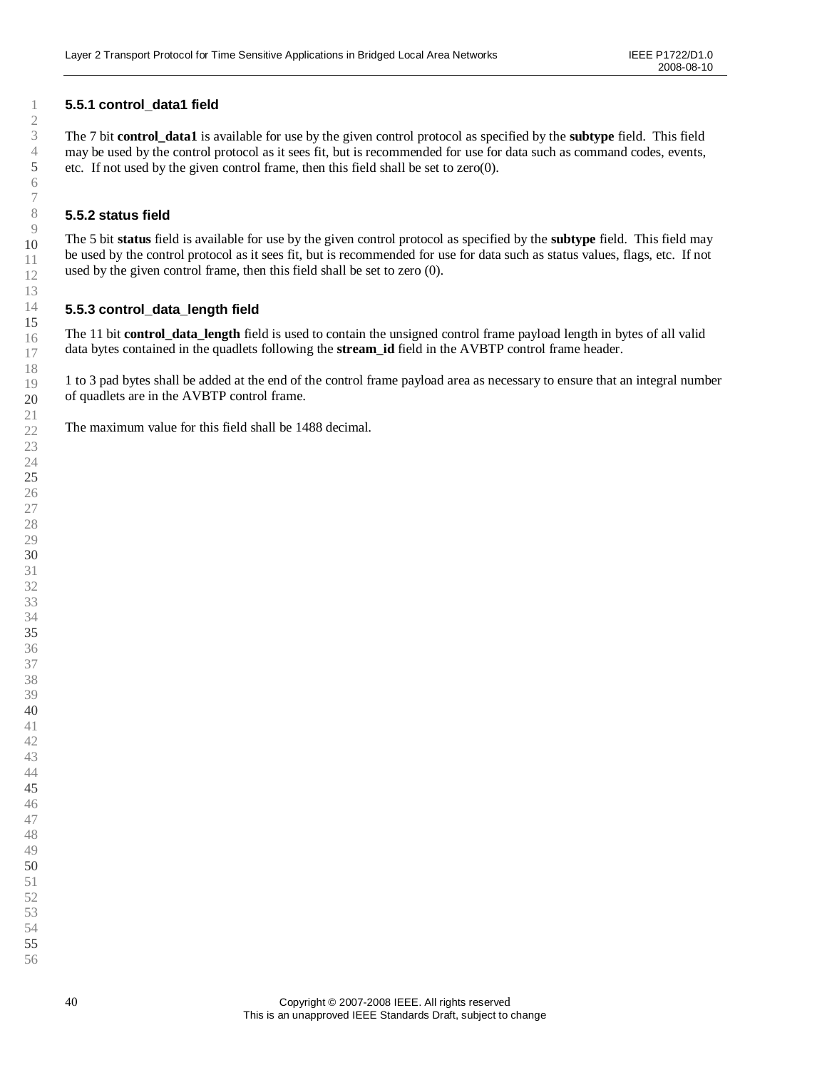#### **5.5.1 control\_data1 field**

The 7 bit **control\_data1** is available for use by the given control protocol as specified by the **subtype** field. This field may be used by the control protocol as it sees fit, but is recommended for use for data such as command codes, events, etc. If not used by the given control frame, then this field shall be set to zero(0).

## **5.5.2 status field**

The 5 bit **status** field is available for use by the given control protocol as specified by the **subtype** field. This field may be used by the control protocol as it sees fit, but is recommended for use for data such as status values, flags, etc. If not used by the given control frame, then this field shall be set to zero (0).

#### **5.5.3 control\_data\_length field**

The 11 bit **control\_data\_length** field is used to contain the unsigned control frame payload length in bytes of all valid data bytes contained in the quadlets following the **stream\_id** field in the AVBTP control frame header.

1 to 3 pad bytes shall be added at the end of the control frame payload area as necessary to ensure that an integral number of quadlets are in the AVBTP control frame.

The maximum value for this field shall be 1488 decimal.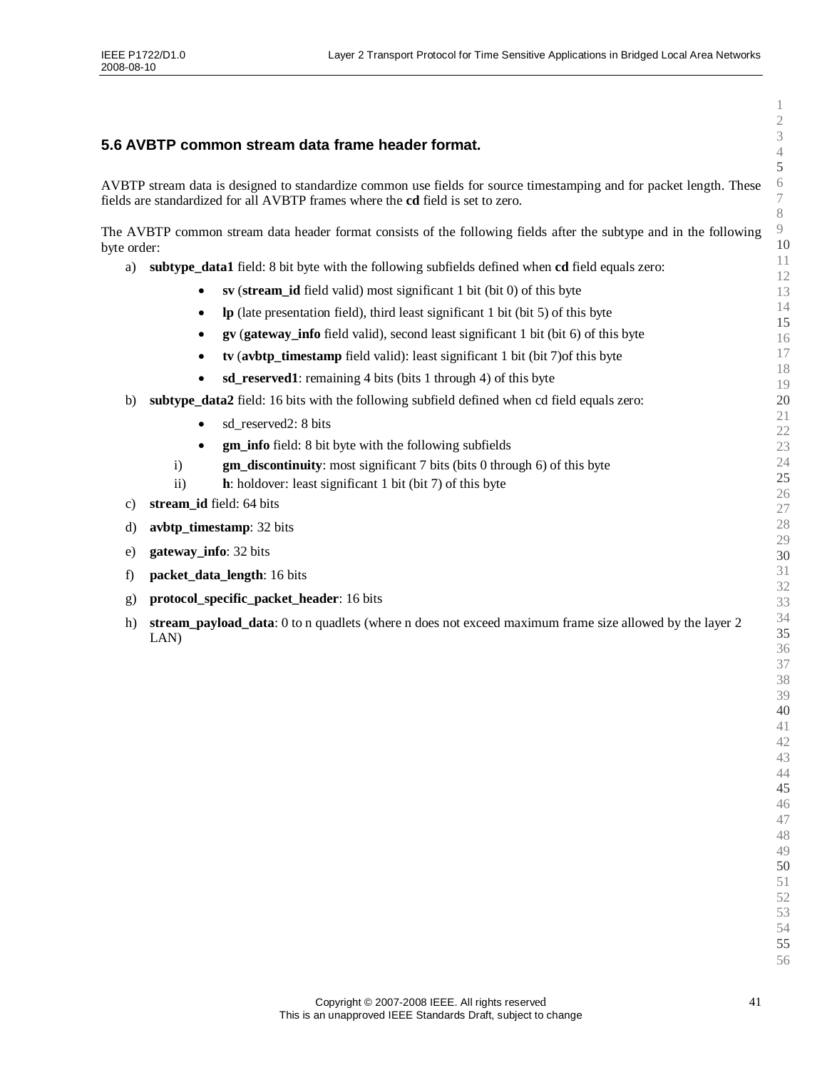## **5.6 AVBTP common stream data frame header format.**

AVBTP stream data is designed to standardize common use fields for source timestamping and for packet length. These fields are standardized for all AVBTP frames where the **cd** field is set to zero.

The AVBTP common stream data header format consists of the following fields after the subtype and in the following byte order:

- a) **subtype\_data1** field: 8 bit byte with the following subfields defined when **cd** field equals zero:
	- **sv** (**stream\_id** field valid) most significant 1 bit (bit 0) of this byte
	- **lp** (late presentation field), third least significant 1 bit (bit 5) of this byte
	- **gv** (**gateway\_info** field valid), second least significant 1 bit (bit 6) of this byte
	- **tv** (**avbtp\_timestamp** field valid): least significant 1 bit (bit 7)of this byte
	- **sd\_reserved1**: remaining 4 bits (bits 1 through 4) of this byte
- b) **subtype\_data2** field: 16 bits with the following subfield defined when cd field equals zero:
	- sd\_reserved2: 8 bits
	- **gm\_info** field: 8 bit byte with the following subfields
	- i) **gm\_discontinuity**: most significant 7 bits (bits 0 through 6) of this byte
	- ii) **h**: holdover: least significant 1 bit (bit 7) of this byte
- c) **stream\_id** field: 64 bits
- d) **avbtp\_timestamp**: 32 bits
- e) **gateway\_info**: 32 bits
- f) **packet\_data\_length**: 16 bits
- g) **protocol\_specific\_packet\_header**: 16 bits
- h) **stream\_payload\_data**: 0 to n quadlets (where n does not exceed maximum frame size allowed by the layer 2 LAN)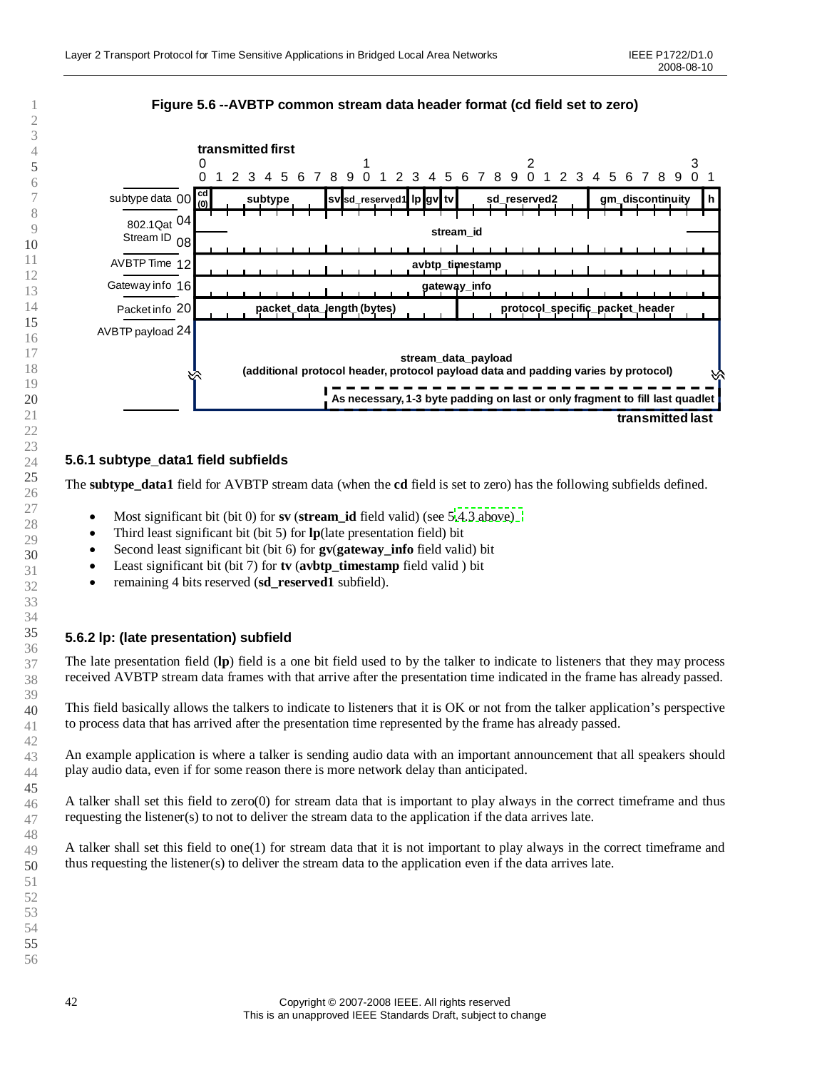



## **5.6.1 subtype\_data1 field subfields**

The **subtype\_data1** field for AVBTP stream data (when the **cd** field is set to zero) has the following subfields defined.

- Most significant bit (bit 0) for **sv** (**stream\_id** field valid) (see 5[.4.3 above\)](#page-36-2)
- Third least significant bit (bit 5) for **lp**(late presentation field) bit
- Second least significant bit (bit 6) for **gv**(**gateway\_info** field valid) bit
- Least significant bit (bit 7) for **tv** (**avbtp\_timestamp** field valid ) bit
- remaining 4 bits reserved (**sd\_reserved1** subfield).

## **5.6.2 lp: (late presentation) subfield**

The late presentation field (**lp**) field is a one bit field used to by the talker to indicate to listeners that they may process received AVBTP stream data frames with that arrive after the presentation time indicated in the frame has already passed.

This field basically allows the talkers to indicate to listeners that it is OK or not from the talker application's perspective to process data that has arrived after the presentation time represented by the frame has already passed.

An example application is where a talker is sending audio data with an important announcement that all speakers should play audio data, even if for some reason there is more network delay than anticipated.

A talker shall set this field to zero(0) for stream data that is important to play always in the correct timeframe and thus requesting the listener(s) to not to deliver the stream data to the application if the data arrives late.

A talker shall set this field to one(1) for stream data that it is not important to play always in the correct timeframe and thus requesting the listener(s) to deliver the stream data to the application even if the data arrives late.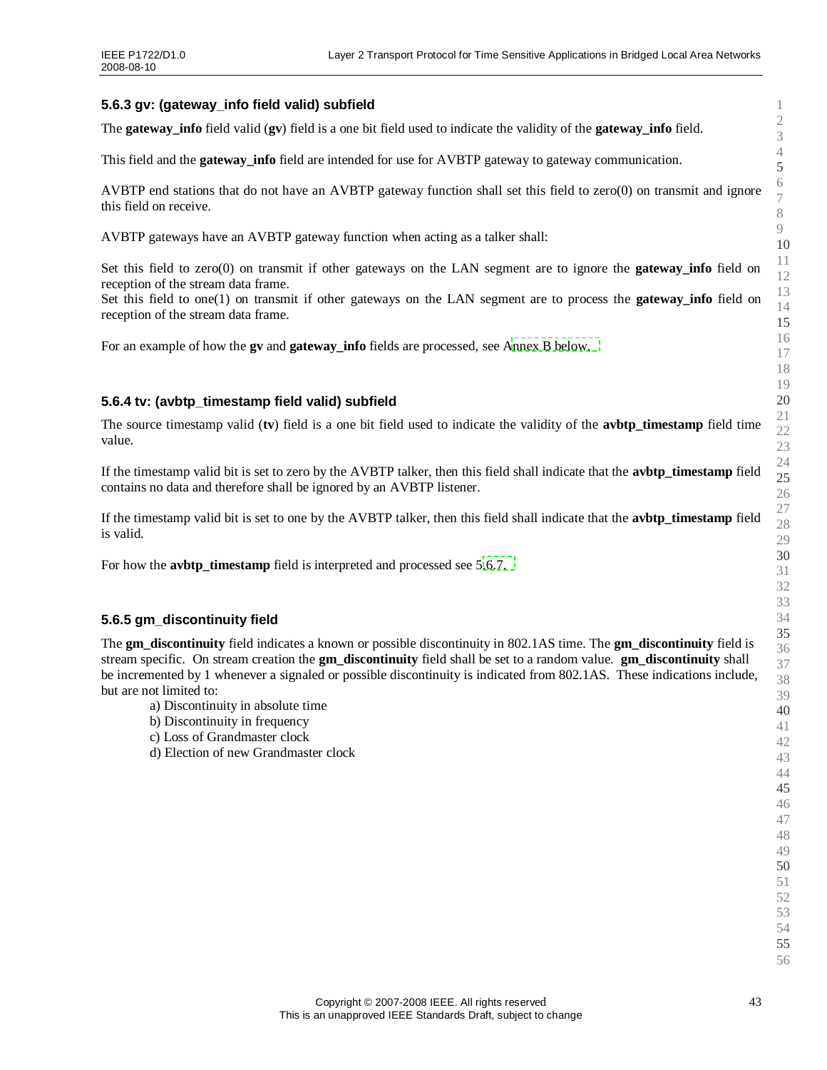#### **5.6.3 gv: (gateway\_info field valid) subfield**

The **gateway\_info** field valid (**gv**) field is a one bit field used to indicate the validity of the **gateway\_info** field.

This field and the **gateway info** field are intended for use for AVBTP gateway to gateway communication.

AVBTP end stations that do not have an AVBTP gateway function shall set this field to zero(0) on transmit and ignore this field on receive.

AVBTP gateways have an AVBTP gateway function when acting as a talker shall:

Set this field to zero(0) on transmit if other gateways on the LAN segment are to ignore the **gateway\_info** field on reception of the stream data frame.

Set this field to one(1) on transmit if other gateways on the LAN segment are to process the **gateway info** field on reception of the stream data frame.

For an example of how the **gv** and **gateway info** fields are processed, see [Annex B below.](#page-66-0)

#### **5.6.4 tv: (avbtp\_timestamp field valid) subfield**

The source timestamp valid (**tv**) field is a one bit field used to indicate the validity of the **avbtp\_timestamp** field time value.

If the timestamp valid bit is set to zero by the AVBTP talker, then this field shall indicate that the **avbtp\_timestamp** field contains no data and therefore shall be ignored by an AVBTP listener.

If the timestamp valid bit is set to one by the AVBTP talker, then this field shall indicate that the **avbtp\_timestamp** field is valid.

For how the **avbtp\_timestamp** field is interpreted and processed see 5[.6.7.](#page-43-0)

#### **5.6.5 gm\_discontinuity field**

The **gm\_discontinuity** field indicates a known or possible discontinuity in 802.1AS time. The **gm\_discontinuity** field is stream specific. On stream creation the **gm\_discontinuity** field shall be set to a random value. **gm\_discontinuity** shall be incremented by 1 whenever a signaled or possible discontinuity is indicated from 802.1AS. These indications include, but are not limited to:

- a) Discontinuity in absolute time
- b) Discontinuity in frequency
- c) Loss of Grandmaster clock
- d) Election of new Grandmaster clock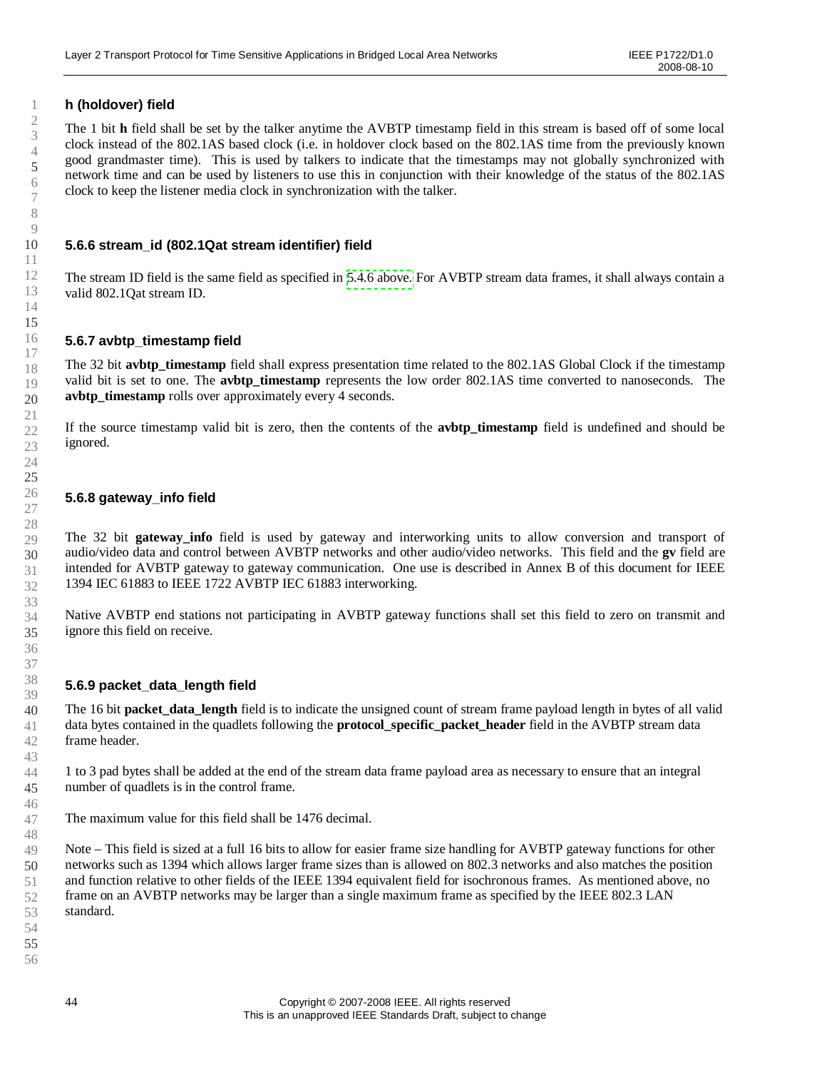#### **h (holdover) field**

<span id="page-43-1"></span>The 1 bit **h** field shall be set by the talker anytime the AVBTP timestamp field in this stream is based off of some local clock instead of the 802.1AS based clock (i.e. in holdover clock based on the 802.1AS time from the previously known good grandmaster time). This is used by talkers to indicate that the timestamps may not globally synchronized with network time and can be used by listeners to use this in conjunction with their knowledge of the status of the 802.1AS clock to keep the listener media clock in synchronization with the talker.

#### **5.6.6 stream\_id (802.1Qat stream identifier) field**

The stream ID field is the same field as specified in [5.4.6 above.](#page-36-2) For AVBTP stream data frames, it shall always contain a valid 802.1Qat stream ID.

#### <span id="page-43-0"></span>**5.6.7 avbtp\_timestamp field**

The 32 bit **avbtp\_timestamp** field shall express presentation time related to the 802.1AS Global Clock if the timestamp valid bit is set to one. The **avbtp\_timestamp** represents the low order 802.1AS time converted to nanoseconds. The **avbtp** timestamp rolls over approximately every 4 seconds.

If the source timestamp valid bit is zero, then the contents of the **avbtp timestamp** field is undefined and should be ignored.

#### **5.6.8 gateway\_info field**

The 32 bit **gateway info** field is used by gateway and interworking units to allow conversion and transport of audio/video data and control between AVBTP networks and other audio/video networks. This field and the **gv** field are intended for AVBTP gateway to gateway communication. One use is described in Annex B of this document for IEEE 1394 IEC 61883 to IEEE 1722 AVBTP IEC 61883 interworking.

Native AVBTP end stations not participating in AVBTP gateway functions shall set this field to zero on transmit and ignore this field on receive.

## **5.6.9 packet\_data\_length field**

The 16 bit **packet** data length field is to indicate the unsigned count of stream frame payload length in bytes of all valid data bytes contained in the quadlets following the **protocol\_specific\_packet\_header** field in the AVBTP stream data frame header.

1 to 3 pad bytes shall be added at the end of the stream data frame payload area as necessary to ensure that an integral number of quadlets is in the control frame.

The maximum value for this field shall be 1476 decimal.

Note –This field is sized at a full 16 bits to allow for easier frame size handling for AVBTP gateway functions for other networks such as 1394 which allows larger frame sizes than is allowed on 802.3 networks and also matches the position and function relative to other fields of the IEEE 1394 equivalent field for isochronous frames. As mentioned above, no frame on an AVBTP networks may be larger than a single maximum frame as specified by the IEEE 802.3 LAN standard.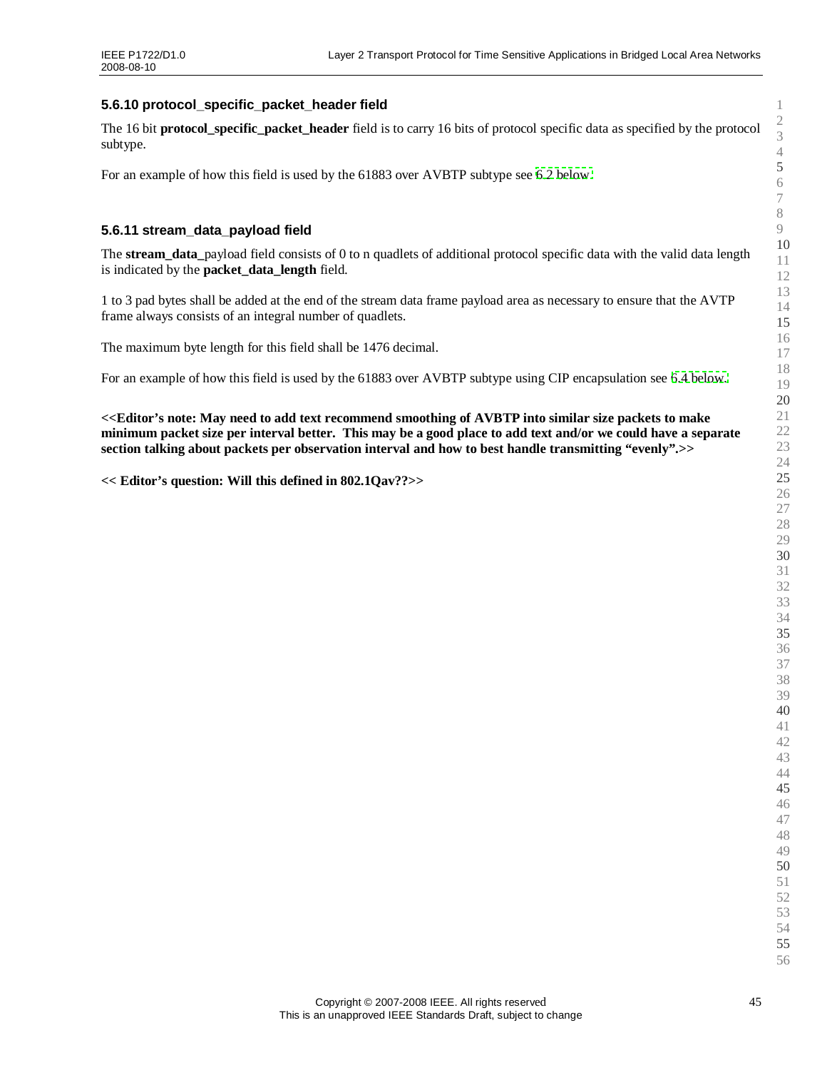#### **5.6.10 protocol\_specific\_packet\_header field**

The 16 bit **protocol** specific packet header field is to carry 16 bits of protocol specific data as specified by the protocol subtype.

For an example of how this field is used by the 61883 over AVBTP subtype see [6.2 below](#page-49-0)

#### **5.6.11 stream\_data\_payload field**

The **stream data** payload field consists of 0 to n quadlets of additional protocol specific data with the valid data length is indicated by the **packet\_data\_length** field.

1 to 3 pad bytes shall be added at the end of the stream data frame payload area as necessary to ensure that the AVTP frame always consists of an integral number of quadlets.

The maximum byte length for this field shall be 1476 decimal.

For an example of how this field is used by the 61883 over AVBTP subtype using CIP encapsulation see [6.4 below.](#page-52-0)

**<<Editor's note: May need to add text recommend smoothing of AVBTP into similar size packets to make minimum packet size per interval better. This may be a good place to add text and/or we could have a separate section talking about packets per observation interval and how to best handle transmitting "evenly".>>**

**<< Editor's question: Will this defined in 802.1Qav??>>**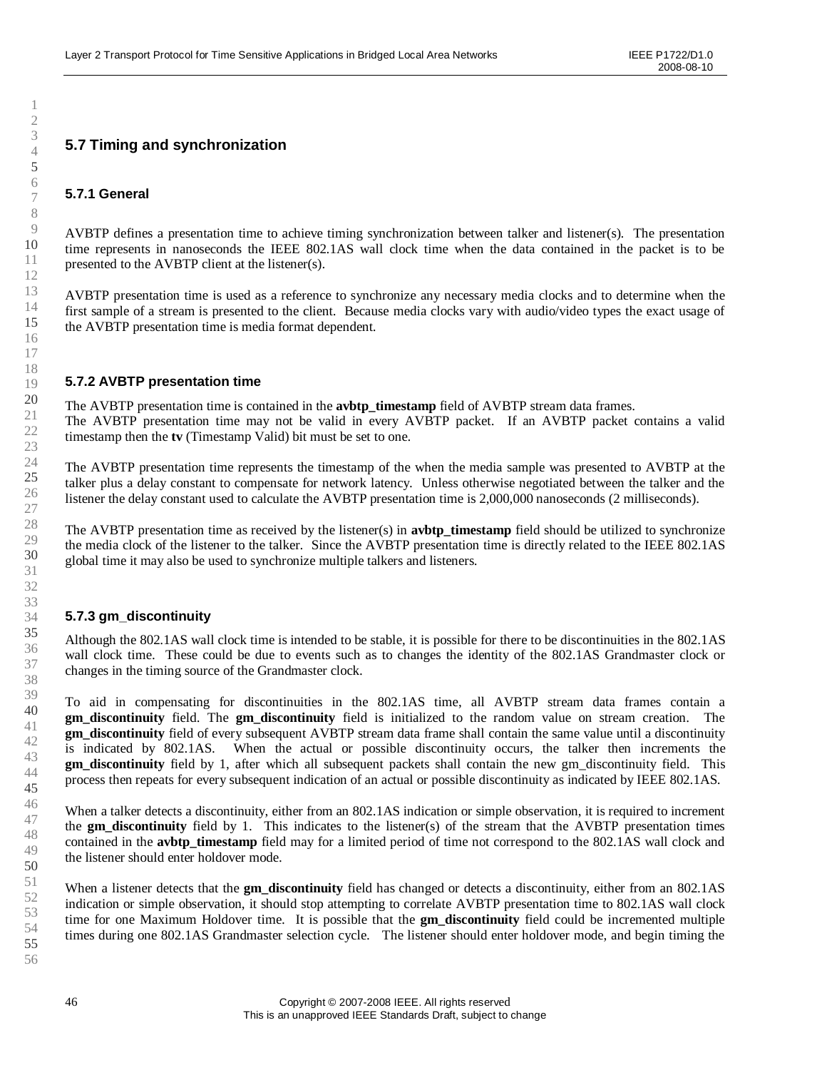# **5.7 Timing and synchronization**

## **5.7.1 General**

AVBTP defines a presentation time to achieve timing synchronization between talker and listener(s). The presentation time represents in nanoseconds the IEEE 802.1AS wall clock time when the data contained in the packet is to be presented to the AVBTP client at the listener(s).

AVBTP presentation time is used as a reference to synchronize any necessary media clocks and to determine when the first sample of a stream is presented to the client. Because media clocks vary with audio/video types the exact usage of the AVBTP presentation time is media format dependent.

#### **5.7.2 AVBTP presentation time**

The AVBTP presentation time is contained in the **avbtp timestamp** field of AVBTP stream data frames. The AVBTP presentation time may not be valid in every AVBTP packet. If an AVBTP packet contains a valid timestamp then the **tv** (Timestamp Valid) bit must be set to one.

The AVBTP presentation time represents the timestamp of the when the media sample was presented to AVBTP at the talker plus a delay constant to compensate for network latency. Unless otherwise negotiated between the talker and the listener the delay constant used to calculate the AVBTP presentation time is 2,000,000 nanoseconds (2 milliseconds).

The AVBTP presentation time as received by the listener(s) in **avbtp\_timestamp** field should be utilized to synchronize the media clock of the listener to the talker. Since the AVBTP presentation time is directly related to the IEEE 802.1AS global time it may also be used to synchronize multiple talkers and listeners.

## **5.7.3 gm\_discontinuity**

Although the 802.1AS wall clock time is intended to be stable, it is possible for there to be discontinuities in the 802.1AS wall clock time. These could be due to events such as to changes the identity of the 802.1AS Grandmaster clock or changes in the timing source of the Grandmaster clock.

To aid in compensating for discontinuities in the 802.1AS time, all AVBTP stream data frames contain a **gm\_discontinuity** field. The **gm\_discontinuity** field is initialized to the random value on stream creation. The **gm** discontinuity field of every subsequent AVBTP stream data frame shall contain the same value until a discontinuity is indicated by 802.1AS. When the actual or possible discontinuity occurs, the talker then increments the **gm\_discontinuity** field by 1, after which all subsequent packets shall contain the new gm\_discontinuity field. This process then repeats for every subsequent indication of an actual or possible discontinuity as indicated by IEEE 802.1AS.

When a talker detects a discontinuity, either from an 802.1AS indication or simple observation, it is required to increment the **gm\_discontinuity** field by 1. This indicates to the listener(s) of the stream that the AVBTP presentation times contained in the **avbtp timestamp** field may for a limited period of time not correspond to the 802.1AS wall clock and the listener should enter holdover mode.

When a listener detects that the **gm** discontinuity field has changed or detects a discontinuity, either from an 802.1AS indication or simple observation, it should stop attempting to correlate AVBTP presentation time to 802.1AS wall clock time for one Maximum Holdover time. It is possible that the **gm\_discontinuity** field could be incremented multiple times during one 802.1AS Grandmaster selection cycle. The listener should enter holdover mode, and begin timing the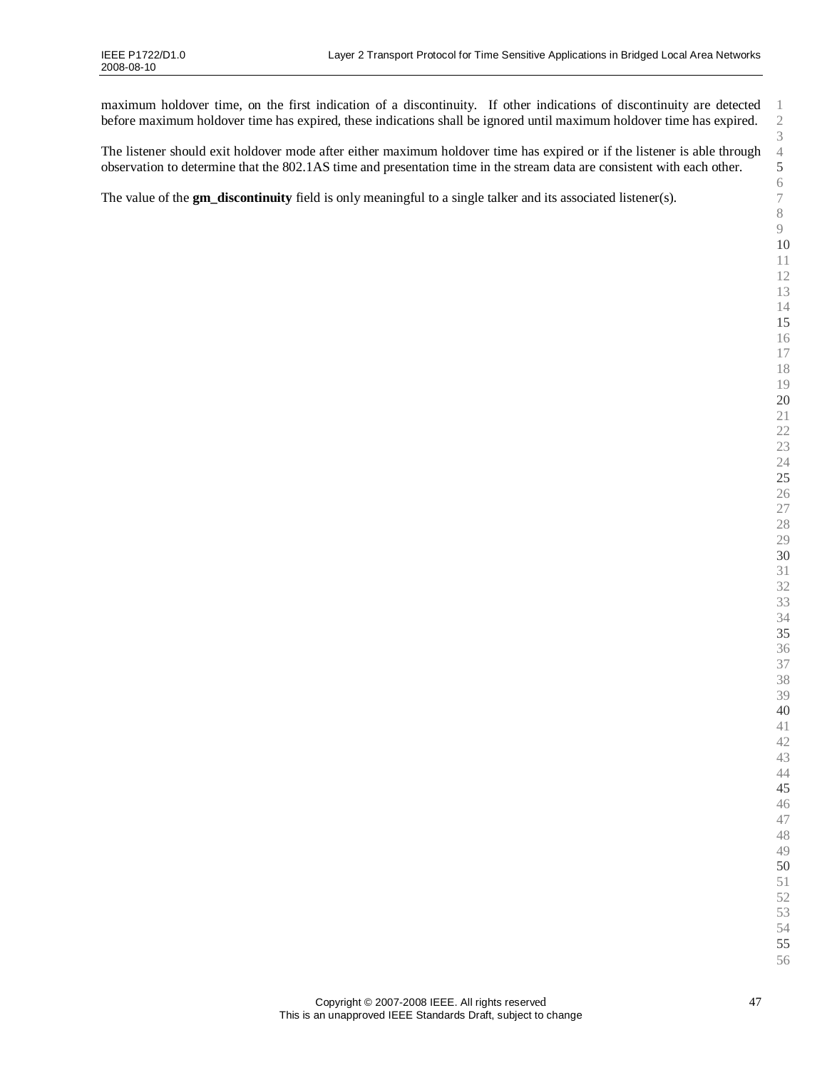before maximum holdover time has expired, these indications shall be ignored until maximum holdover time has expired. The listener should exit holdover mode after either maximum holdover time has expired or if the listener is able through observation to determine that the 802.1AS time and presentation time in the stream data are consistent with each other. The value of the **gm\_discontinuity** field is only meaningful to a single talker and its associated listener(s).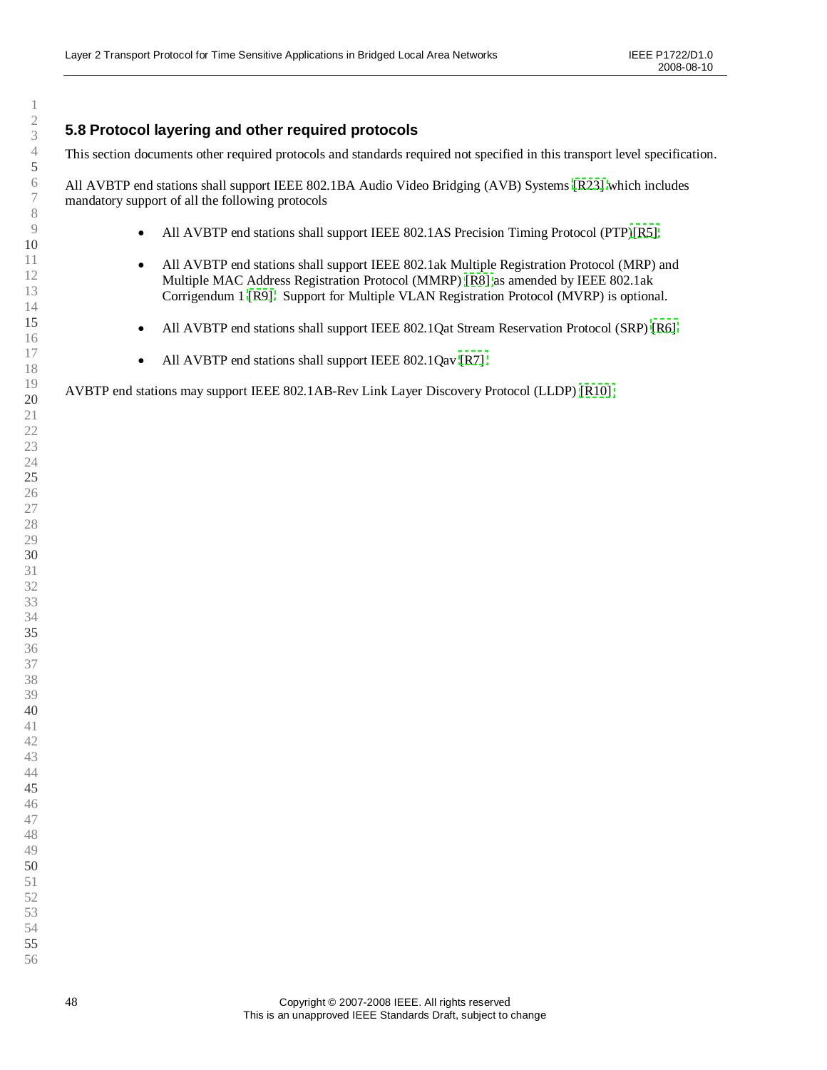## **5.8 Protocol layering and other required protocols**

This section documents other required protocols and standards required not specified in this transport level specification.

All AVBTP end stations shall support IEEE 802.1BA Audio Video Bridging (AVB) Systems [\[R23\]](#page-15-0) which includes mandatory support of all the following protocols

- All AVBTP end stations shall support IEEE 802.1AS Precision Timing Protocol(PTP[\)\[R5\].](#page-14-0)
- All AVBTP end stations shall support IEEE 802.1ak Multiple Registration Protocol (MRP) and Multiple MAC Address Registration Protocol (MMRP) [\[R8\]](#page-14-0) as amended by IEEE 802.1ak Corrigendum 1 [\[R9\].](#page-14-0) Support for Multiple VLAN Registration Protocol (MVRP) is optional.
- All AVBTP end stations shall support IEEE 802.1Qat Stream Reservation Protocol (SRP) [\[R6\].](#page-14-0)
- All AVBTP end stations shall support IEEE 802.1Qav [\[R7\]](#page-14-0)

AVBTP end stations may support IEEE 802.1AB-Rev Link Layer Discovery Protocol (LLDP) [\[R10\]](#page-14-0)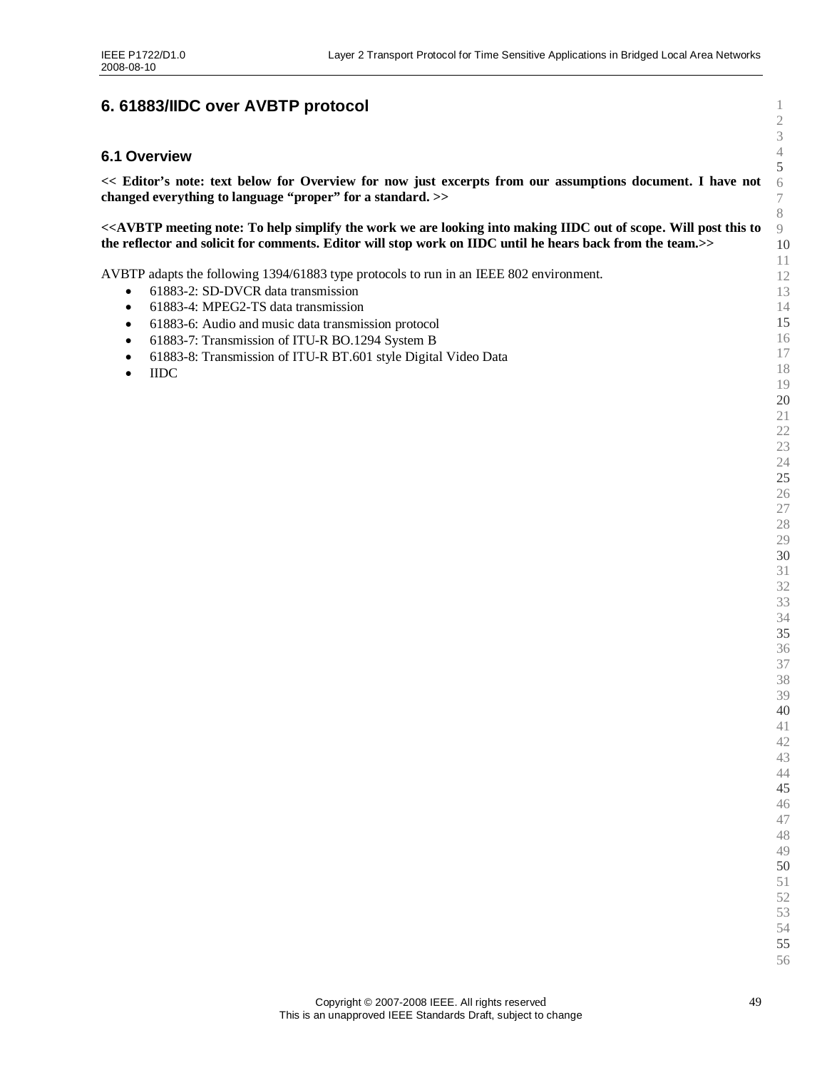# <span id="page-48-0"></span>**6. 61883/IIDC over AVBTP protocol**

#### **6.1 Overview**

**<< Editor's note: text below for Overview for now just excerpts from our assumptions document. I have not changed everything to language "proper"for a standard. >>**

**<<AVBTP meeting note: To help simplify the work we are looking into making IIDC out of scope. Will post this to the reflector and solicit for comments. Editor will stop work on IIDC until he hears back from the team.>>**

AVBTP adapts the following 1394/61883 type protocols to run in an IEEE 802 environment.

- 61883-2: SD-DVCR data transmission
- 61883-4: MPEG2-TS data transmission
- 61883-6: Audio and music data transmission protocol
- 61883-7: Transmission of ITU-R BO.1294 System B
- 61883-8: Transmission of ITU-R BT.601 style Digital Video Data
- IIDC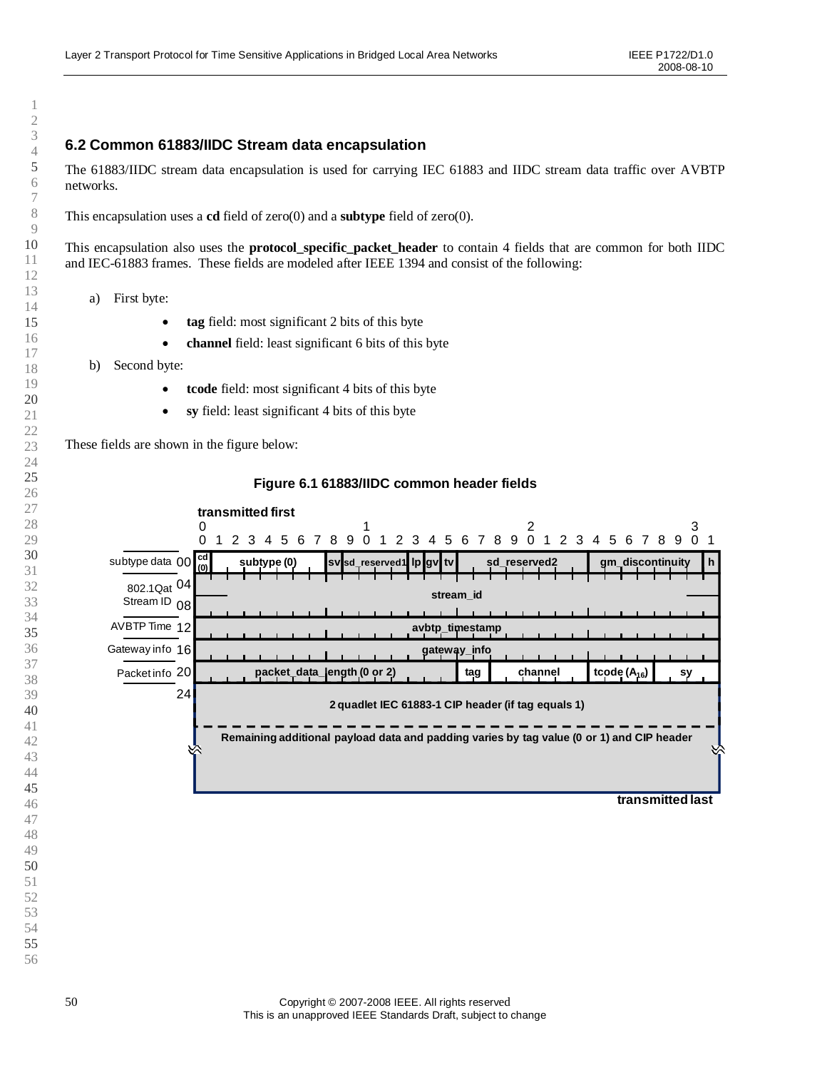## <span id="page-49-0"></span>**6.2 Common 61883/IIDC Stream data encapsulation**

The 61883/IIDC stream data encapsulation is used for carrying IEC 61883 and IIDC stream data traffic over AVBTP networks.

This encapsulation uses a **cd** field of zero(0) and a **subtype** field of zero(0).

This encapsulation also uses the **protocol\_specific\_packet\_header** to contain 4 fields that are common for both IIDC and IEC-61883 frames. These fields are modeled after IEEE 1394 and consist of the following:

- a) First byte:
	- **tag** field: most significant 2 bits of this byte
	- **channel** field: least significant 6 bits of this byte
- b) Second byte:
	- **tcode** field: most significant 4 bits of this byte
	- **sy** field: least significant 4 bits of this byte

These fields are shown in the figure below:



#### **Figure 6.1 61883/IIDC common header fields**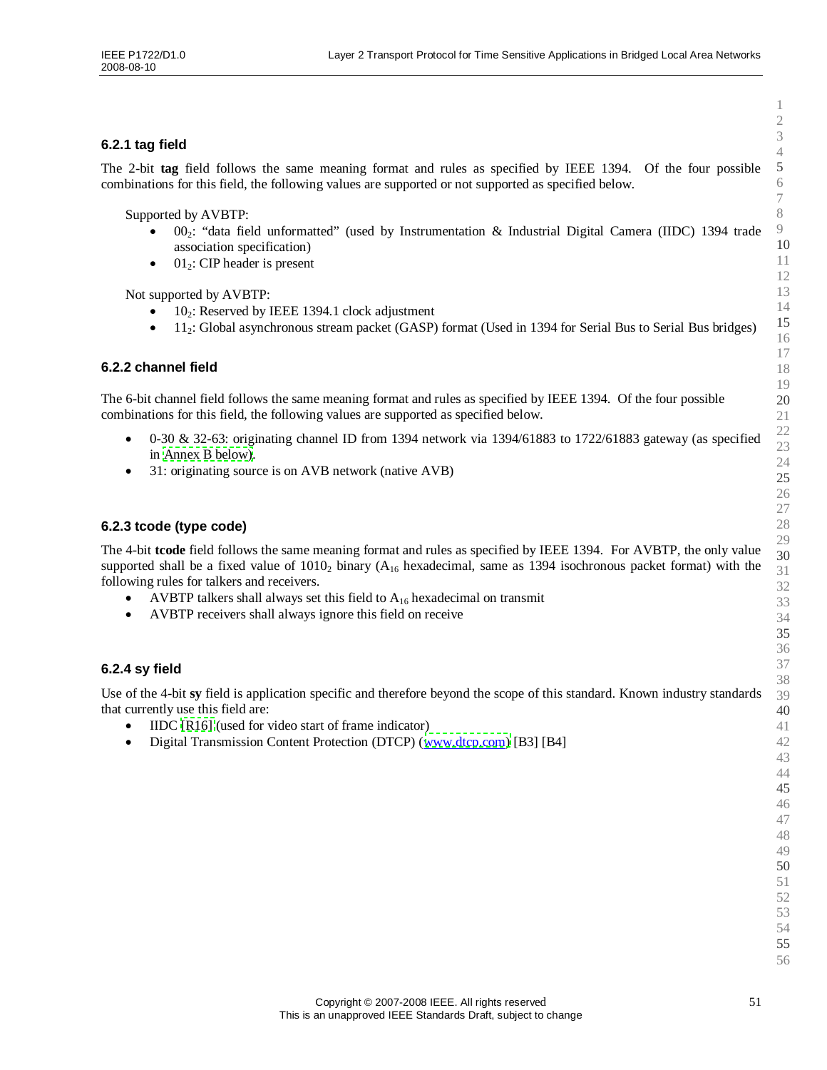#### **6.2.1 tag field**

The 2-bit **tag** field follows the same meaning format and rules as specified by IEEE 1394. Of the four possible combinations for this field, the following values are supported or not supported as specified below.

Supported by AVBTP:

- 002: "data field unformatted" (used by Instrumentation & Industrial Digital Camera (IIDC) 1394 trade association specification)
- $\bullet$  01<sup>2</sup>: CIP header is present

Not supported by AVBTP:

- 102: Reserved by IEEE 1394.1 clock adjustment
- 112: Global asynchronous stream packet (GASP) format (Used in 1394 for Serial Bus to Serial Bus bridges)

#### **6.2.2 channel field**

The 6-bit channel field follows the same meaning format and rules as specified by IEEE 1394. Of the four possible combinations for this field, the following values are supported as specified below.

- $\bullet$  0-30 & 32-63: originating channel ID from 1394 network via 1394/61883 to 1722/61883 gateway (as specified in [Annex B below\).](#page-66-0)
- 31: originating source is on AVB network (native AVB)

#### **6.2.3 tcode (type code)**

The 4-bit **tcode** field follows the same meaning format and rules as specified by IEEE 1394. For AVBTP, the only value supported shall be a fixed value of  $1010<sub>2</sub>$  binary (A<sub>16</sub> hexadecimal, same as 1394 isochronous packet format) with the following rules for talkers and receivers.

- AVBTP talkers shall always set this field to  $A_{16}$  hexadecimal on transmit
- AVBTP receivers shall always ignore this field on receive

#### **6.2.4 sy field**

Use of the 4-bit **sy** field is application specific and therefore beyond the scope of this standard. Known industry standards that currently use this field are:

- IIDC [\[R16\]](#page-15-0) (used for video start of frame indicator)
- Digital Transmission Content Protection (DTCP)([www.dtcp.com\)](http://www.dtcp.com/) [B3] [B4]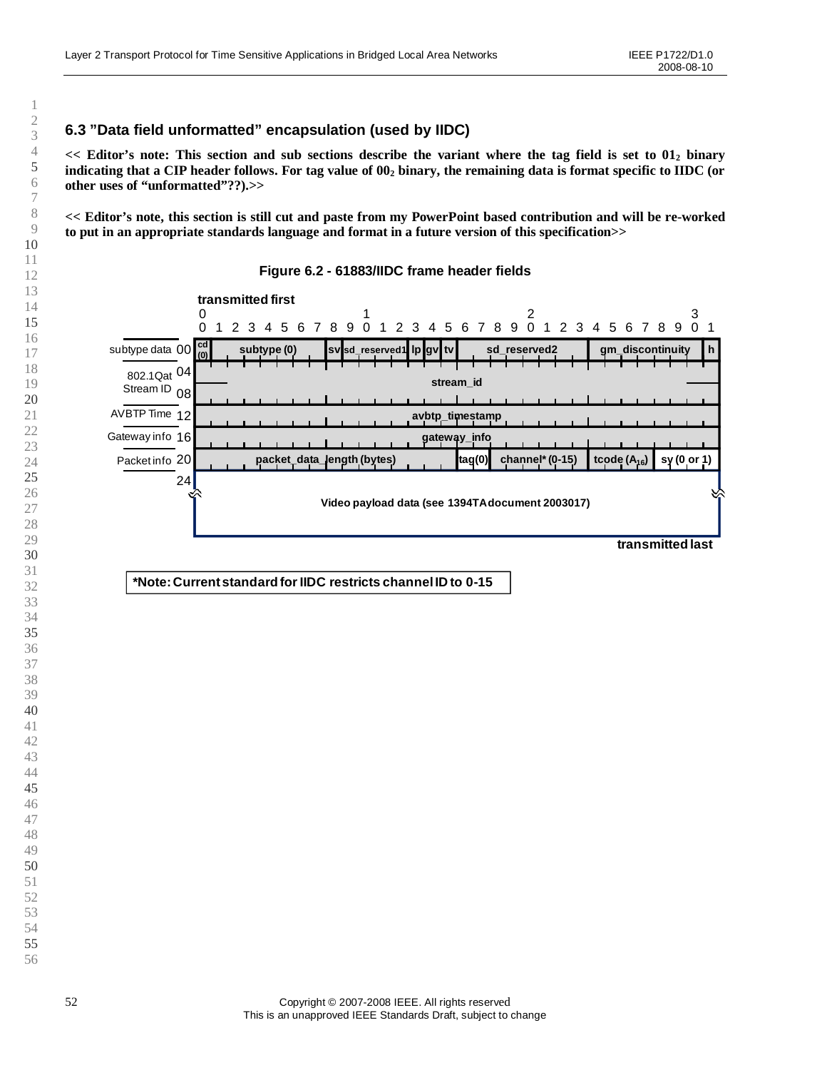# **6.3 "Data field unformatted"encapsulation (used by IIDC)**

**<< Editor's note: This section and sub sections describe the variant where the tag field is set to 01<sup>2</sup> binary indicating that a CIP header follows. For tag value of 00<sup>2</sup> binary, the remaining data is format specific to IIDC (or other uses of "unformatted"??).>>**

**<< Editor's note, this section is still cut and paste from my PowerPoint based contribution and will be re-worked to put in an appropriate standards language and format in a future version of this specification>>**



#### **Figure 6.2 - 61883/IIDC frame header fields**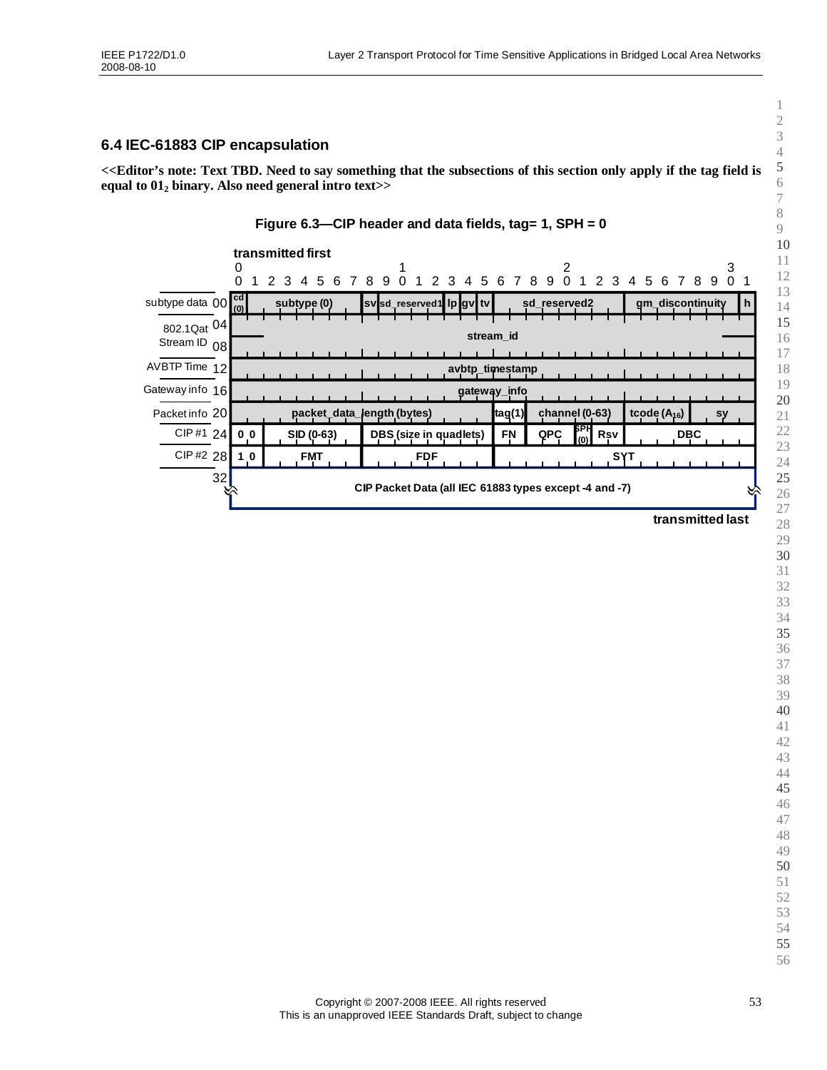## <span id="page-52-0"></span>**6.4 IEC-61883 CIP encapsulation**

**<<Editor's note: Text TBD. Need to say something that the subsections of this section only apply if the tag field is equal to 01<sup>2</sup> binary. Also need general intro text>>**

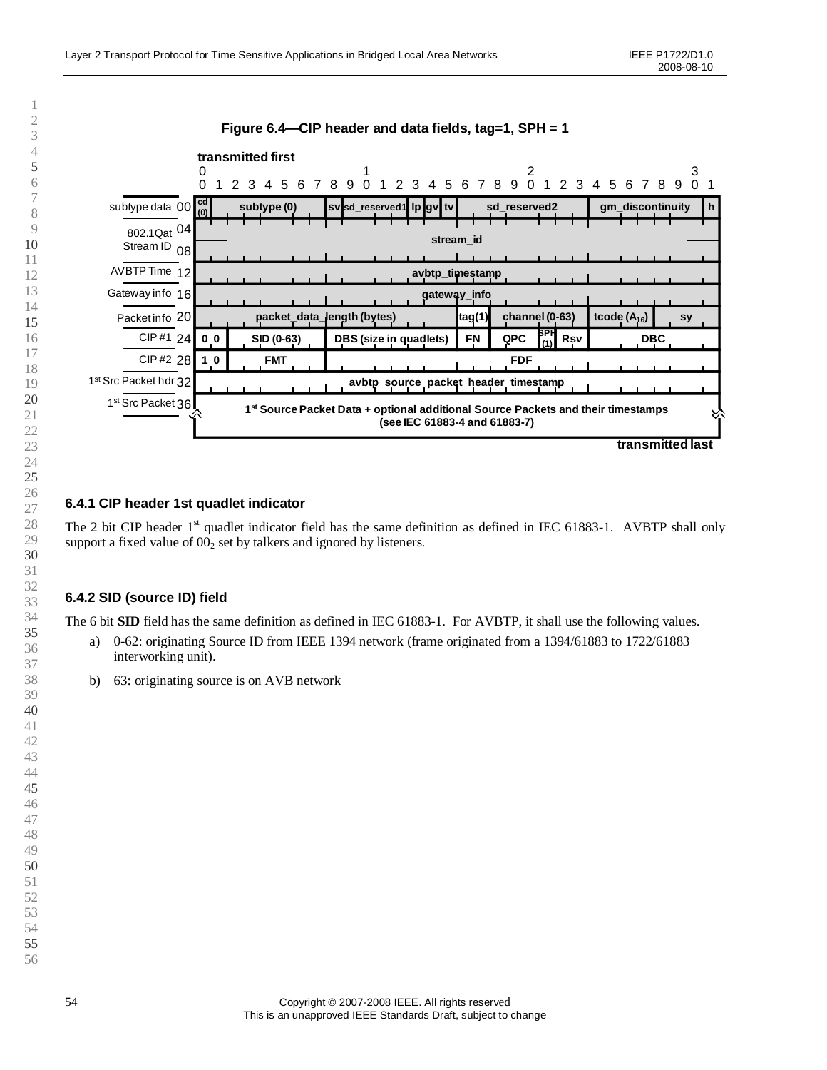

#### **Figure 6.4— CIP header and data fields, tag=1, SPH = 1**

#### **6.4.1 CIP header 1st quadlet indicator**

The 2 bit CIP header 1<sup>st</sup> quadlet indicator field has the same definition as defined in IEC 61883-1. AVBTP shall only support a fixed value of  $00<sub>2</sub>$  set by talkers and ignored by listeners.

#### **6.4.2 SID (source ID) field**

The 6 bit **SID** field has the same definition as defined in IEC 61883-1. For AVBTP, it shall use the following values.

- a) 0-62: originating Source ID from IEEE 1394 network (frame originated from a 1394/61883 to 1722/61883 interworking unit).
- b) 63: originating source is on AVB network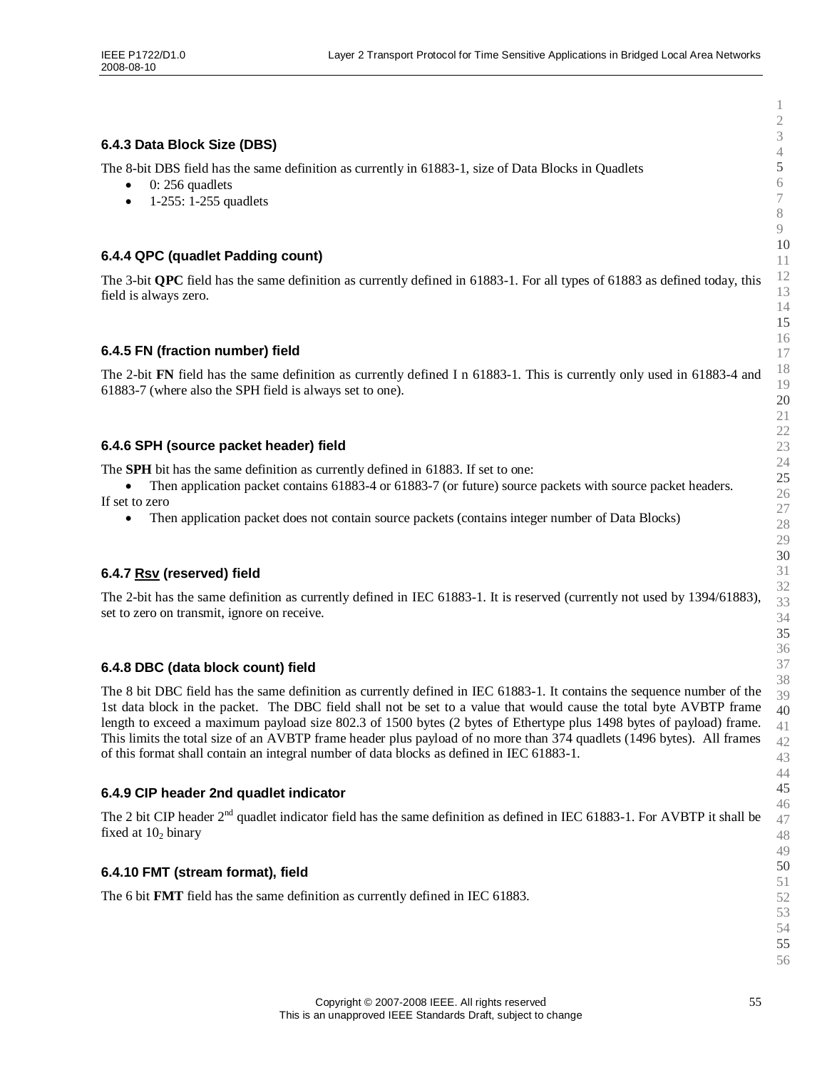#### **6.4.3 Data Block Size (DBS)**

The 8-bit DBS field has the same definition as currently in 61883-1, size of Data Blocks in Quadlets

- $\bullet$  0: 256 quadlets
- $\bullet$  1-255: 1-255 quadlets

#### **6.4.4 QPC (quadlet Padding count)**

The 3-bit **QPC** field has the same definition as currently defined in 61883-1. For all types of 61883 as defined today, this field is always zero.

#### **6.4.5 FN (fraction number) field**

The 2-bit **FN** field has the same definition as currently defined I n 61883-1. This is currently only used in 61883-4 and 61883-7 (where also the SPH field is always set to one).

#### **6.4.6 SPH (source packet header) field**

The **SPH** bit has the same definition as currently defined in 61883. If set to one:

• Then application packet contains 61883-4 or 61883-7 (or future) source packets with source packet headers. If set to zero

• Then application packet does not contain source packets (contains integer number of Data Blocks)

## **6.4.7 Rsv (reserved) field**

The 2-bit has the same definition as currently defined in IEC 61883-1. It is reserved (currently not used by 1394/61883), set to zero on transmit, ignore on receive.

#### **6.4.8 DBC (data block count) field**

The 8 bit DBC field has the same definition as currently defined in IEC 61883-1. It contains the sequence number of the 1st data block in the packet. The DBC field shall not be set to a value that would cause the total byte AVBTP frame length to exceed a maximum payload size 802.3 of 1500 bytes (2 bytes of Ethertype plus 1498 bytes of payload) frame. This limits the total size of an AVBTP frame header plus payload of no more than 374 quadlets (1496 bytes). All frames of this format shall contain an integral number of data blocks as defined in IEC 61883-1.

#### **6.4.9 CIP header 2nd quadlet indicator**

The 2 bit CIP header 2<sup>nd</sup> quadlet indicator field has the same definition as defined in IEC 61883-1. For AVBTP it shall be fixed at  $10<sub>2</sub>$  binary

#### **6.4.10 FMT (stream format), field**

The 6 bit **FMT** field has the same definition as currently defined in IEC 61883.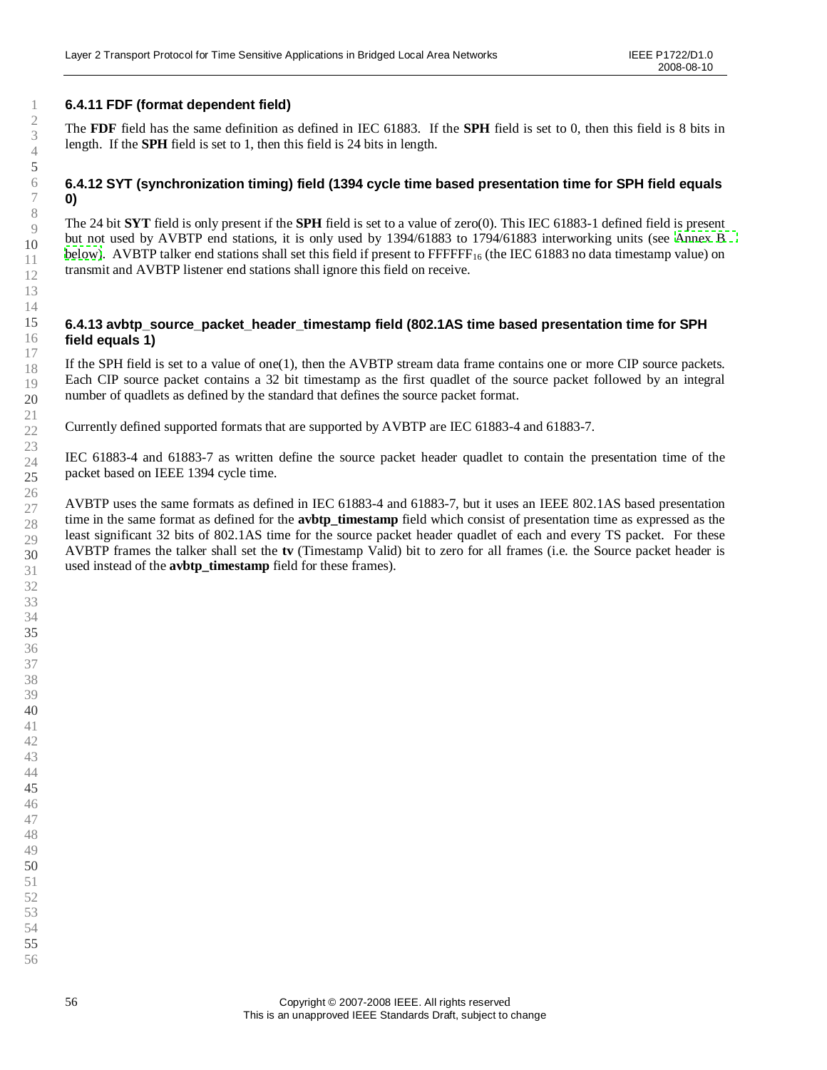#### **6.4.11 FDF (format dependent field)**

The **FDF** field has the same definition as defined in IEC 61883. If the **SPH** field is set to 0, then this field is 8 bits in length. If the **SPH** field is set to 1, then this field is 24 bits in length.

#### **6.4.12 SYT (synchronization timing) field (1394 cycle time based presentation time for SPH field equals 0)**

The 24 bit **SYT** field is only present if the **SPH** field is set to a value of zero(0). This IEC 61883-1 defined field is present but not used by AVBTP end stations, it is only used by 1394/61883 to 1794/61883 interworking units (see [Annex B](#page-66-0) [below\)](#page-66-0). AVBTP talker end stations shall set this field if present to FFFFFF<sub>16</sub> (the IEC 61883 no data timestamp value) on transmit and AVBTP listener end stations shall ignore this field on receive.

#### **6.4.13 avbtp\_source\_packet\_header\_timestamp field (802.1AS time based presentation time for SPH field equals 1)**

If the SPH field is set to a value of one(1), then the AVBTP stream data frame contains one or more CIP source packets. Each CIP source packet contains a 32 bit timestamp as the first quadlet of the source packet followed by an integral number of quadlets as defined by the standard that defines the source packet format.

Currently defined supported formats that are supported by AVBTP are IEC 61883-4 and 61883-7.

IEC 61883-4 and 61883-7 as written define the source packet header quadlet to contain the presentation time of the packet based on IEEE 1394 cycle time.

AVBTP uses the same formats as defined in IEC 61883-4 and 61883-7, but it uses an IEEE 802.1AS based presentation time in the same format as defined for the **avbtp\_timestamp** field which consist of presentation time as expressed as the least significant 32 bits of 802.1AS time for the source packet header quadlet of each and every TS packet. For these AVBTP frames the talker shall set the **tv** (Timestamp Valid) bit to zero for all frames (i.e. the Source packet header is used instead of the **avbtp** timestamp field for these frames).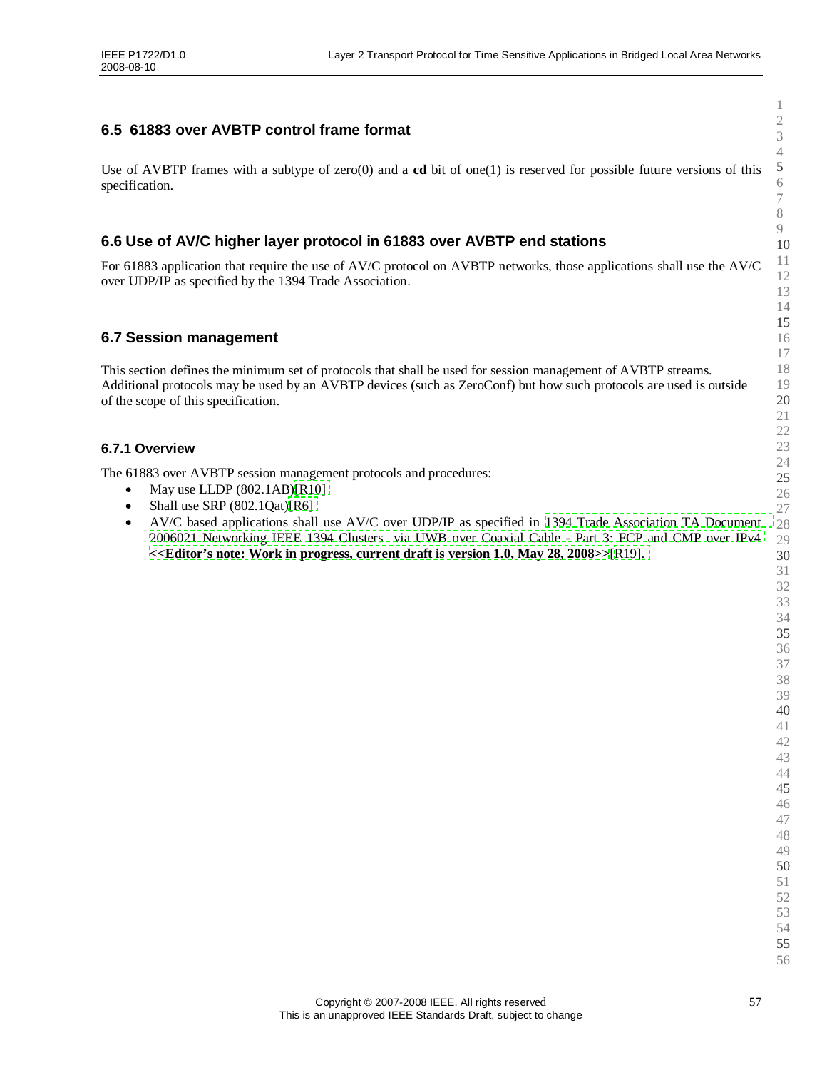# **6.5 61883 over AVBTP control frame format**

Use of AVBTP frames with a subtype of zero(0) and a **cd** bit of one(1) is reserved for possible future versions of this specification.

## **6.6 Use of AV/C higher layer protocol in 61883 over AVBTP end stations**

For 61883 application that require the use of AV/C protocol on AVBTP networks, those applications shall use the AV/C over UDP/IP as specified by the 1394 Trade Association.

## **6.7 Session management**

This section defines the minimum set of protocols that shall be used for session management of AVBTP streams. Additional protocols may be used by an AVBTP devices (such as ZeroConf) but how such protocols are used is outside of the scope of this specification.

## **6.7.1 Overview**

The 61883 over AVBTP session management protocols and procedures:

- May use LLDP  $(802.1AB)[R10]$  $(802.1AB)[R10]$
- Shall use SRP (802.1Qat)[\[R6\]](#page-14-0)
- AV/C based applications shall use AV/C over UDP/IP as specified in [1394 Trade Association TA Document](#page-15-0) Networking IEEE 1394 Clusters via UWB over Coaxial Cable - [Part 3: FCP and CMP over IPv4](#page-15-0) **[<<Editor's note: Work in progress, current draft is](#page-15-0) version 1.0, May 28, 2008>>**[\[R19\].](#page-15-0)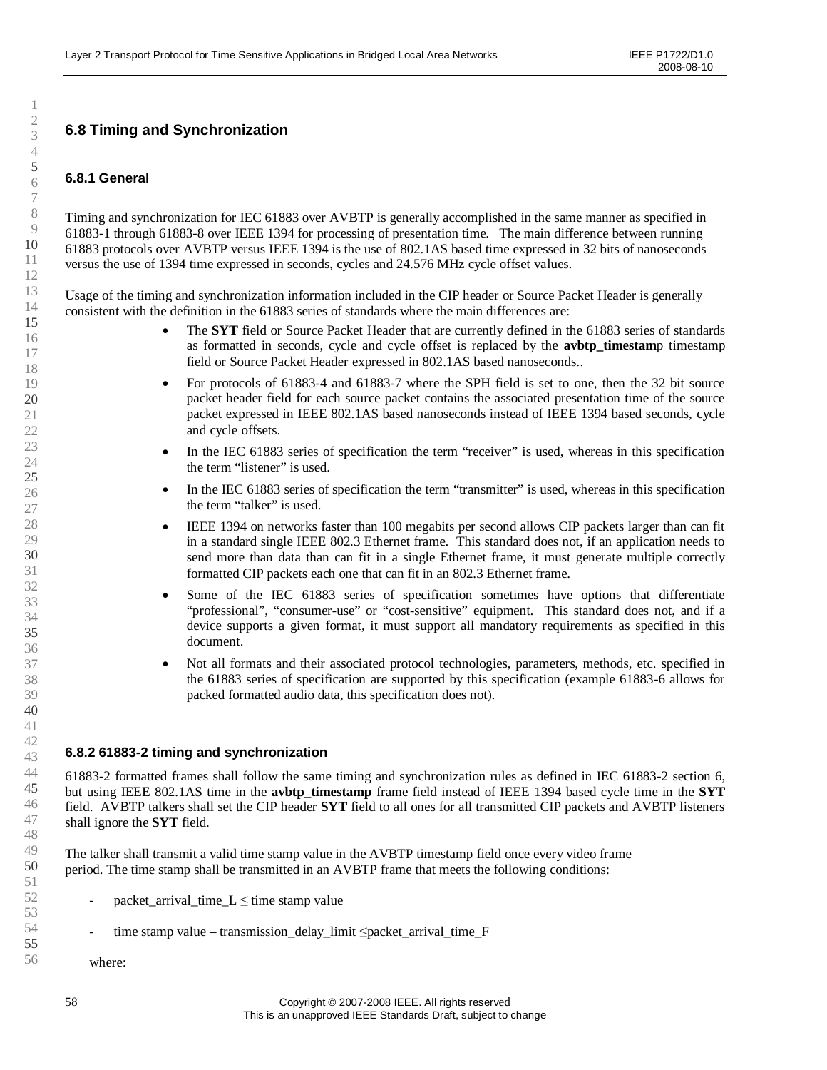# **6.8 Timing and Synchronization**

## **6.8.1 General**

1 2

> Timing and synchronization for IEC 61883 over AVBTP is generally accomplished in the same manner as specified in 61883-1 through 61883-8 over IEEE 1394 for processing of presentation time. The main difference between running 61883 protocols over AVBTP versus IEEE 1394 is the use of 802.1AS based time expressed in 32 bits of nanoseconds versus the use of 1394 time expressed in seconds, cycles and 24.576 MHz cycle offset values.

> Usage of the timing and synchronization information included in the CIP header or Source Packet Header is generally consistent with the definition in the 61883 series of standards where the main differences are:

- The **SYT** field or Source Packet Header that are currently defined in the 61883 series of standards as formatted in seconds, cycle and cycle offset is replaced by the **avbtp\_timestam**p timestamp field or Source Packet Header expressed in 802.1AS based nanoseconds..
- For protocols of 61883-4 and 61883-7 where the SPH field is set to one, then the 32 bit source packet header field for each source packet contains the associated presentation time of the source packet expressed in IEEE 802.1AS based nanoseconds instead of IEEE 1394 based seconds, cycle and cycle offsets.
- In the IEC 61883 series of specification the term "receiver"is used, whereas in this specification the term "listener"is used.
- In the IEC 61883 series of specification the term "transmitter"is used, whereas in this specification the term "talker" is used.
- IEEE 1394 on networks faster than 100 megabits per second allows CIP packets larger than can fit in a standard single IEEE 802.3 Ethernet frame. This standard does not, if an application needs to send more than data than can fit in a single Ethernet frame, it must generate multiple correctly formatted CIP packets each one that can fit in an 802.3 Ethernet frame.
- Some of the IEC 61883 series of specification sometimes have options that differentiate "professional", "consumer-use" or "cost-sensitive" equipment. This standard does not, and if a device supports a given format, it must support all mandatory requirements as specified in this document.
- Not all formats and their associated protocol technologies, parameters, methods, etc. specified in the 61883 series of specification are supported by this specification (example 61883-6 allows for packed formatted audio data, this specification does not).

#### **6.8.2 61883-2 timing and synchronization**

61883-2 formatted frames shall follow the same timing and synchronization rules as defined in IEC 61883-2 section 6, but using IEEE 802.1AS time in the **avbtp\_timestamp** frame field instead of IEEE 1394 based cycle time in the **SYT** field. AVBTP talkers shall set the CIP header **SYT** field to all ones for all transmitted CIP packets and AVBTP listeners shall ignore the **SYT** field.

The talker shall transmit a valid time stamp value in the AVBTP timestamp field once every video frame period. The time stamp shall be transmitted in an AVBTP frame that meets the following conditions:

- packet arrival time  $L \leq$  time stamp value
- time stamp value transmission delay limit  $\leq$ packet arrival time F

where: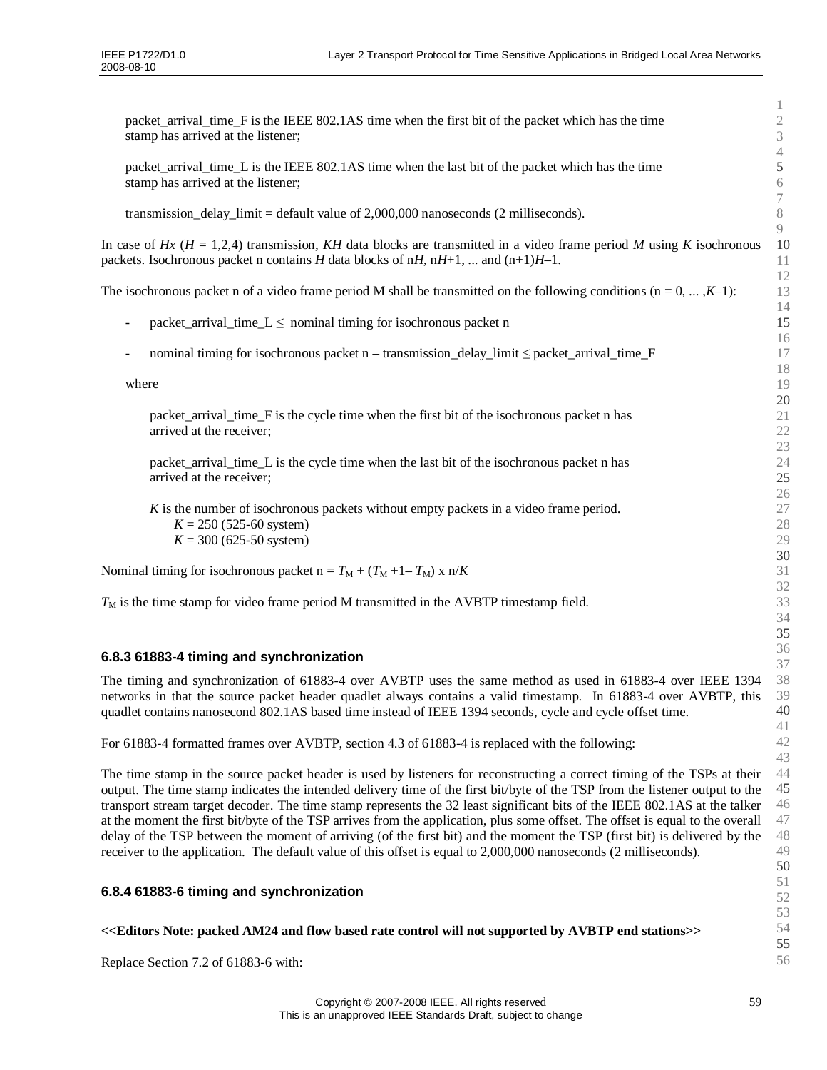| packet_arrival_time_F is the IEEE 802.1AS time when the first bit of the packet which has the time<br>stamp has arrived at the listener;                                                                                                                                                                                                                                                                                                                                                                                                                                                                                                                                                                                                                                   | $\pm$<br>$\mathbf{2}$<br>3                       |
|----------------------------------------------------------------------------------------------------------------------------------------------------------------------------------------------------------------------------------------------------------------------------------------------------------------------------------------------------------------------------------------------------------------------------------------------------------------------------------------------------------------------------------------------------------------------------------------------------------------------------------------------------------------------------------------------------------------------------------------------------------------------------|--------------------------------------------------|
| packet_arrival_time_L is the IEEE 802.1AS time when the last bit of the packet which has the time<br>stamp has arrived at the listener;                                                                                                                                                                                                                                                                                                                                                                                                                                                                                                                                                                                                                                    | 4<br>5<br>6                                      |
| transmission_delay_limit = default value of $2,000,000$ nanoseconds (2 milliseconds).                                                                                                                                                                                                                                                                                                                                                                                                                                                                                                                                                                                                                                                                                      | 7<br>8                                           |
| In case of Hx ( $H = 1,2,4$ ) transmission, KH data blocks are transmitted in a video frame period M using K isochronous<br>packets. Isochronous packet n contains H data blocks of $nH$ , $nH+1$ ,  and $(n+1)H-1$ .                                                                                                                                                                                                                                                                                                                                                                                                                                                                                                                                                      | $\overline{9}$<br>10<br>11                       |
| The isochronous packet n of a video frame period M shall be transmitted on the following conditions ( $n = 0, , K-1$ ):                                                                                                                                                                                                                                                                                                                                                                                                                                                                                                                                                                                                                                                    | 12<br>13<br>14                                   |
| packet_arrival_time_ $L \le$ nominal timing for isochronous packet n                                                                                                                                                                                                                                                                                                                                                                                                                                                                                                                                                                                                                                                                                                       | 15<br>16                                         |
| nominal timing for isochronous packet $n -$ transmission_delay_limit $\leq$ packet_arrival_time_F                                                                                                                                                                                                                                                                                                                                                                                                                                                                                                                                                                                                                                                                          | 17<br>18                                         |
| where                                                                                                                                                                                                                                                                                                                                                                                                                                                                                                                                                                                                                                                                                                                                                                      | 19<br>20                                         |
| packet_arrival_time_F is the cycle time when the first bit of the isochronous packet n has<br>arrived at the receiver;                                                                                                                                                                                                                                                                                                                                                                                                                                                                                                                                                                                                                                                     | 21<br>$22\,$                                     |
| packet_arrival_time_L is the cycle time when the last bit of the isochronous packet n has<br>arrived at the receiver;                                                                                                                                                                                                                                                                                                                                                                                                                                                                                                                                                                                                                                                      | 23<br>24<br>25                                   |
| $K$ is the number of isochronous packets without empty packets in a video frame period.<br>$K = 250$ (525-60 system)<br>$K = 300 (625 - 50$ system)                                                                                                                                                                                                                                                                                                                                                                                                                                                                                                                                                                                                                        | 26<br>27<br>28<br>29                             |
| Nominal timing for isochronous packet $n = T_M + (T_M + 1 - T_M) \times n/K$                                                                                                                                                                                                                                                                                                                                                                                                                                                                                                                                                                                                                                                                                               | 30<br>31                                         |
| $T_M$ is the time stamp for video frame period M transmitted in the AVBTP timestamp field.                                                                                                                                                                                                                                                                                                                                                                                                                                                                                                                                                                                                                                                                                 | 32<br>33<br>34<br>35                             |
| 6.8.3 61883-4 timing and synchronization                                                                                                                                                                                                                                                                                                                                                                                                                                                                                                                                                                                                                                                                                                                                   | 36                                               |
| The timing and synchronization of 61883-4 over AVBTP uses the same method as used in 61883-4 over IEEE 1394<br>networks in that the source packet header quadlet always contains a valid timestamp. In 61883-4 over AVBTP, this<br>quadlet contains nanosecond 802.1AS based time instead of IEEE 1394 seconds, cycle and cycle offset time.                                                                                                                                                                                                                                                                                                                                                                                                                               | 37<br>38<br>39<br>40<br>41                       |
| For 61883-4 formatted frames over AVBTP, section 4.3 of 61883-4 is replaced with the following:                                                                                                                                                                                                                                                                                                                                                                                                                                                                                                                                                                                                                                                                            | 42<br>43                                         |
| The time stamp in the source packet header is used by listeners for reconstructing a correct timing of the TSPs at their<br>output. The time stamp indicates the intended delivery time of the first bit/byte of the TSP from the listener output to the<br>transport stream target decoder. The time stamp represents the 32 least significant bits of the IEEE 802.1AS at the talker<br>at the moment the first bit/byte of the TSP arrives from the application, plus some offset. The offset is equal to the overall<br>delay of the TSP between the moment of arriving (of the first bit) and the moment the TSP (first bit) is delivered by the<br>receiver to the application. The default value of this offset is equal to 2,000,000 nanoseconds (2 milliseconds). | $44$<br>45<br>46<br>$47\,$<br>$48\,$<br>49<br>50 |
| 6.8.4 61883-6 timing and synchronization                                                                                                                                                                                                                                                                                                                                                                                                                                                                                                                                                                                                                                                                                                                                   | 51<br>52                                         |
| < <editors am24="" and="" avbtp="" based="" by="" control="" end="" flow="" not="" note:="" packed="" rate="" stations="" supported="" will="">&gt;</editors>                                                                                                                                                                                                                                                                                                                                                                                                                                                                                                                                                                                                              | 53<br>54<br>55                                   |
| Replace Section 7.2 of 61883-6 with:                                                                                                                                                                                                                                                                                                                                                                                                                                                                                                                                                                                                                                                                                                                                       | 56                                               |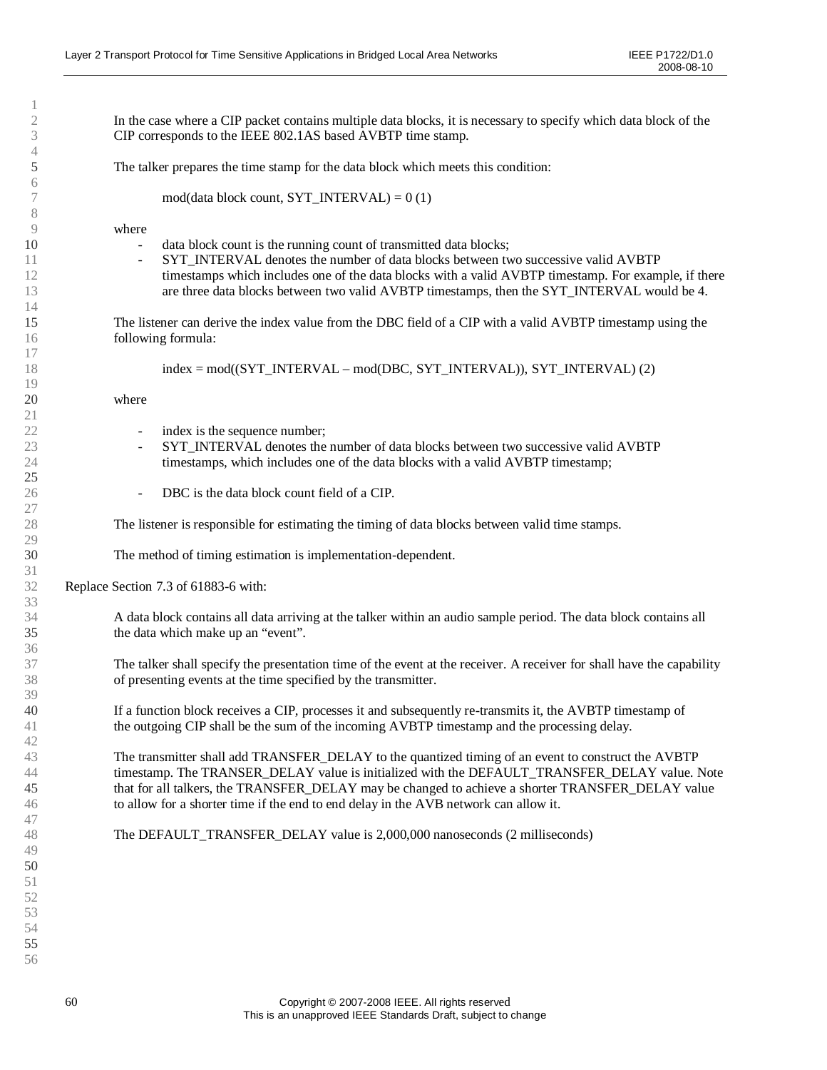In the case where a CIP packet contains multiple data blocks, it is necessary to specify which data block of the CIP corresponds to the IEEE 802.1AS based AVBTP time stamp.

The talker prepares the time stamp for the data block which meets this condition:

 $mod(data block count, SYT_NTERVAL) = 0 (1)$ 

where

- data block count is the running count of transmitted data blocks;
- SYT\_INTERVAL denotes the number of data blocks between two successive valid AVBTP timestamps which includes one of the data blocks with a valid AVBTP timestamp. For example, if there are three data blocks between two valid AVBTP timestamps, then the SYT\_INTERVAL would be 4.

The listener can derive the index value from the DBC field of a CIP with a valid AVBTP timestamp using the following formula:

index = mod((SYT\_INTERVAL – mod(DBC, SYT\_INTERVAL)), SYT\_INTERVAL) (2)

where

- index is the sequence number;
- SYT\_INTERVAL denotes the number of data blocks between two successive valid AVBTP timestamps, which includes one of the data blocks with a valid AVBTP timestamp;
- DBC is the data block count field of a CIP.

The listener is responsible for estimating the timing of data blocks between valid time stamps.

The method of timing estimation is implementation-dependent.

Replace Section 7.3 of 61883-6 with:

A data block contains all data arriving at the talker within an audio sample period. The data block contains all the data which make up an "event".

The talker shall specify the presentation time of the event at the receiver. A receiver for shall have the capability of presenting events at the time specified by the transmitter.

If a function block receives a CIP, processes it and subsequently re-transmits it, the AVBTP timestamp of the outgoing CIP shall be the sum of the incoming AVBTP timestamp and the processing delay.

The transmitter shall add TRANSFER\_DELAY to the quantized timing of an event to construct the AVBTP timestamp. The TRANSER\_DELAY value is initialized with the DEFAULT\_TRANSFER\_DELAY value. Note that for all talkers, the TRANSFER\_DELAY may be changed to achieve a shorter TRANSFER\_DELAY value to allow for a shorter time if the end to end delay in the AVB network can allow it.

The DEFAULT\_TRANSFER\_DELAY value is 2,000,000 nanoseconds (2 milliseconds)

- 
-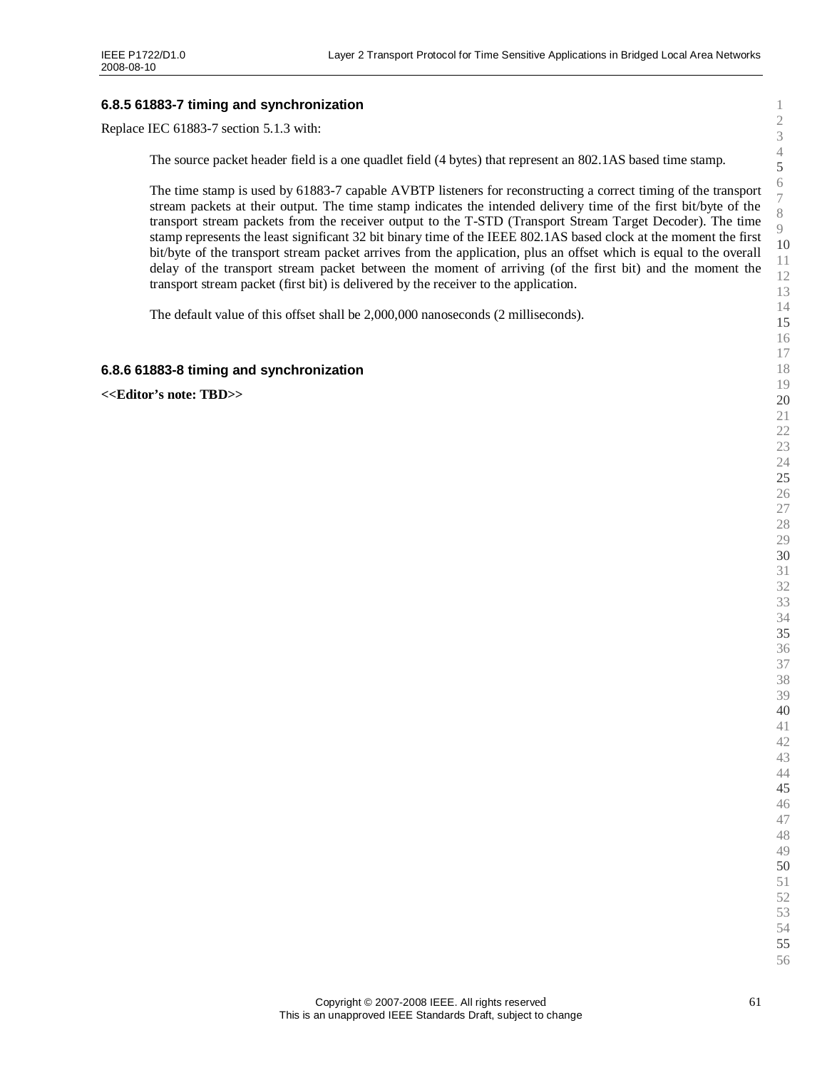#### **6.8.5 61883-7 timing and synchronization**

Replace IEC 61883-7 section 5.1.3 with:

The source packet header field is a one quadlet field (4 bytes) that represent an 802.1AS based time stamp.

The time stamp is used by 61883-7 capable AVBTP listeners for reconstructing a correct timing of the transport stream packets at their output. The time stamp indicates the intended delivery time of the first bit/byte of the transport stream packets from the receiver output to the T-STD (Transport Stream Target Decoder). The time stamp represents the least significant 32 bit binary time of the IEEE 802.1AS based clock at the moment the first bit/byte of the transport stream packet arrives from the application, plus an offset which is equal to the overall delay of the transport stream packet between the moment of arriving (of the first bit) and the moment the transport stream packet (first bit) is delivered by the receiver to the application.

The default value of this offset shall be 2,000,000 nanoseconds (2 milliseconds).

#### **6.8.6 61883-8 timing and synchronization**

**<<Editor's note: TBD>>**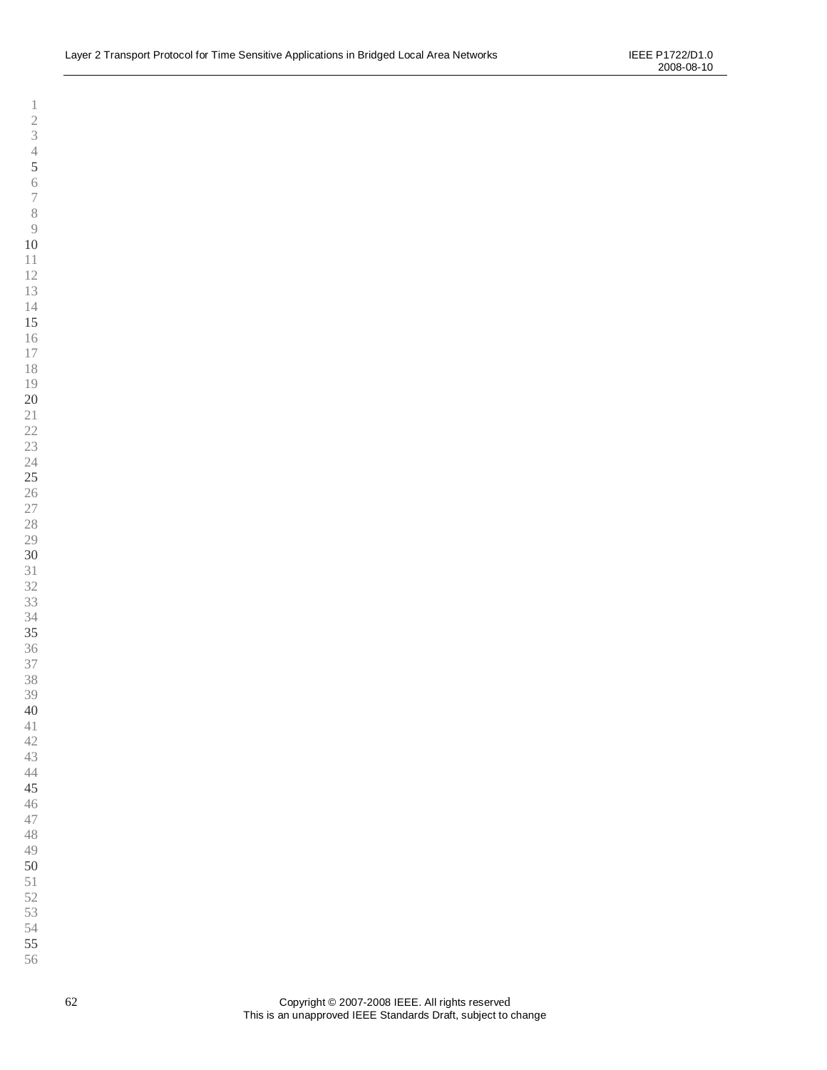- 
-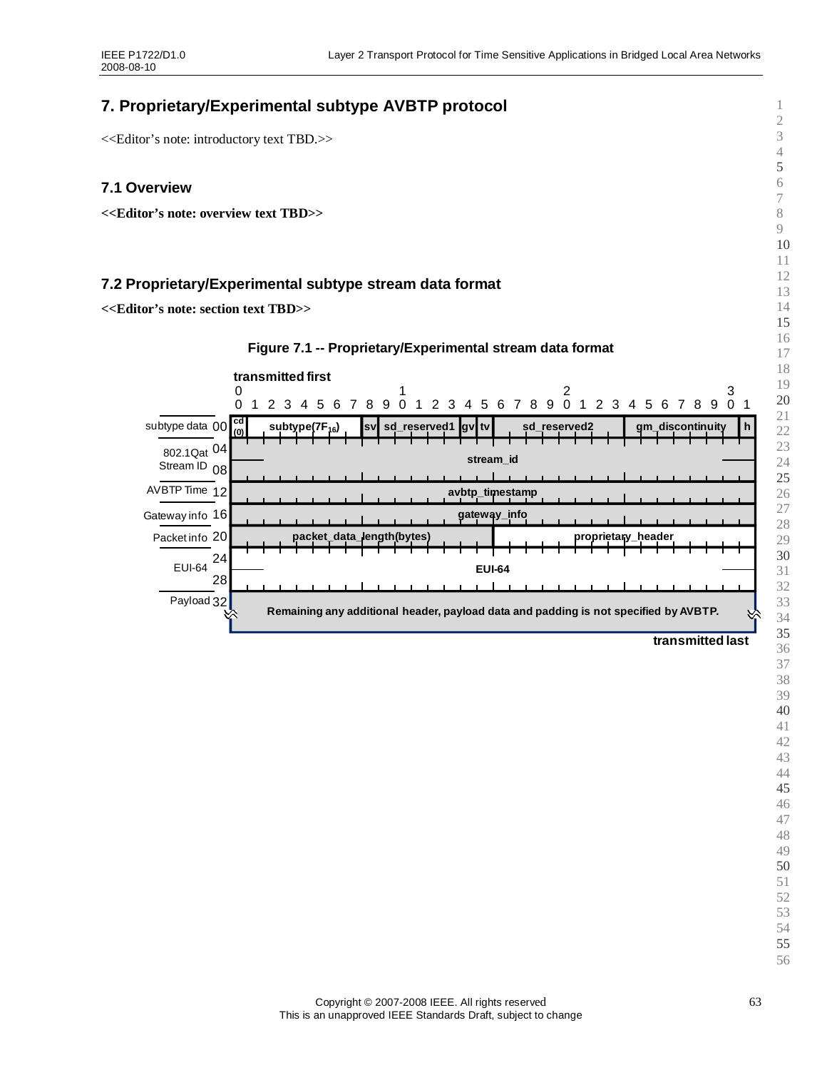# **7. Proprietary/Experimental subtype AVBTP protocol**

<<Editor's note: introductory text TBD.>>

## **7.1 Overview**

**<<Editor's note: overview text TBD>>**

#### **7.2 Proprietary/Experimental subtype stream data format**

**<<Editor's note: section text TBD>>**

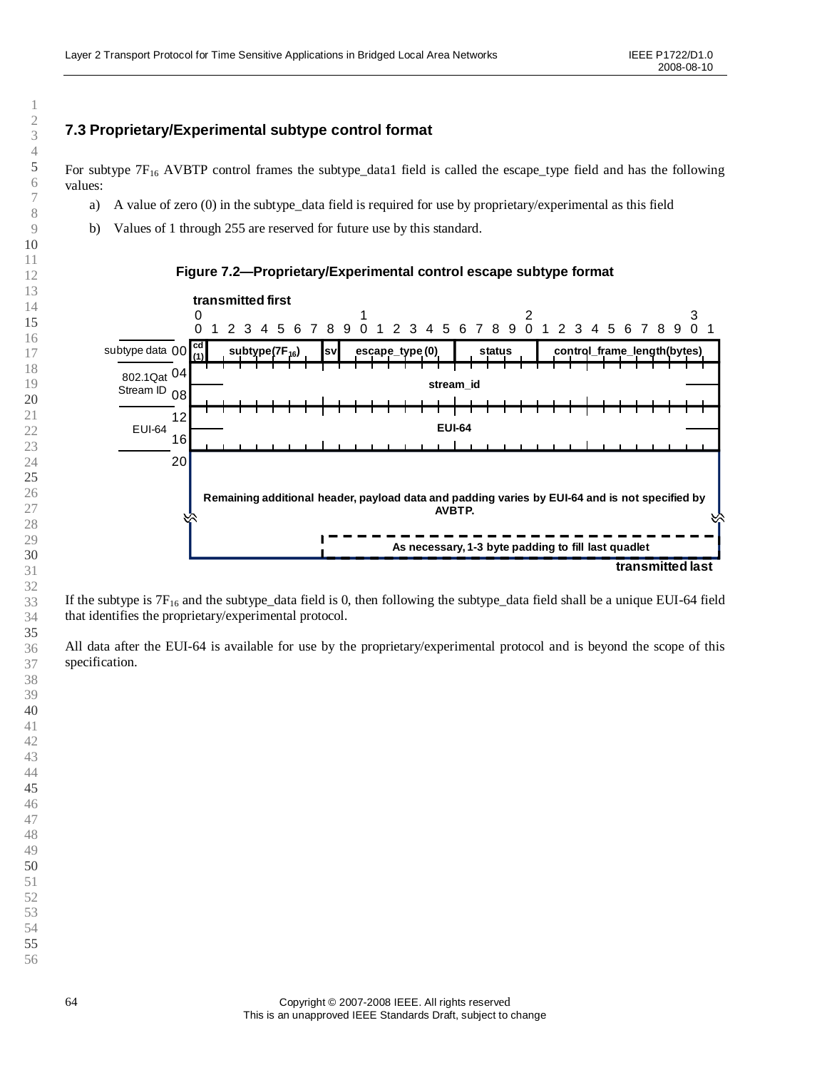## **7.3 Proprietary/Experimental subtype control format**

For subtype  $7F_{16}$  AVBTP control frames the subtype\_data1 field is called the escape\_type field and has the following values:

- a) A value of zero (0) in the subtype\_data field is required for use by proprietary/experimental as this field
- b) Values of 1 through 255 are reserved for future use by this standard.

#### **Figure 7.2— Proprietary/Experimental control escape subtype format**



If the subtype is  $7F_{16}$  and the subtype\_data field is 0, then following the subtype\_data field shall be a unique EUI-64 field that identifies the proprietary/experimental protocol.

All data after the EUI-64 is available for use by the proprietary/experimental protocol and is beyond the scope of this specification.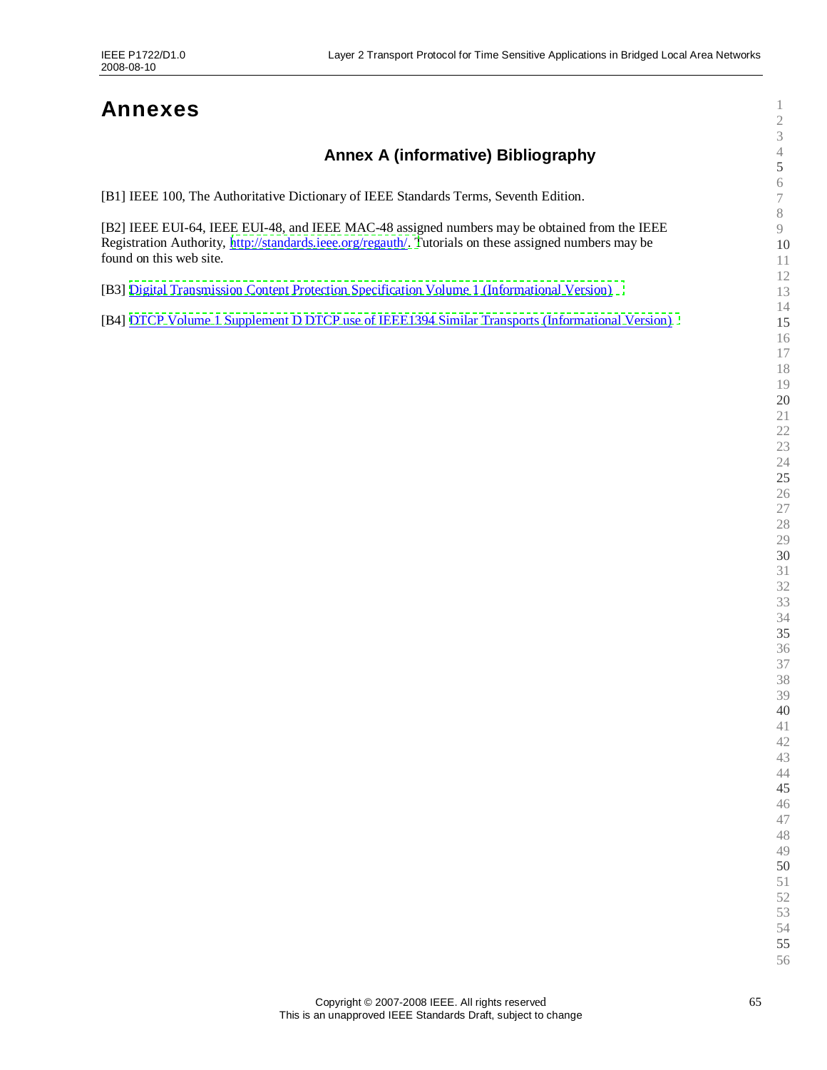# **Annexes**

# **Annex A (informative) Bibliography**

| [B1] IEEE 100, The Authoritative Dictionary of IEEE Standards Terms, Seventh Edition. |
|---------------------------------------------------------------------------------------|
|---------------------------------------------------------------------------------------|

[B2] IEEE EUI-64, IEEE EUI-48, and IEEE MAC-48 assigned numbers may be obtained from the IEEE Registration Authority, [http://standards.ieee.org/regauth/. T](http://standards.ieee.org/regauth/)utorials on these assigned numbers may be found on this web site.

[B3] [Digital Transmission Content Protection Specification Volume 1 \(Informational Version\)](http://www.dtcp.com/data/info 20071001 DTCP V1 1p51.pdf)

[B4] [DTCP Volume 1 Supplement D DTCP use of IEEE1394 Similar Transports \(Informational Version\)](http://www.dtcp.com/data/info 20070615 DTCP V1SD  1p1.pdf)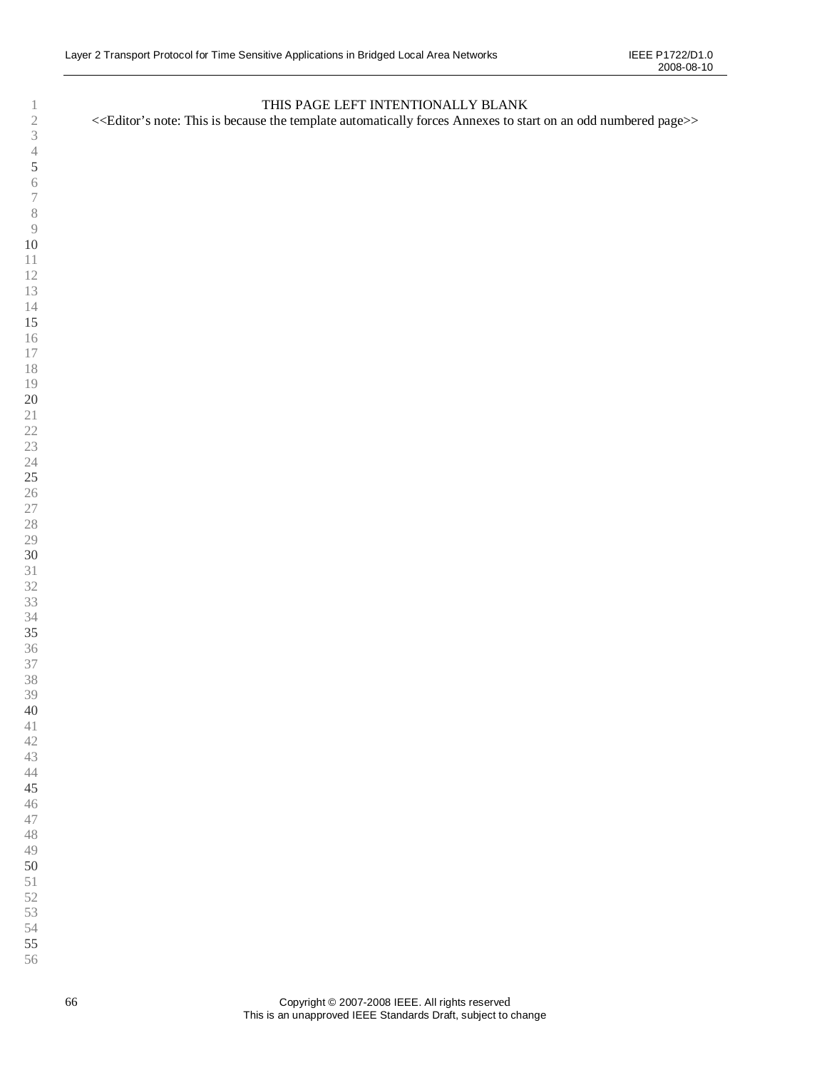## THIS PAGE LEFT INTENTIONALLY BLANK

<<Editor's note: This is because the template automatically forces Annexes to start on an odd numbered page>>

 

- 
- 
-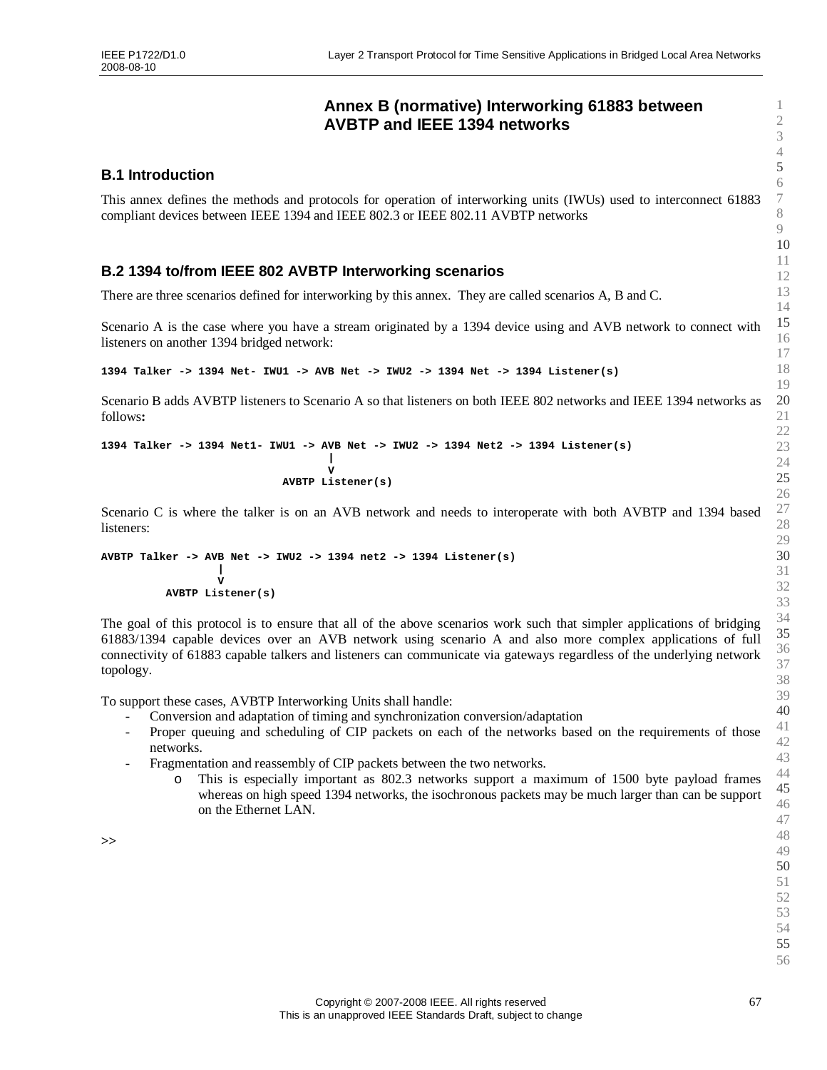# <span id="page-66-0"></span>**Annex B (normative) Interworking 61883 between AVBTP and IEEE 1394 networks**

## **B.1 Introduction**

This annex defines the methods and protocols for operation of interworking units (IWUs) used to interconnect 61883 compliant devices between IEEE 1394 and IEEE 802.3 or IEEE 802.11 AVBTP networks

## **B.2 1394 to/from IEEE 802 AVBTP Interworking scenarios**

There are three scenarios defined for interworking by this annex. They are called scenarios A, B and C.

Scenario A is the case where you have a stream originated by a 1394 device using and AVB network to connect with listeners on another 1394 bridged network:

```
1394 Talker -> 1394 Net- IWU1 -> AVB Net -> IWU2 -> 1394 Net -> 1394 Listener(s)
```
Scenario B adds AVBTP listeners to Scenario A so that listeners on both IEEE 802 networks and IEEE 1394 networks as follows**:**

```
1394 Talker -> 1394 Net1- IWU1 -> AVB Net -> IWU2 -> 1394 Net2 -> 1394 Listener(s)
                          |
                          V
                   AVBTP Listener(s)
```
Scenario C is where the talker is on an AVB network and needs to interoperate with both AVBTP and 1394 based listeners:

```
AVBTP Talker -> AVB Net -> IWU2 -> 1394 net2 -> 1394 Listener(s)
        |
        V
AVBTP Listener(s)
```
The goal of this protocol is to ensure that all of the above scenarios work such that simpler applications of bridging 61883/1394 capable devices over an AVB network using scenario A and also more complex applications of full connectivity of 61883 capable talkers and listeners can communicate via gateways regardless of the underlying network topology.

To support these cases, AVBTP Interworking Units shall handle:

- Conversion and adaptation of timing and synchronization conversion/adaptation
- Proper queuing and scheduling of CIP packets on each of the networks based on the requirements of those networks.
- Fragmentation and reassembly of CIP packets between the two networks.
	- o This is especially important as 802.3 networks support a maximum of 1500 byte payload frames whereas on high speed 1394 networks, the isochronous packets may be much larger than can be support on the Ethernet LAN.

**>>**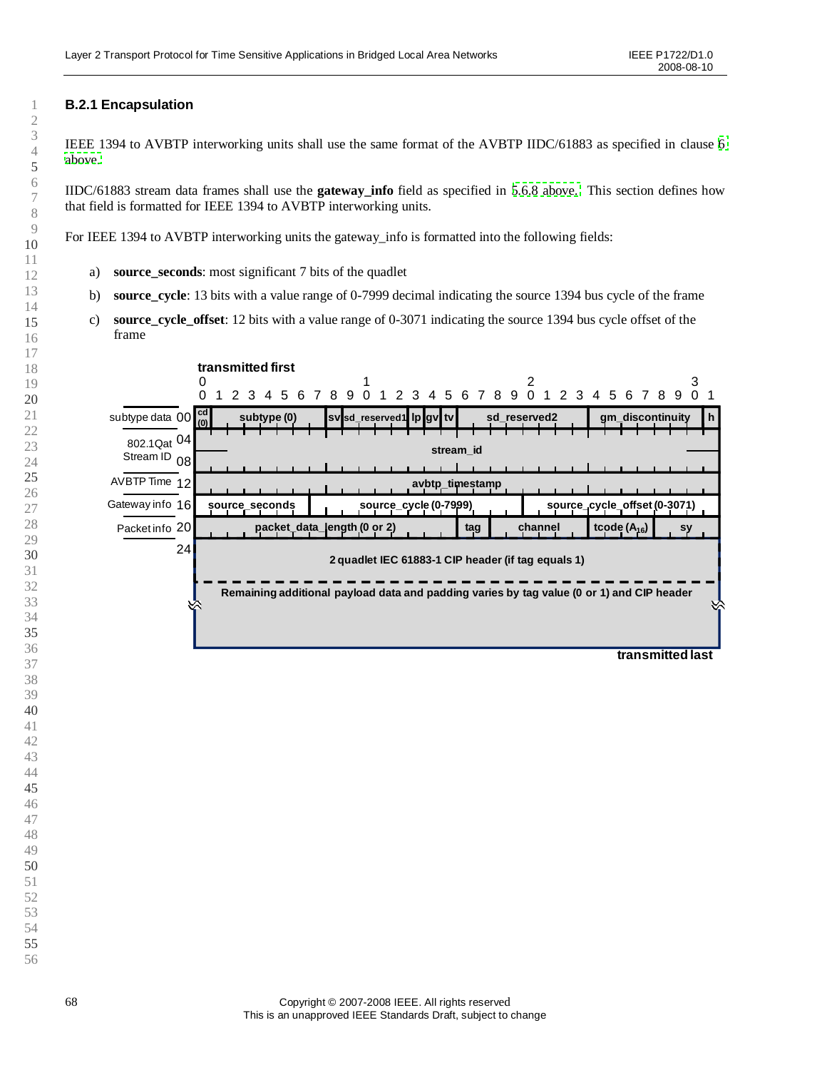## **B.2.1 Encapsulation**

IEEE 1394 to AVBTP interworking units shall use the same format of the AVBTP IIDC/61883 as specified in clause [6](#page-48-0) [above.](#page-48-0)

IIDC/61883 stream data frames shall use the **gateway\_info** field as specified in [5.6.8 above.](#page-43-1) This section defines how that field is formatted for IEEE 1394 to AVBTP interworking units.

For IEEE 1394 to AVBTP interworking units the gateway\_info is formatted into the following fields:

- a) **source\_seconds**: most significant 7 bits of the quadlet
- b) **source** cycle: 13 bits with a value range of 0-7999 decimal indicating the source 1394 bus cycle of the frame
- c) **source\_cycle\_offset**: 12 bits with a value range of 0-3071 indicating the source 1394 bus cycle offset of the frame



**transmitted last**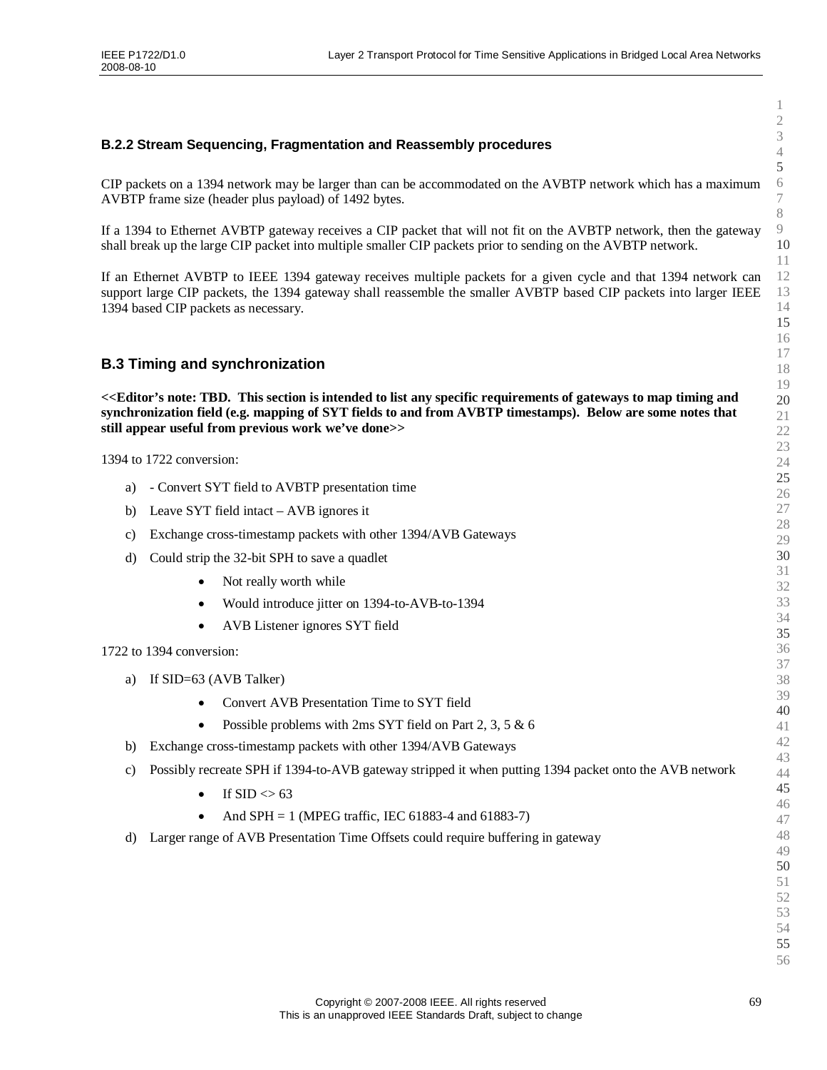#### **B.2.2 Stream Sequencing, Fragmentation and Reassembly procedures**

CIP packets on a 1394 network may be larger than can be accommodated on the AVBTP network which has a maximum AVBTP frame size (header plus payload) of 1492 bytes.

If a 1394 to Ethernet AVBTP gateway receives a CIP packet that will not fit on the AVBTP network, then the gateway shall break up the large CIP packet into multiple smaller CIP packets prior to sending on the AVBTP network.

If an Ethernet AVBTP to IEEE 1394 gateway receives multiple packets for a given cycle and that 1394 network can support large CIP packets, the 1394 gateway shall reassemble the smaller AVBTP based CIP packets into larger IEEE 1394 based CIP packets as necessary.

#### **B.3 Timing and synchronization**

**<<Editor's note: TBD. This section is intended to list any specific requirements of gateways to map timing and synchronization field (e.g. mapping of SYT fields to and from AVBTP timestamps). Below are some notes that still appear useful from previous work we've done>>**

1394 to 1722 conversion:

- a) Convert SYT field to AVBTP presentation time
- b) Leave SYT field intact –AVB ignores it

c) Exchange cross-timestamp packets with other 1394/AVB Gateways

- d) Could strip the 32-bit SPH to save a quadlet
	- Not really worth while
	- Would introduce jitter on 1394-to-AVB-to-1394
	- AVB Listener ignores SYT field

1722 to 1394 conversion:

- a) If SID=63 (AVB Talker)
	- Convert AVB Presentation Time to SYT field
	- Possible problems with 2ms SYT field on Part 2, 3, 5  $\&$  6
- b) Exchange cross-timestamp packets with other 1394/AVB Gateways
- c) Possibly recreate SPH if 1394-to-AVB gateway stripped it when putting 1394 packet onto the AVB network
	- If  $\text{SID} \leq 63$
	- And SPH = 1 (MPEG traffic, IEC 61883-4 and 61883-7)
- d) Larger range of AVB Presentation Time Offsets could require buffering in gateway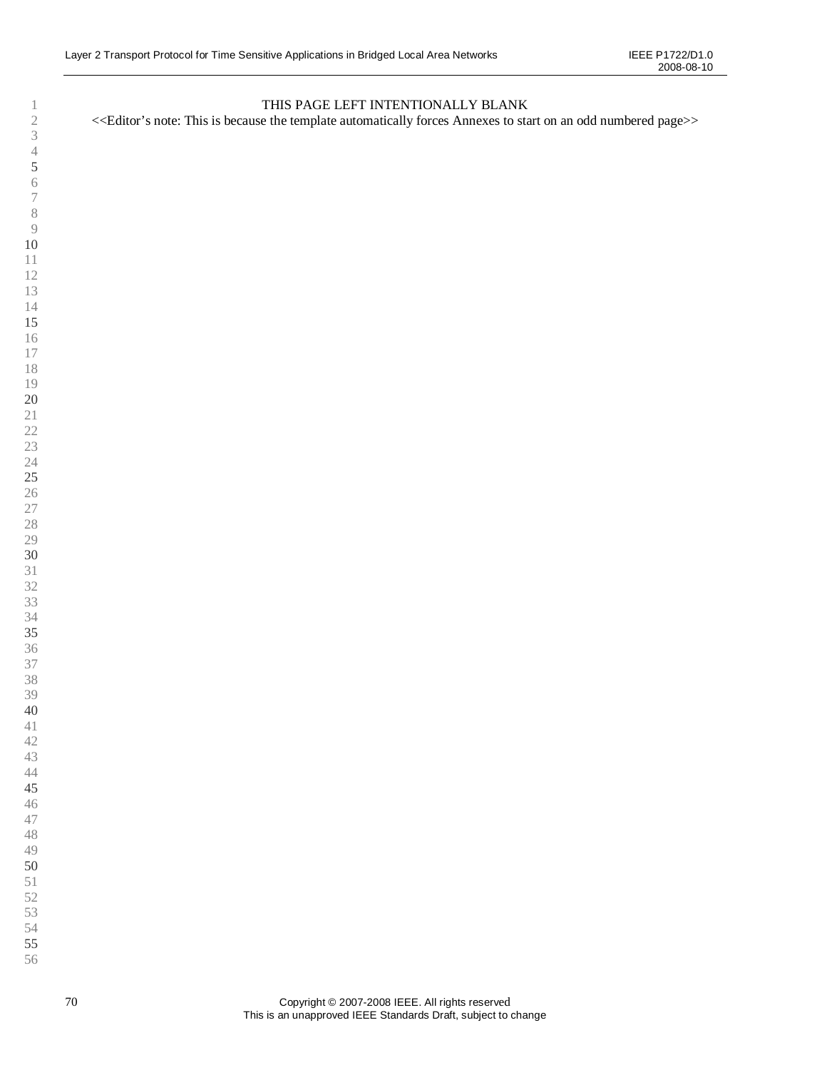## THIS PAGE LEFT INTENTIONALLY BLANK

<<Editor's note: This is because the template automatically forces Annexes to start on an odd numbered page>>

- 
- 
- 
- 
- 
- 
-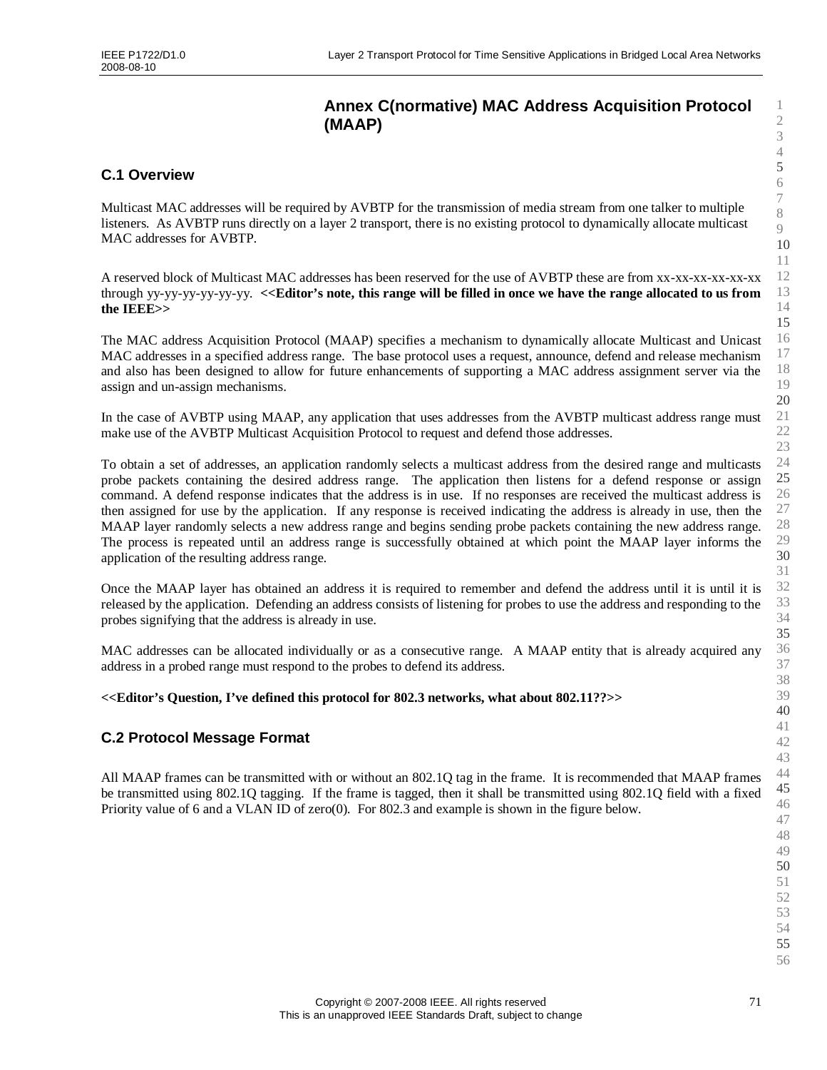# **Annex C(normative) MAC Address Acquisition Protocol (MAAP)**

## **C.1 Overview**

Multicast MAC addresses will be required by AVBTP for the transmission of media stream from one talker to multiple listeners. As AVBTP runs directly on a layer 2 transport, there is no existing protocol to dynamically allocate multicast MAC addresses for AVBTP.

A reserved block of Multicast MAC addresses has been reserved for the use of AVBTP these are from xx-xx-xx-xx-xx-xx through yy-yy-yy-yy-yy-yy. **<<Editor's note, this range will be filled in once we have the range allocated to us from the IEEE>>**

The MAC address Acquisition Protocol (MAAP) specifies a mechanism to dynamically allocate Multicast and Unicast MAC addresses in a specified address range. The base protocol uses a request, announce, defend and release mechanism and also has been designed to allow for future enhancements of supporting a MAC address assignment server via the assign and un-assign mechanisms.

In the case of AVBTP using MAAP, any application that uses addresses from the AVBTP multicast address range must make use of the AVBTP Multicast Acquisition Protocol to request and defend those addresses.

To obtain a set of addresses, an application randomly selects a multicast address from the desired range and multicasts probe packets containing the desired address range. The application then listens for a defend response or assign command. A defend response indicates that the address is in use. If no responses are received the multicast address is then assigned for use by the application. If any response is received indicating the address is already in use, then the MAAP layer randomly selects a new address range and begins sending probe packets containing the new address range. The process is repeated until an address range is successfully obtained at which point the MAAP layer informs the application of the resulting address range.

Once the MAAP layer has obtained an address it is required to remember and defend the address until it is until it is released by the application. Defending an address consists of listening for probes to use the address and responding to the probes signifying that the address is already in use.

MAC addresses can be allocated individually or as a consecutive range. A MAAP entity that is already acquired any address in a probed range must respond to the probes to defend its address.

#### **<<Editor's Question, I've defined this protocol for 802.3 networks, what about 802.11??>>**

## **C.2 Protocol Message Format**

All MAAP frames can be transmitted with or without an 802.1Q tag in the frame. It is recommended that MAAP frames be transmitted using 802.1Q tagging. If the frame is tagged, then it shall be transmitted using 802.1Q field with a fixed Priority value of 6 and a VLAN ID of zero(0). For 802.3 and example is shown in the figure below.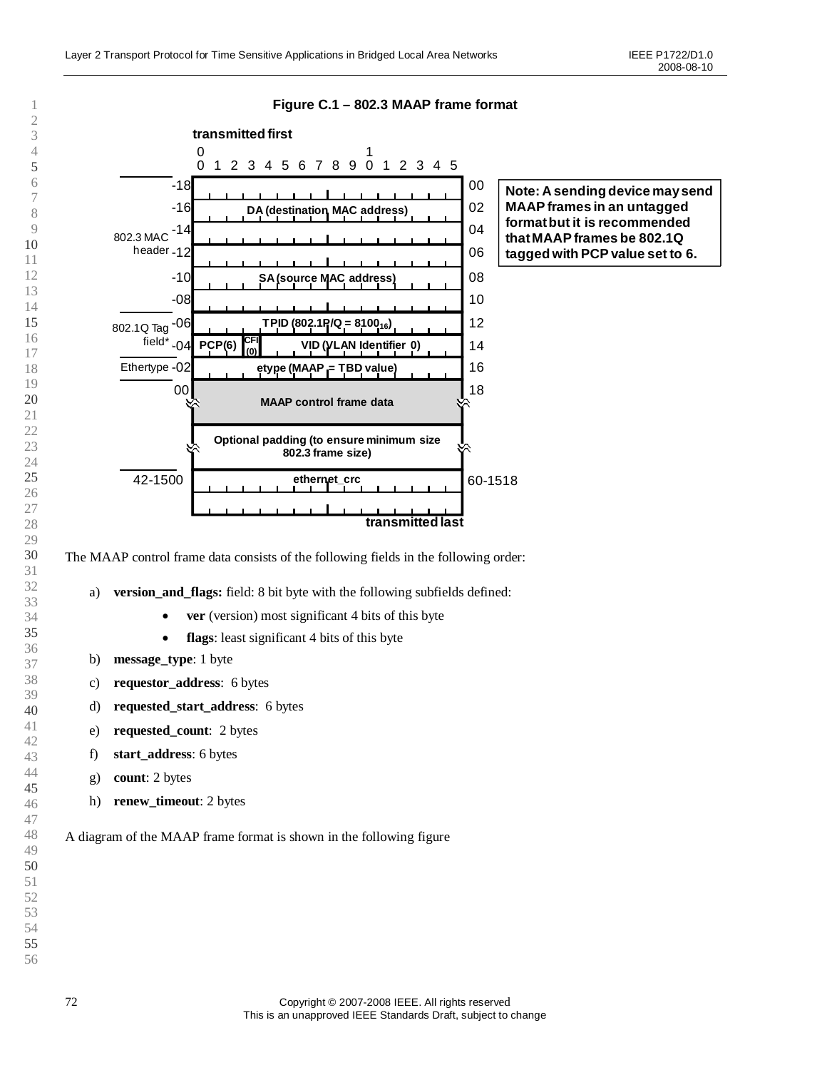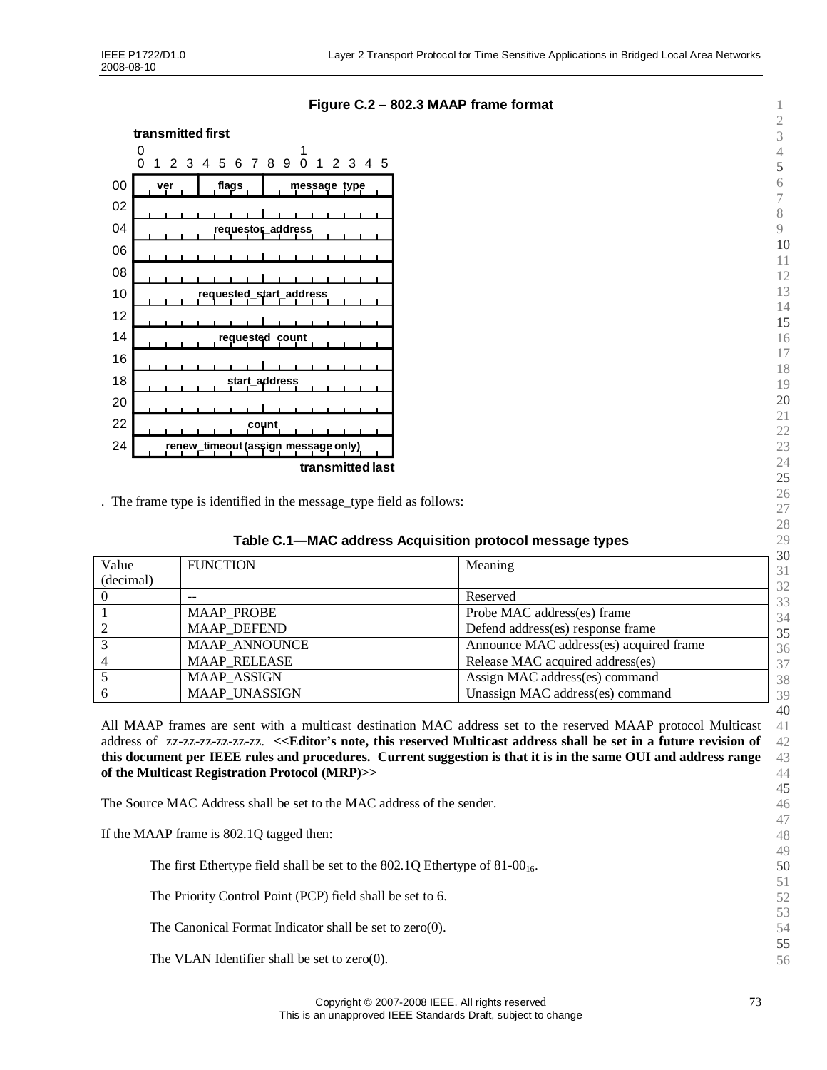

### **Figure C.2 –802.3 MAAP frame format**

. The frame type is identified in the message\_type field as follows:

|  | Table C.1—MAC address Acquisition protocol message types |
|--|----------------------------------------------------------|
|  |                                                          |

| Value         | <b>FUNCTION</b>      | Meaning                                 | 30<br>31 |
|---------------|----------------------|-----------------------------------------|----------|
| (decimal)     |                      |                                         | 32       |
|               |                      | Reserved                                | 33       |
|               | <b>MAAP PROBE</b>    | Probe MAC address(es) frame             | 34       |
| $\mathcal{D}$ | <b>MAAP DEFEND</b>   | Defend address(es) response frame       | 35       |
|               | <b>MAAP ANNOUNCE</b> | Announce MAC address(es) acquired frame | 36       |
|               | <b>MAAP RELEASE</b>  | Release MAC acquired address(es)        | 37       |
|               | <b>MAAP ASSIGN</b>   | Assign MAC address(es) command          | 38       |
|               | <b>MAAP UNASSIGN</b> | Unassign MAC address(es) command        | 39       |

All MAAP frames are sent with a multicast destination MAC address set to the reserved MAAP protocol Multicast address of zz-zz-zz-zz-zz-zz. **<<Editor's note, this reserved Multicast address shall be set in a future revision of this document per IEEE rules and procedures. Current suggestion is that it is in the same OUI and address range of the Multicast Registration Protocol (MRP)>>**

 The Source MAC Address shall be set to the MAC address of the sender. If the MAAP frame is 802.1Q tagged then: The first Ethertype field shall be set to the  $802.1Q$  Ethertype of  $81-00<sub>16</sub>$ . The Priority Control Point (PCP) field shall be set to 6. The Canonical Format Indicator shall be set to zero(0). The VLAN Identifier shall be set to zero(0).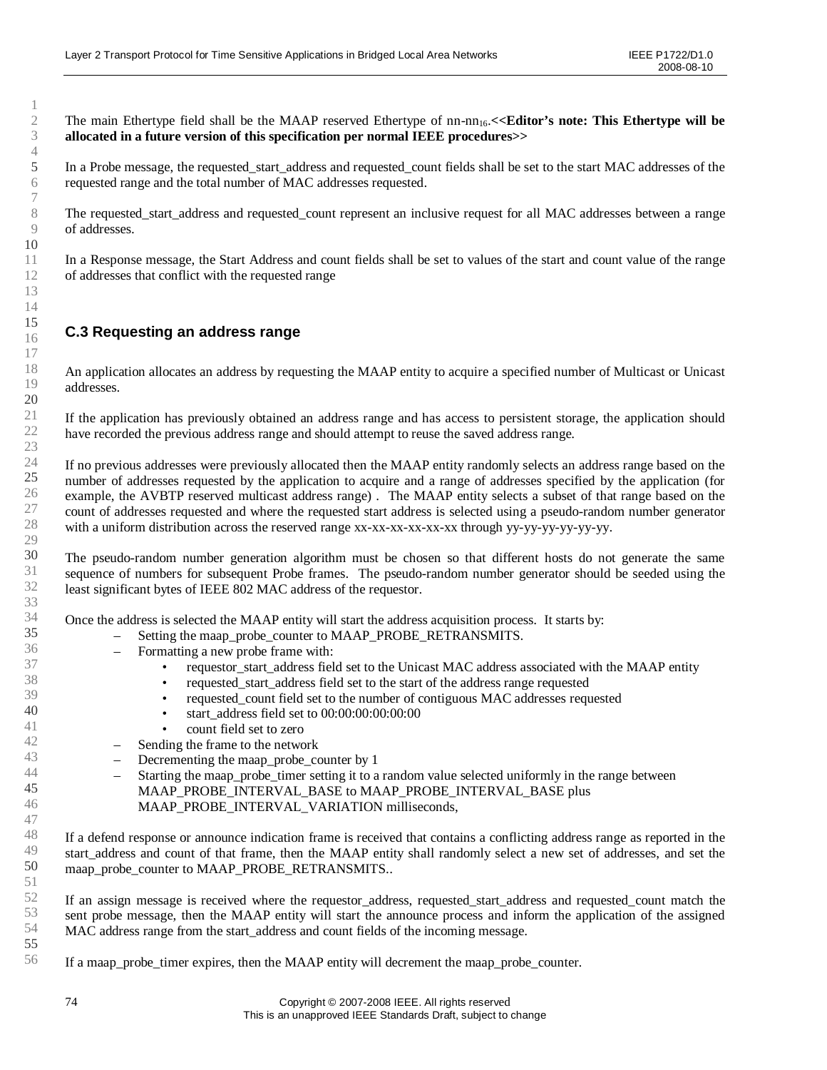The main Ethertype field shall be the MAAP reserved Ethertype of nn-nn<sub>16</sub>. $\lt$ **Editor's note: This Ethertype will be allocated in a future version of this specification per normal IEEE procedures>>**

In a Probe message, the requested start address and requested count fields shall be set to the start MAC addresses of the requested range and the total number of MAC addresses requested.

The requested start address and requested count represent an inclusive request for all MAC addresses between a range of addresses.

In a Response message, the Start Address and count fields shall be set to values of the start and count value of the range of addresses that conflict with the requested range

### **C.3 Requesting an address range**

An application allocates an address by requesting the MAAP entity to acquire a specified number of Multicast or Unicast addresses.

If the application has previously obtained an address range and has access to persistent storage, the application should have recorded the previous address range and should attempt to reuse the saved address range.

If no previous addresses were previously allocated then the MAAP entity randomly selects an address range based on the number of addresses requested by the application to acquire and a range of addresses specified by the application (for example, the AVBTP reserved multicast address range) . The MAAP entity selects a subset of that range based on the count of addresses requested and where the requested start address is selected using a pseudo-random number generator with a uniform distribution across the reserved range xx-xx-xx-xx-xx-xx through yy-yy-yy-yy-yy-yy.

The pseudo-random number generation algorithm must be chosen so that different hosts do not generate the same sequence of numbers for subsequent Probe frames. The pseudo-random number generator should be seeded using the least significant bytes of IEEE 802 MAC address of the requestor.

Once the address is selected the MAAP entity will start the address acquisition process. It starts by:

- Setting the maap\_probe\_counter to MAAP\_PROBE\_RETRANSMITS.
	- Formatting a new probe frame with:
		- requestor\_start\_address field set to the Unicast MAC address associated with the MAAP entity
			- requested\_start\_address field set to the start of the address range requested
		- requested\_count field set to the number of contiguous MAC addresses requested
		- start\_address field set to  $00:00:00:00:00:00$
		- count field set to zero
	- Sending the frame to the network
- Decrementing the maap\_probe\_counter by 1
- Starting the maap probe timer setting it to a random value selected uniformly in the range between MAAP\_PROBE\_INTERVAL\_BASE to MAAP\_PROBE\_INTERVAL\_BASE plus
	- MAAP\_PROBE\_INTERVAL\_VARIATION milliseconds,

If a defend response or announce indication frame is received that contains a conflicting address range as reported in the start\_address and count of that frame, then the MAAP entity shall randomly select a new set of addresses, and set the maap\_probe\_counter to MAAP\_PROBE\_RETRANSMITS..

If an assign message is received where the requestor address, requested start address and requested count match the sent probe message, then the MAAP entity will start the announce process and inform the application of the assigned MAC address range from the start address and count fields of the incoming message.

If a maap probe timer expires, then the MAAP entity will decrement the maap probe counter.

1 2 3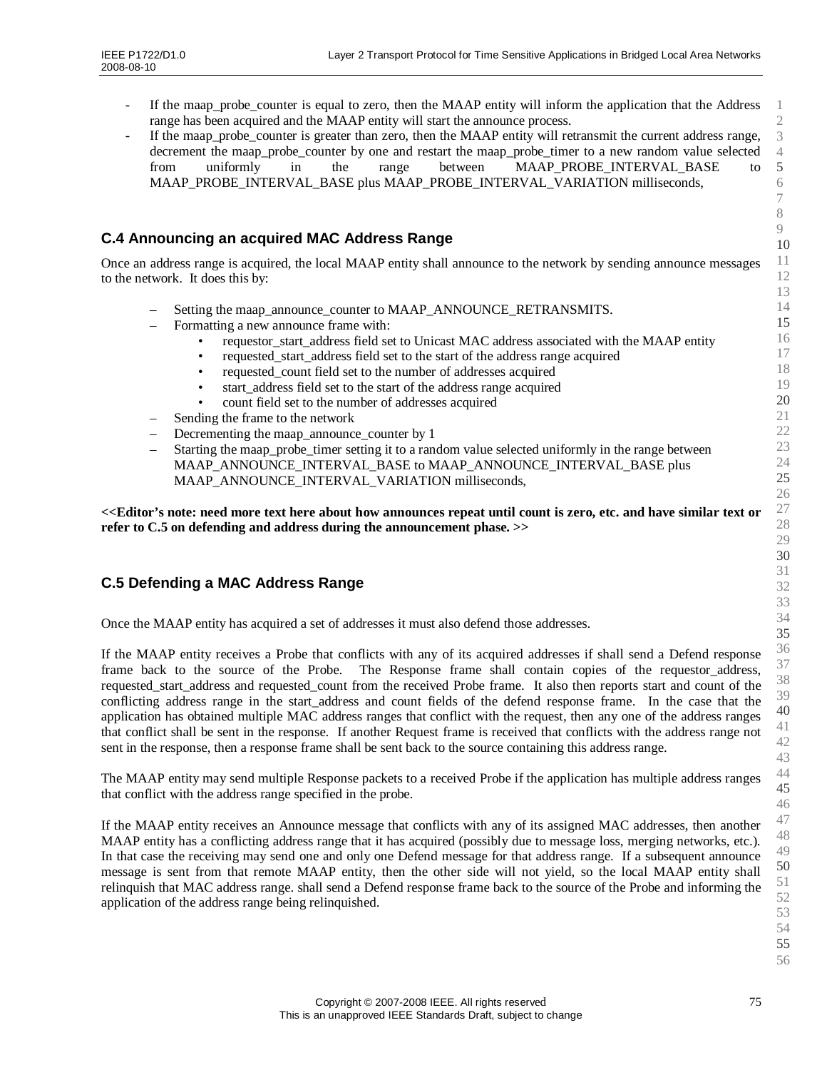- If the maap\_probe\_counter is equal to zero, then the MAAP entity will inform the application that the Address range has been acquired and the MAAP entity will start the announce process.
- If the maap\_probe\_counter is greater than zero, then the MAAP entity will retransmit the current address range, decrement the maap\_probe\_counter by one and restart the maap\_probe\_timer to a new random value selected from uniformly in the range between MAAP\_PROBE\_INTERVAL\_BASE to MAAP\_PROBE\_INTERVAL\_BASE plus MAAP\_PROBE\_INTERVAL\_VARIATION milliseconds,

# **C.4 Announcing an acquired MAC Address Range**

Once an address range is acquired, the local MAAP entity shall announce to the network by sending announce messages to the network. It does this by:

- Setting the maap\_announce\_counter to MAAP\_ANNOUNCE\_RETRANSMITS.
- Formatting a new announce frame with:
	- requestor\_start\_address field set to Unicast MAC address associated with the MAAP entity
		- requested start address field set to the start of the address range acquired
	- requested\_count field set to the number of addresses acquired
	- start\_address field set to the start of the address range acquired
	- count field set to the number of addresses acquired
- Sending the frame to the network
- Decrementing the maap\_announce\_counter by 1
- Starting the maap probe timer setting it to a random value selected uniformly in the range between MAAP\_ANNOUNCE\_INTERVAL\_BASE to MAAP\_ANNOUNCE\_INTERVAL\_BASE plus MAAP\_ANNOUNCE\_INTERVAL\_VARIATION milliseconds,

**<<Editor's note: need more text here about how announces repeat until count is zero, etc. and have similar text or refer to C.5 on defending and address during the announcement phase. >>**

## **C.5 Defending a MAC Address Range**

Once the MAAP entity has acquired a set of addresses it must also defend those addresses.

If the MAAP entity receives a Probe that conflicts with any of its acquired addresses if shall send a Defend response frame back to the source of the Probe. The Response frame shall contain copies of the requestor\_address, requested start address and requested count from the received Probe frame. It also then reports start and count of the conflicting address range in the start address and count fields of the defend response frame. In the case that the application has obtained multiple MAC address ranges that conflict with the request, then any one of the address ranges that conflict shall be sent in the response. If another Request frame is received that conflicts with the address range not sent in the response, then a response frame shall be sent back to the source containing this address range.

The MAAP entity may send multiple Response packets to a received Probe if the application has multiple address ranges that conflict with the address range specified in the probe.

If the MAAP entity receives an Announce message that conflicts with any of its assigned MAC addresses, then another MAAP entity has a conflicting address range that it has acquired (possibly due to message loss, merging networks, etc.). In that case the receiving may send one and only one Defend message for that address range. If a subsequent announce message is sent from that remote MAAP entity, then the other side will not yield, so the local MAAP entity shall relinquish that MAC address range. shall send a Defend response frame back to the source of the Probe and informing the application of the address range being relinquished.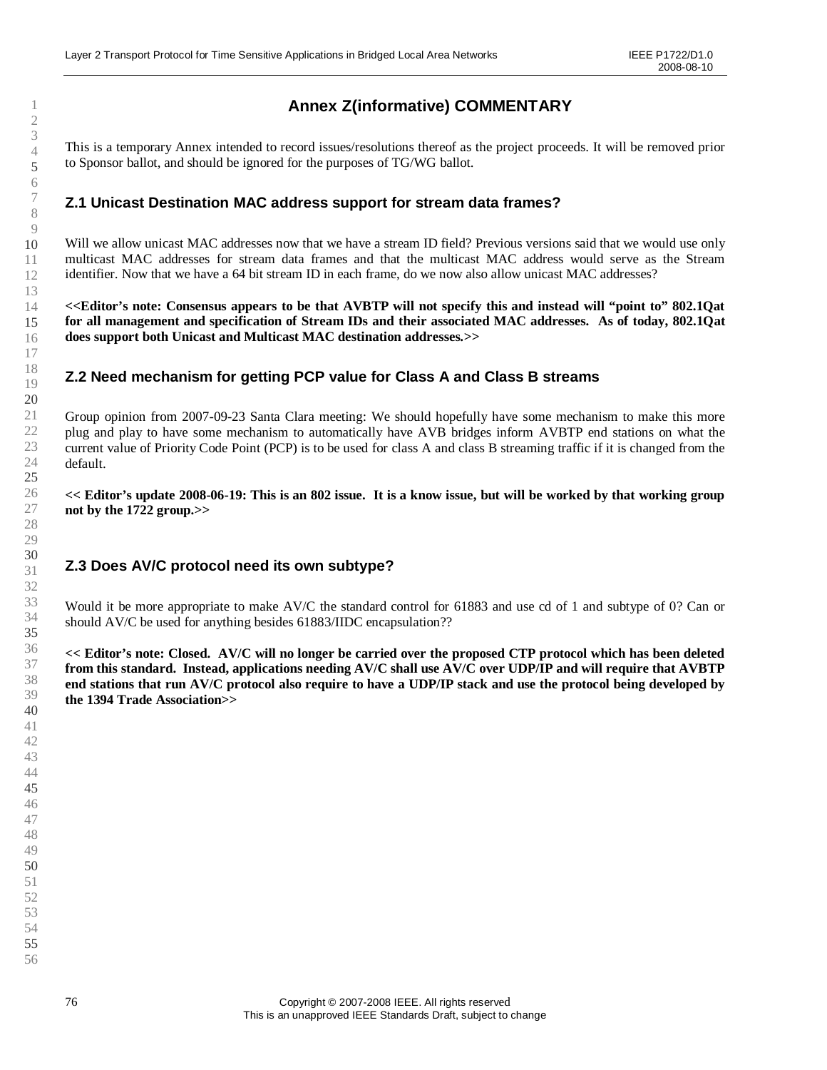# **Annex Z(informative) COMMENTARY**

This is a temporary Annex intended to record issues/resolutions thereof as the project proceeds. It will be removed prior to Sponsor ballot, and should be ignored for the purposes of TG/WG ballot.

### **Z.1 Unicast Destination MAC address support for stream data frames?**

Will we allow unicast MAC addresses now that we have a stream ID field? Previous versions said that we would use only multicast MAC addresses for stream data frames and that the multicast MAC address would serve as the Stream identifier. Now that we have a 64 bit stream ID in each frame, do we now also allow unicast MAC addresses?

**<<Editor's note: Consensus appears to be that AVBTP will not specify this and instead will "point to"802.1Qat for all management and specification of Stream IDs and their associated MAC addresses. As of today, 802.1Qat does support both Unicast and Multicast MAC destination addresses.>>**

### **Z.2 Need mechanism for getting PCP value for Class A and Class B streams**

Group opinion from 2007-09-23 Santa Clara meeting: We should hopefully have some mechanism to make this more plug and play to have some mechanism to automatically have AVB bridges inform AVBTP end stations on what the current value of Priority Code Point (PCP) is to be used for class A and class B streaming traffic if it is changed from the default.

**<< Editor's update 2008-06-19: This is an 802 issue. It is a know issue, but will be worked by that working group not by the 1722 group.>>**

### **Z.3 Does AV/C protocol need its own subtype?**

Would it be more appropriate to make AV/C the standard control for 61883 and use cd of 1 and subtype of 0? Can or should AV/C be used for anything besides 61883/IIDC encapsulation??

**<< Editor's note: Closed. AV/C will no longer be carried over the proposed CTP protocol which has been deleted from this standard. Instead, applications needing AV/C shall use AV/C over UDP/IP and will require that AVBTP end stations that run AV/C protocol also require to have a UDP/IP stack and use the protocol being developed by the 1394 Trade Association>>**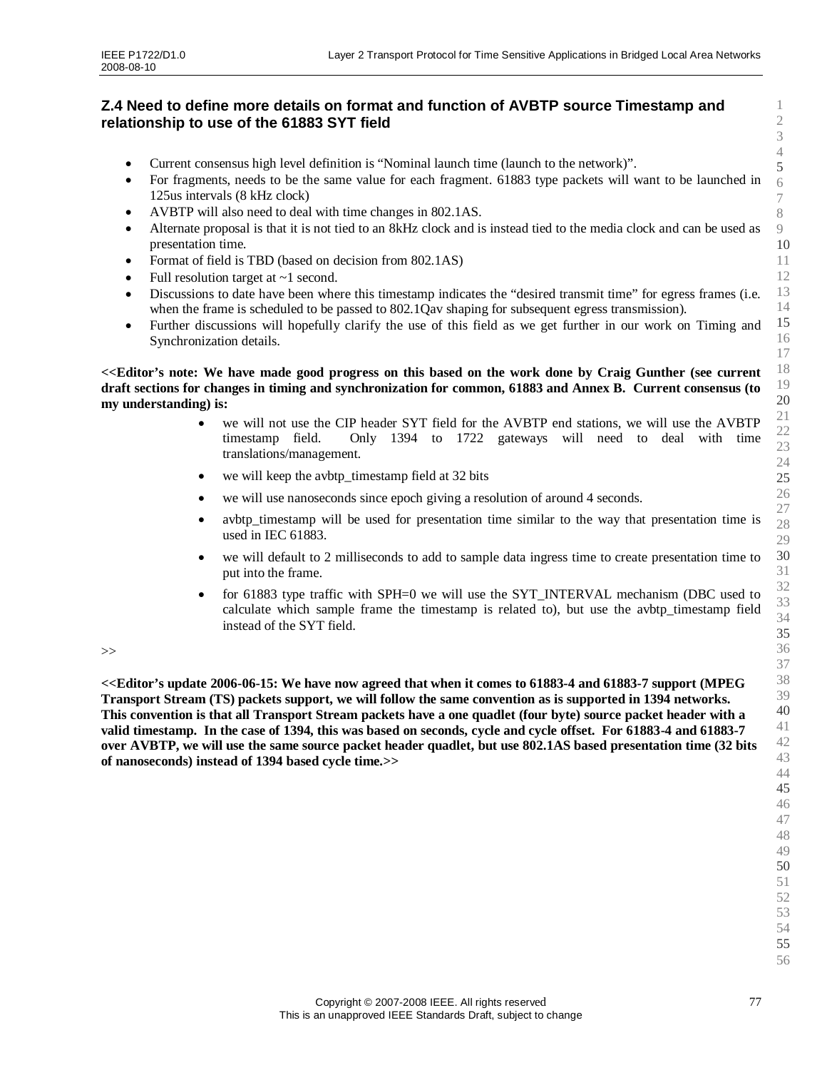## **Z.4 Need to define more details on format and function of AVBTP source Timestamp and relationship to use of the 61883 SYT field**

- Current consensus high level definition is "Nominal launch time (launch to the network)".
- For fragments, needs to be the same value for each fragment. 61883 type packets will want to be launched in 125us intervals (8 kHz clock)
- AVBTP will also need to deal with time changes in 802.1AS.
- Alternate proposal is that it is not tied to an 8kHz clock and is instead tied to the media clock and can be used as presentation time.
- Format of field is TBD (based on decision from 802.1AS)
- Full resolution target at  $\sim$ 1 second.
- Discussions to date have been where this timestamp indicates the "desired transmit time" for egress frames (i.e. when the frame is scheduled to be passed to 802.1Qav shaping for subsequent egress transmission).
- Further discussions will hopefully clarify the use of this field as we get further in our work on Timing and Synchronization details.

#### **<<Editor's note: We have made good progress on this based on the work done by Craig Gunther (see current draft sections for changes in timing and synchronization for common, 61883 and Annex B. Current consensus (to my understanding) is:**

- we will not use the CIP header SYT field for the AVBTP end stations, we will use the AVBTP timestamp field. Only 1394 to 1722 gateways will need to deal with time translations/management.
- we will keep the avbtp\_timestamp field at 32 bits
- we will use nanoseconds since epoch giving a resolution of around 4 seconds.
- avbtp\_timestamp will be used for presentation time similar to the way that presentation time is used in IEC 61883.
- we will default to 2 milliseconds to add to sample data ingress time to create presentation time to put into the frame.
- for 61883 type traffic with SPH=0 we will use the SYT\_INTERVAL mechanism (DBC used to calculate which sample frame the timestamp is related to), but use the avbtp\_timestamp field instead of the SYT field.

 $\rightarrow$ 

**<<Editor's update 2006-06-15: We have now agreed that when it comes to 61883-4 and 61883-7 support (MPEG Transport Stream (TS) packets support, we will follow the same convention as is supported in 1394 networks. This convention is that all Transport Stream packets have a one quadlet (four byte) source packet header with a valid timestamp. In the case of 1394, this was based on seconds, cycle and cycle offset. For 61883-4 and 61883-7 over AVBTP, we will use the same source packet header quadlet, but use 802.1AS based presentation time (32 bits of nanoseconds) instead of 1394 based cycle time.>>**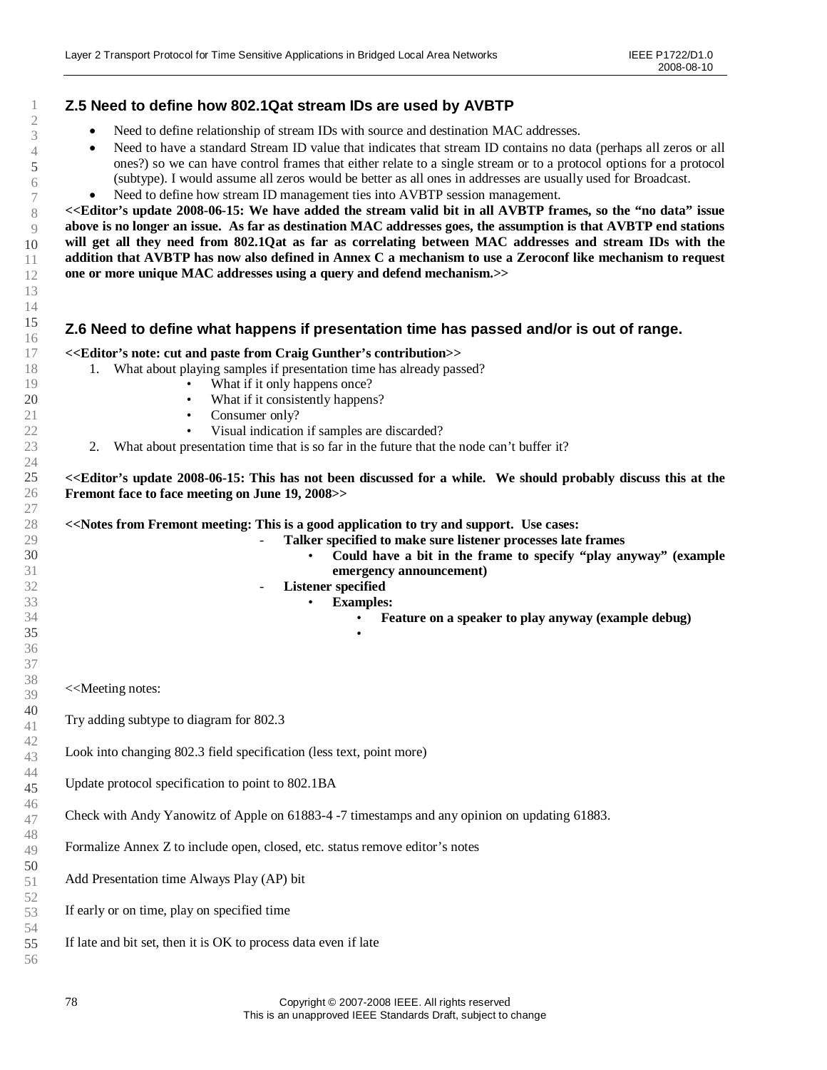#### **Z.5 Need to define how 802.1Qat stream IDs are used by AVBTP**

- Need to define relationship of stream IDs with source and destination MAC addresses.
- Need to have a standard Stream ID value that indicates that stream ID contains no data (perhaps all zeros or all ones?) so we can have control frames that either relate to a single stream or to a protocol options for a protocol (subtype). I would assume all zeros would be better as all ones in addresses are usually used for Broadcast.
- Need to define how stream ID management ties into AVBTP session management.

**<<Editor's update 2008-06-15: We have added the stream valid bit in all AVBTP frames, so the "no data"issue above is no longer an issue. As far as destination MAC addresses goes, the assumption is that AVBTP end stations will get all they need from 802.1Qat as far as correlating between MAC addresses and stream IDs with the addition that AVBTP has now also defined in Annex C a mechanism to use a Zeroconf like mechanism to request one or more unique MAC addresses using a query and defend mechanism.>>**

### **Z.6 Need to define what happens if presentation time has passed and/or is out of range.**

#### **<<Editor's note: cut and paste from Craig Gunther's contribution>>**

- 1. What about playing samples if presentation time has already passed?
	- What if it only happens once?
	- What if it consistently happens?
	- Consumer only?
	- Visual indication if samples are discarded?
	- 2. What about presentation time that is so far in the future that the node can't buffer it?

**<<Editor's update 2008-06-15: This has not been discussed for a while. We should probably discuss this at the Fremont face to face meeting on June 19, 2008>>**

**<<Notes from Fremont meeting: This is a good application to try and support. Use cases:**

- **Talker specified to make sure listener processes late frames**
	- **Could have a bit in the frame to specify "play anyway"(example emergency announcement)**
- Listener specified
	- **Examples:**

•

• **Feature on a speaker to play anyway (example debug)**

<<Meeting notes:

Try adding subtype to diagram for 802.3

- Look into changing 802.3 field specification (less text, point more)
- Update protocol specification to point to 802.1BA
- Check with Andy Yanowitz of Apple on 61883-4 -7 timestamps and any opinion on updating 61883.
- Formalize Annex Z to include open, closed, etc. status remove editor's notes
- Add Presentation time Always Play (AP) bit
- If early or on time, play on specified time
- If late and bit set, then it is OK to process data even if late